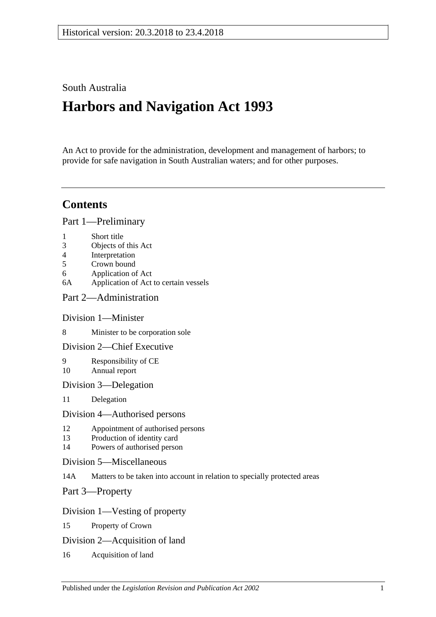# South Australia

# **Harbors and Navigation Act 1993**

An Act to provide for the administration, development and management of harbors; to provide for safe navigation in South Australian waters; and for other purposes.

# **Contents**

[Part 1—Preliminary](#page-6-0)

- 1 [Short title](#page-6-1)
- 3 [Objects of this Act](#page-6-2)
- 4 [Interpretation](#page-6-3)
- 5 [Crown bound](#page-10-0)
- 6 [Application of Act](#page-10-1)
- 6A [Application of Act to certain vessels](#page-11-0)
- [Part 2—Administration](#page-12-0)

## [Division 1—Minister](#page-12-1)

- 8 [Minister to be corporation sole](#page-12-2)
- [Division 2—Chief Executive](#page-12-3)
- 9 [Responsibility of CE](#page-12-4) 10 [Annual report](#page-12-5)
- [Division 3—Delegation](#page-12-6)
- 11 [Delegation](#page-12-7)

#### [Division 4—Authorised persons](#page-12-8)

- 12 [Appointment of authorised persons](#page-12-9)
- 13 [Production of identity card](#page-13-0)
- 14 [Powers of authorised person](#page-13-1)
- [Division 5—Miscellaneous](#page-15-0)
- 14A [Matters to be taken into account in relation to specially protected areas](#page-15-1)

[Part 3—Property](#page-16-0)

## [Division 1—Vesting of property](#page-16-1)

- 15 [Property of Crown](#page-16-2)
- [Division 2—Acquisition of land](#page-16-3)
- 16 [Acquisition of land](#page-16-4)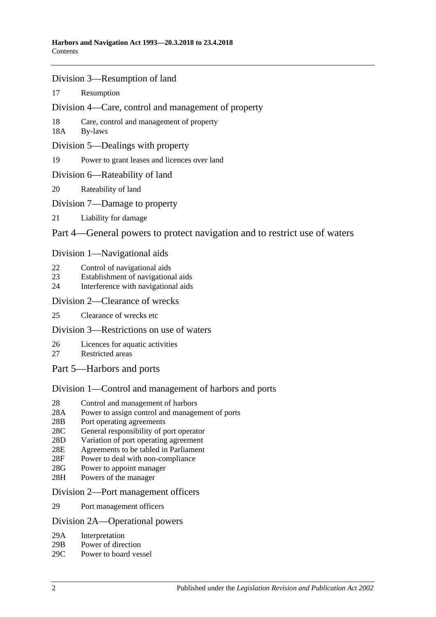- [Division 3—Resumption of land](#page-16-5)
- 17 [Resumption](#page-16-6)
- [Division 4—Care, control and management of property](#page-17-0)
- 18 [Care, control and management of property](#page-17-1)
- 18A [By-laws](#page-17-2)
- [Division 5—Dealings with property](#page-18-0)
- 19 [Power to grant leases and licences over land](#page-18-1)
- [Division 6—Rateability of land](#page-18-2)
- 20 [Rateability of land](#page-18-3)
- [Division 7—Damage to property](#page-18-4)
- 21 [Liability for damage](#page-18-5)

## [Part 4—General powers to protect navigation and to restrict use of waters](#page-20-0)

#### [Division 1—Navigational aids](#page-20-1)

- 22 [Control of navigational aids](#page-20-2)
- 23 [Establishment of navigational aids](#page-20-3)
- 24 [Interference with navigational aids](#page-20-4)

#### [Division 2—Clearance of wrecks](#page-21-0)

25 [Clearance of wrecks etc](#page-21-1)

## [Division 3—Restrictions on use of waters](#page-21-2)

- 26 [Licences for aquatic activities](#page-21-3)
- 27 [Restricted areas](#page-22-0)
- [Part 5—Harbors and ports](#page-24-0)

## [Division 1—Control and management of harbors and ports](#page-24-1)

- 28 [Control and management of harbors](#page-24-2)
- 28A [Power to assign control and management of ports](#page-24-3)
- 28B [Port operating agreements](#page-24-4)
- 28C [General responsibility of port operator](#page-25-0)
- 28D [Variation of port operating agreement](#page-25-1)
- 28E [Agreements to be tabled in Parliament](#page-25-2)
- 28F [Power to deal with non-compliance](#page-25-3)
- 28G [Power to appoint manager](#page-26-0)
- 28H [Powers of the manager](#page-26-1)

#### [Division 2—Port management officers](#page-27-0)

29 [Port management officers](#page-27-1)

#### [Division 2A—Operational powers](#page-27-2)

- 29A [Interpretation](#page-27-3)
- 29B [Power of direction](#page-27-4)
- 29C [Power to board vessel](#page-28-0)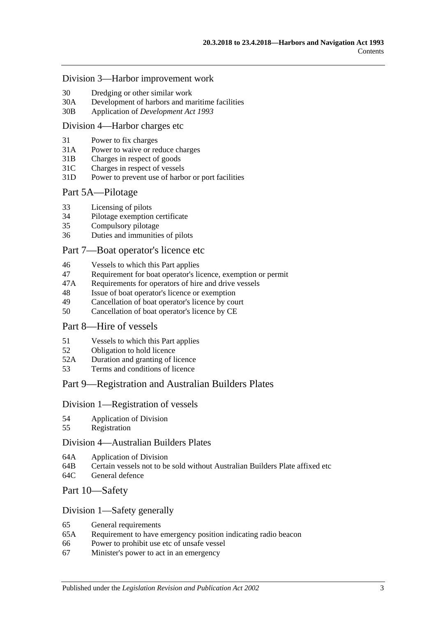#### [Division 3—Harbor improvement work](#page-28-1)

- 30 [Dredging or other similar work](#page-28-2)
- 30A [Development of harbors and maritime facilities](#page-28-3)
- 30B Application of *[Development Act](#page-29-0) 1993*

#### [Division 4—Harbor charges etc](#page-29-1)

- 31 [Power to fix charges](#page-29-2)
- 31A [Power to waive or reduce charges](#page-29-3)
- 31B [Charges in respect of goods](#page-29-4)
- 31C [Charges in respect of vessels](#page-30-0)
- 31D [Power to prevent use of harbor or port facilities](#page-30-1)

#### [Part 5A—Pilotage](#page-32-0)

- 33 [Licensing of pilots](#page-32-1)
- 34 [Pilotage exemption certificate](#page-32-2)
- 35 [Compulsory pilotage](#page-33-0)
- 36 [Duties and immunities of pilots](#page-33-1)

#### [Part 7—Boat operator's licence etc](#page-34-0)

- 46 [Vessels to which this Part applies](#page-34-1)
- 47 [Requirement for boat operator's licence, exemption or permit](#page-34-2)
- 47A [Requirements for operators of hire and drive vessels](#page-35-0)
- 48 [Issue of boat operator's licence or exemption](#page-36-0)
- 49 [Cancellation of boat operator's licence by court](#page-37-0)
- 50 [Cancellation of boat operator's licence by CE](#page-37-1)

#### [Part 8—Hire of vessels](#page-40-0)

- 51 [Vessels to which this Part applies](#page-40-1)
- 52 [Obligation to hold licence](#page-40-2)
- 52A [Duration and granting of licence](#page-40-3)
- 53 [Terms and conditions of licence](#page-40-4)

#### [Part 9—Registration and Australian Builders Plates](#page-42-0)

#### [Division 1—Registration of vessels](#page-42-1)

- 54 [Application of Division](#page-42-2)
- 55 [Registration](#page-42-3)

#### [Division 4—Australian Builders Plates](#page-42-4)

- 64A [Application of Division](#page-42-5)
- 64B [Certain vessels not to be sold without Australian Builders Plate affixed etc](#page-43-0)
- 64C [General defence](#page-43-1)

#### [Part 10—Safety](#page-46-0)

#### [Division 1—Safety generally](#page-46-1)

- 65 [General requirements](#page-46-2)
- 65A [Requirement to have emergency position indicating radio beacon](#page-46-3)
- 66 [Power to prohibit use etc of unsafe vessel](#page-46-4)
- 67 [Minister's power to act in an emergency](#page-47-0)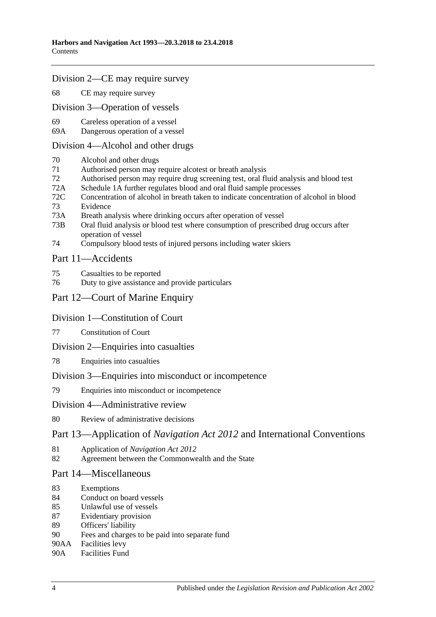#### [Division 2—CE may require survey](#page-47-1)

68 [CE may require survey](#page-47-2)

[Division 3—Operation of vessels](#page-48-0)

- 69 [Careless operation of a](#page-48-1) vessel
- 69A [Dangerous operation of a vessel](#page-48-2)

#### [Division 4—Alcohol and other drugs](#page-49-0)

- 70 [Alcohol and other drugs](#page-49-1)
- 71 [Authorised person may require alcotest or breath analysis](#page-50-0)
- 72 [Authorised person may require drug screening test, oral fluid analysis and blood test](#page-53-0)
- 72A [Schedule 1A](#page-56-0) [further regulates blood and oral fluid sample processes](#page-56-0)
- 72C [Concentration of alcohol in breath taken to indicate concentration of alcohol in blood](#page-56-1) 73 [Evidence](#page-56-2)
- 
- 73A [Breath analysis where drinking occurs after operation of vessel](#page-61-0)
- 73B [Oral fluid analysis or blood test where consumption of prescribed drug occurs after](#page-61-1)  [operation of vessel](#page-61-1)
- 74 [Compulsory blood tests of injured persons including water skiers](#page-62-0)

#### [Part 11—Accidents](#page-64-0)

- 75 [Casualties to be reported](#page-64-1)
- 76 [Duty to give assistance and provide particulars](#page-64-2)

## [Part 12—Court of Marine Enquiry](#page-66-0)

#### [Division 1—Constitution of Court](#page-66-1)

- 77 [Constitution of Court](#page-66-2)
- [Division 2—Enquiries into casualties](#page-66-3)
- 78 [Enquiries into casualties](#page-66-4)

#### [Division 3—Enquiries into misconduct or incompetence](#page-66-5)

79 [Enquiries into misconduct or incompetence](#page-66-6)

#### [Division 4—Administrative review](#page-67-0)

#### 80 [Review of administrative decisions](#page-67-1)

## Part 13—Application of *Navigation Act 2012* [and International Conventions](#page-68-0)

- 81 Application of *[Navigation Act 2012](#page-68-1)*
- 82 [Agreement between the Commonwealth and the State](#page-68-2)

#### [Part 14—Miscellaneous](#page-70-0)

- 83 [Exemptions](#page-70-1)
- 84 [Conduct on board vessels](#page-70-2)
- 85 [Unlawful use of vessels](#page-70-3)
- 87 [Evidentiary provision](#page-70-4)
- 89 [Officers' liability](#page-71-0)
- 90 [Fees and charges to be paid into separate fund](#page-72-0)
- 90AA [Facilities levy](#page-72-1)
- 90A [Facilities Fund](#page-72-2)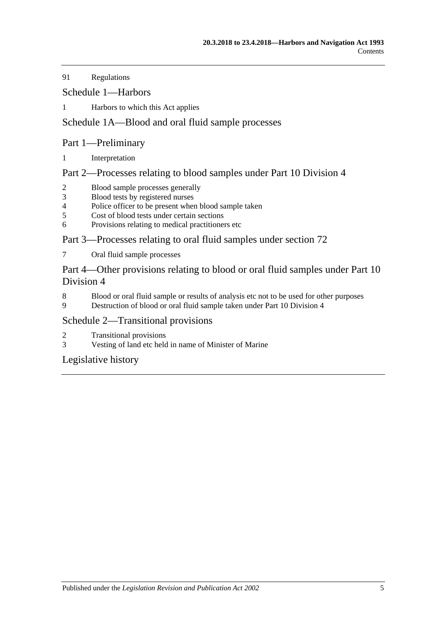91 [Regulations](#page-73-0)

[Schedule 1—Harbors](#page-76-0)

1 [Harbors to which this Act applies](#page-76-1)

# [Schedule 1A—Blood and oral fluid sample processes](#page-77-0)

## Part 1—Preliminary

1 [Interpretation](#page-77-1)

## Part 2—Processes relating to blood samples under Part 10 Division 4

- 2 [Blood sample processes generally](#page-77-2)<br>3 Blood tests by registered nurses
- [Blood tests by registered nurses](#page-79-0)
- 4 [Police officer to be present when blood sample taken](#page-79-1)<br>5 Cost of blood tests under certain sections
- [Cost of blood tests under certain sections](#page-79-2)
- 6 [Provisions relating to medical practitioners etc](#page-79-3)

# Part 3—Processes relating to oral fluid samples under section 72

7 [Oral fluid sample processes](#page-80-0)

Part 4—Other provisions relating to blood or oral fluid samples under Part 10 Division 4

- 8 [Blood or oral fluid sample or results of analysis etc not to be used for other purposes](#page-82-0)
- 9 [Destruction of blood or oral fluid sample taken under Part 10 Division 4](#page-82-1)

## [Schedule 2—Transitional provisions](#page-82-2)

- 2 [Transitional provisions](#page-82-3)
- 3 [Vesting of land etc held in name of Minister of Marine](#page-83-0)

[Legislative history](#page-84-0)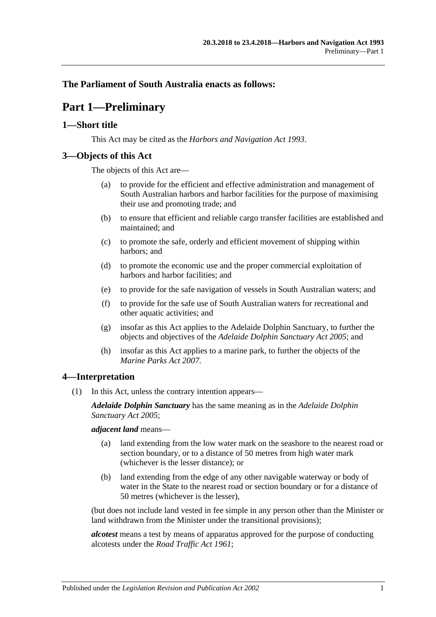## <span id="page-6-0"></span>**The Parliament of South Australia enacts as follows:**

# **Part 1—Preliminary**

## <span id="page-6-1"></span>**1—Short title**

This Act may be cited as the *Harbors and Navigation Act 1993*.

## <span id="page-6-2"></span>**3—Objects of this Act**

The objects of this Act are—

- (a) to provide for the efficient and effective administration and management of South Australian harbors and harbor facilities for the purpose of maximising their use and promoting trade; and
- (b) to ensure that efficient and reliable cargo transfer facilities are established and maintained; and
- (c) to promote the safe, orderly and efficient movement of shipping within harbors; and
- (d) to promote the economic use and the proper commercial exploitation of harbors and harbor facilities; and
- (e) to provide for the safe navigation of vessels in South Australian waters; and
- (f) to provide for the safe use of South Australian waters for recreational and other aquatic activities; and
- (g) insofar as this Act applies to the Adelaide Dolphin Sanctuary, to further the objects and objectives of the *[Adelaide Dolphin Sanctuary Act](http://www.legislation.sa.gov.au/index.aspx?action=legref&type=act&legtitle=Adelaide%20Dolphin%20Sanctuary%20Act%202005) 2005*; and
- (h) insofar as this Act applies to a marine park, to further the objects of the *[Marine Parks Act](http://www.legislation.sa.gov.au/index.aspx?action=legref&type=act&legtitle=Marine%20Parks%20Act%202007) 2007*.

## <span id="page-6-3"></span>**4—Interpretation**

(1) In this Act, unless the contrary intention appears—

*Adelaide Dolphin Sanctuary* has the same meaning as in the *[Adelaide Dolphin](http://www.legislation.sa.gov.au/index.aspx?action=legref&type=act&legtitle=Adelaide%20Dolphin%20Sanctuary%20Act%202005)  [Sanctuary Act](http://www.legislation.sa.gov.au/index.aspx?action=legref&type=act&legtitle=Adelaide%20Dolphin%20Sanctuary%20Act%202005) 2005*;

*adjacent land* means—

- (a) land extending from the low water mark on the seashore to the nearest road or section boundary, or to a distance of 50 metres from high water mark (whichever is the lesser distance); or
- (b) land extending from the edge of any other navigable waterway or body of water in the State to the nearest road or section boundary or for a distance of 50 metres (whichever is the lesser),

(but does not include land vested in fee simple in any person other than the Minister or land withdrawn from the Minister under the transitional provisions);

*alcotest* means a test by means of apparatus approved for the purpose of conducting alcotests under the *[Road Traffic Act](http://www.legislation.sa.gov.au/index.aspx?action=legref&type=act&legtitle=Road%20Traffic%20Act%201961) 1961*;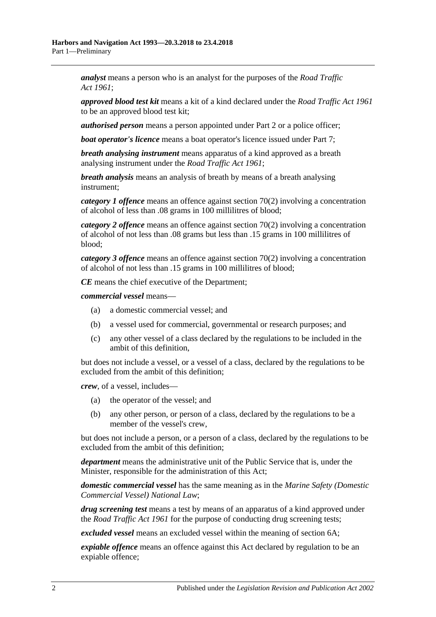*analyst* means a person who is an analyst for the purposes of the *[Road Traffic](http://www.legislation.sa.gov.au/index.aspx?action=legref&type=act&legtitle=Road%20Traffic%20Act%201961)  Act [1961](http://www.legislation.sa.gov.au/index.aspx?action=legref&type=act&legtitle=Road%20Traffic%20Act%201961)*;

*approved blood test kit* means a kit of a kind declared under the *[Road Traffic Act](http://www.legislation.sa.gov.au/index.aspx?action=legref&type=act&legtitle=Road%20Traffic%20Act%201961) 1961* to be an approved blood test kit;

*authorised person* means a person appointed under [Part 2](#page-12-0) or a police officer;

*boat operator's licence* means a boat operator's licence issued under [Part 7;](#page-34-0)

*breath analysing instrument* means apparatus of a kind approved as a breath analysing instrument under the *[Road Traffic Act](http://www.legislation.sa.gov.au/index.aspx?action=legref&type=act&legtitle=Road%20Traffic%20Act%201961) 1961*;

*breath analysis* means an analysis of breath by means of a breath analysing instrument;

*category 1 offence* means an offence against [section](#page-49-2) 70(2) involving a concentration of alcohol of less than .08 grams in 100 millilitres of blood;

*category 2 offence* means an offence against [section](#page-49-2) 70(2) involving a concentration of alcohol of not less than .08 grams but less than .15 grams in 100 millilitres of blood;

*category 3 offence* means an offence against [section](#page-49-2) 70(2) involving a concentration of alcohol of not less than .15 grams in 100 millilitres of blood;

*CE* means the chief executive of the Department;

*commercial vessel* means—

- (a) a domestic commercial vessel; and
- (b) a vessel used for commercial, governmental or research purposes; and
- (c) any other vessel of a class declared by the regulations to be included in the ambit of this definition,

but does not include a vessel, or a vessel of a class, declared by the regulations to be excluded from the ambit of this definition;

*crew*, of a vessel, includes—

- (a) the operator of the vessel; and
- (b) any other person, or person of a class, declared by the regulations to be a member of the vessel's crew,

but does not include a person, or a person of a class, declared by the regulations to be excluded from the ambit of this definition;

*department* means the administrative unit of the Public Service that is, under the Minister, responsible for the administration of this Act;

*domestic commercial vessel* has the same meaning as in the *[Marine Safety \(Domestic](http://www.legislation.sa.gov.au/index.aspx?action=legref&type=act&legtitle=Marine%20Safety%20(Domestic%20Commercial%20Vessel)%20National%20Law)  [Commercial Vessel\) National Law](http://www.legislation.sa.gov.au/index.aspx?action=legref&type=act&legtitle=Marine%20Safety%20(Domestic%20Commercial%20Vessel)%20National%20Law)*;

*drug screening test* means a test by means of an apparatus of a kind approved under the *[Road Traffic Act](http://www.legislation.sa.gov.au/index.aspx?action=legref&type=act&legtitle=Road%20Traffic%20Act%201961) 1961* for the purpose of conducting drug screening tests;

*excluded vessel* means an excluded vessel within the meaning of [section](#page-11-0) 6A;

*expiable offence* means an offence against this Act declared by regulation to be an expiable offence;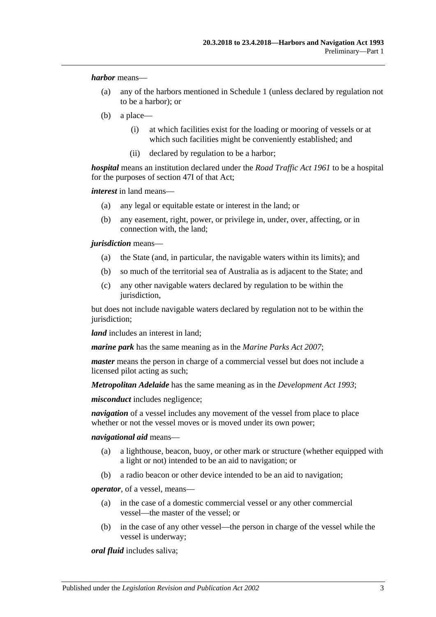*harbor* means—

- (a) any of the harbors mentioned in [Schedule 1](#page-76-0) (unless declared by regulation not to be a harbor); or
- (b) a place—
	- (i) at which facilities exist for the loading or mooring of vessels or at which such facilities might be conveniently established; and
	- (ii) declared by regulation to be a harbor;

*hospital* means an institution declared under the *[Road Traffic Act](http://www.legislation.sa.gov.au/index.aspx?action=legref&type=act&legtitle=Road%20Traffic%20Act%201961) 1961* to be a hospital for the purposes of section 47I of that Act;

*interest* in land means—

- (a) any legal or equitable estate or interest in the land; or
- (b) any easement, right, power, or privilege in, under, over, affecting, or in connection with, the land;

*jurisdiction* means—

- (a) the State (and, in particular, the navigable waters within its limits); and
- (b) so much of the territorial sea of Australia as is adjacent to the State; and
- (c) any other navigable waters declared by regulation to be within the jurisdiction,

but does not include navigable waters declared by regulation not to be within the jurisdiction:

*land* includes an interest in land:

*marine park* has the same meaning as in the *[Marine Parks Act](http://www.legislation.sa.gov.au/index.aspx?action=legref&type=act&legtitle=Marine%20Parks%20Act%202007) 2007*;

*master* means the person in charge of a commercial vessel but does not include a licensed pilot acting as such;

*Metropolitan Adelaide* has the same meaning as in the *[Development Act](http://www.legislation.sa.gov.au/index.aspx?action=legref&type=act&legtitle=Development%20Act%201993) 1993*;

*misconduct* includes negligence;

*navigation* of a vessel includes any movement of the vessel from place to place whether or not the vessel moves or is moved under its own power;

*navigational aid* means—

- (a) a lighthouse, beacon, buoy, or other mark or structure (whether equipped with a light or not) intended to be an aid to navigation; or
- (b) a radio beacon or other device intended to be an aid to navigation;

*operator*, of a vessel, means—

- (a) in the case of a domestic commercial vessel or any other commercial vessel—the master of the vessel; or
- (b) in the case of any other vessel—the person in charge of the vessel while the vessel is underway;

*oral fluid* includes saliva;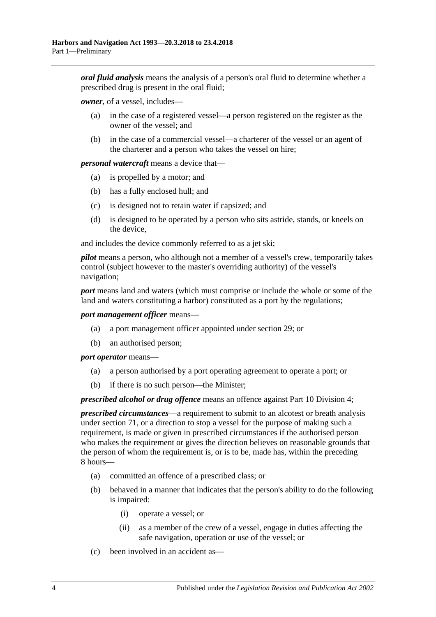*oral fluid analysis* means the analysis of a person's oral fluid to determine whether a prescribed drug is present in the oral fluid;

*owner*, of a vessel, includes—

- (a) in the case of a registered vessel—a person registered on the register as the owner of the vessel; and
- (b) in the case of a commercial vessel—a charterer of the vessel or an agent of the charterer and a person who takes the vessel on hire;

*personal watercraft* means a device that—

- (a) is propelled by a motor; and
- (b) has a fully enclosed hull; and
- (c) is designed not to retain water if capsized; and
- (d) is designed to be operated by a person who sits astride, stands, or kneels on the device,

and includes the device commonly referred to as a jet ski;

*pilot* means a person, who although not a member of a vessel's crew, temporarily takes control (subject however to the master's overriding authority) of the vessel's navigation;

*port* means land and waters (which must comprise or include the whole or some of the land and waters constituting a harbor) constituted as a port by the regulations;

*port management officer* means—

- (a) a port management officer appointed under [section](#page-27-1) 29; or
- (b) an authorised person;

*port operator* means—

- (a) a person authorised by a port operating agreement to operate a port; or
- (b) if there is no such person—the Minister;

*prescribed alcohol or drug offence* means an offence against [Part 10 Division 4;](#page-49-0)

*prescribed circumstances*—a requirement to submit to an alcotest or breath analysis under [section](#page-50-0) 71, or a direction to stop a vessel for the purpose of making such a requirement, is made or given in prescribed circumstances if the authorised person who makes the requirement or gives the direction believes on reasonable grounds that the person of whom the requirement is, or is to be, made has, within the preceding 8 hours—

- (a) committed an offence of a prescribed class; or
- (b) behaved in a manner that indicates that the person's ability to do the following is impaired:
	- (i) operate a vessel; or
	- (ii) as a member of the crew of a vessel, engage in duties affecting the safe navigation, operation or use of the vessel; or
- (c) been involved in an accident as—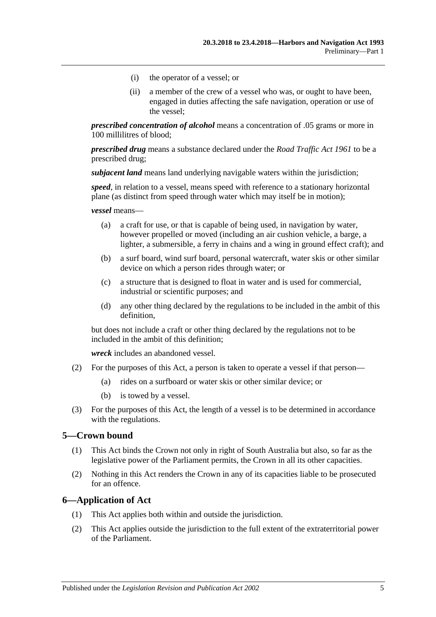- (i) the operator of a vessel; or
- (ii) a member of the crew of a vessel who was, or ought to have been, engaged in duties affecting the safe navigation, operation or use of the vessel;

*prescribed concentration of alcohol* means a concentration of .05 grams or more in 100 millilitres of blood;

*prescribed drug* means a substance declared under the *[Road Traffic Act](http://www.legislation.sa.gov.au/index.aspx?action=legref&type=act&legtitle=Road%20Traffic%20Act%201961) 1961* to be a prescribed drug;

*subjacent land* means land underlying navigable waters within the jurisdiction;

*speed*, in relation to a vessel, means speed with reference to a stationary horizontal plane (as distinct from speed through water which may itself be in motion);

*vessel* means—

- (a) a craft for use, or that is capable of being used, in navigation by water, however propelled or moved (including an air cushion vehicle, a barge, a lighter, a submersible, a ferry in chains and a wing in ground effect craft); and
- (b) a surf board, wind surf board, personal watercraft, water skis or other similar device on which a person rides through water; or
- (c) a structure that is designed to float in water and is used for commercial, industrial or scientific purposes; and
- (d) any other thing declared by the regulations to be included in the ambit of this definition,

but does not include a craft or other thing declared by the regulations not to be included in the ambit of this definition;

*wreck* includes an abandoned vessel.

- (2) For the purposes of this Act, a person is taken to operate a vessel if that person—
	- (a) rides on a surfboard or water skis or other similar device; or
	- (b) is towed by a vessel.
- (3) For the purposes of this Act, the length of a vessel is to be determined in accordance with the regulations.

#### <span id="page-10-0"></span>**5—Crown bound**

- (1) This Act binds the Crown not only in right of South Australia but also, so far as the legislative power of the Parliament permits, the Crown in all its other capacities.
- (2) Nothing in this Act renders the Crown in any of its capacities liable to be prosecuted for an offence.

#### <span id="page-10-1"></span>**6—Application of Act**

- (1) This Act applies both within and outside the jurisdiction.
- (2) This Act applies outside the jurisdiction to the full extent of the extraterritorial power of the Parliament.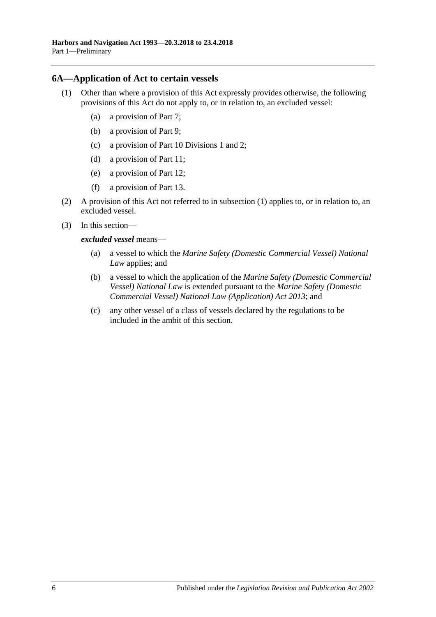#### <span id="page-11-1"></span><span id="page-11-0"></span>**6A—Application of Act to certain vessels**

- (1) Other than where a provision of this Act expressly provides otherwise, the following provisions of this Act do not apply to, or in relation to, an excluded vessel:
	- (a) a provision of [Part 7;](#page-34-0)
	- (b) a provision of [Part 9;](#page-42-0)
	- (c) a provision of [Part 10 Divisions 1](#page-46-1) and [2;](#page-47-1)
	- (d) a provision of [Part 11;](#page-64-0)
	- (e) a provision of [Part 12;](#page-66-0)
	- (f) a provision of [Part 13.](#page-68-0)
- (2) A provision of this Act not referred to in [subsection](#page-11-1) (1) applies to, or in relation to, an excluded vessel.
- (3) In this section
	- *excluded vessel* means—
		- (a) a vessel to which the *Marine Safety (Domestic Commercial Vessel) National Law* applies; and
		- (b) a vessel to which the application of the *Marine Safety (Domestic Commercial Vessel) National Law* is extended pursuant to the *[Marine Safety \(Domestic](http://www.legislation.sa.gov.au/index.aspx?action=legref&type=act&legtitle=Marine%20Safety%20(Domestic%20Commercial%20Vessel)%20National%20Law%20(Application)%20Act%202013)  [Commercial Vessel\) National Law \(Application\) Act](http://www.legislation.sa.gov.au/index.aspx?action=legref&type=act&legtitle=Marine%20Safety%20(Domestic%20Commercial%20Vessel)%20National%20Law%20(Application)%20Act%202013) 2013*; and
		- (c) any other vessel of a class of vessels declared by the regulations to be included in the ambit of this section.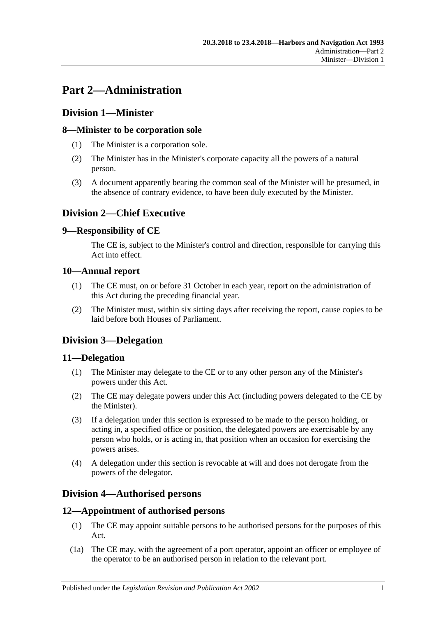# <span id="page-12-0"></span>**Part 2—Administration**

# <span id="page-12-1"></span>**Division 1—Minister**

## <span id="page-12-2"></span>**8—Minister to be corporation sole**

- (1) The Minister is a corporation sole.
- (2) The Minister has in the Minister's corporate capacity all the powers of a natural person.
- (3) A document apparently bearing the common seal of the Minister will be presumed, in the absence of contrary evidence, to have been duly executed by the Minister.

# <span id="page-12-3"></span>**Division 2—Chief Executive**

## <span id="page-12-4"></span>**9—Responsibility of CE**

The CE is, subject to the Minister's control and direction, responsible for carrying this Act into effect.

## <span id="page-12-5"></span>**10—Annual report**

- (1) The CE must, on or before 31 October in each year, report on the administration of this Act during the preceding financial year.
- (2) The Minister must, within six sitting days after receiving the report, cause copies to be laid before both Houses of Parliament.

## <span id="page-12-6"></span>**Division 3—Delegation**

## <span id="page-12-7"></span>**11—Delegation**

- (1) The Minister may delegate to the CE or to any other person any of the Minister's powers under this Act.
- (2) The CE may delegate powers under this Act (including powers delegated to the CE by the Minister).
- (3) If a delegation under this section is expressed to be made to the person holding, or acting in, a specified office or position, the delegated powers are exercisable by any person who holds, or is acting in, that position when an occasion for exercising the powers arises.
- (4) A delegation under this section is revocable at will and does not derogate from the powers of the delegator.

## <span id="page-12-8"></span>**Division 4—Authorised persons**

## <span id="page-12-9"></span>**12—Appointment of authorised persons**

- (1) The CE may appoint suitable persons to be authorised persons for the purposes of this Act.
- (1a) The CE may, with the agreement of a port operator, appoint an officer or employee of the operator to be an authorised person in relation to the relevant port.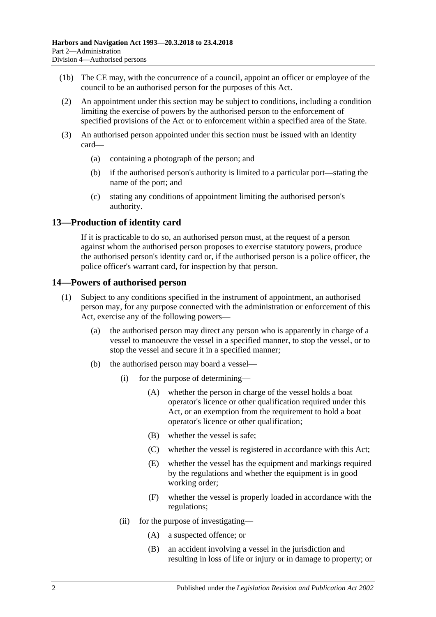- (1b) The CE may, with the concurrence of a council, appoint an officer or employee of the council to be an authorised person for the purposes of this Act.
- (2) An appointment under this section may be subject to conditions, including a condition limiting the exercise of powers by the authorised person to the enforcement of specified provisions of the Act or to enforcement within a specified area of the State.
- (3) An authorised person appointed under this section must be issued with an identity card—
	- (a) containing a photograph of the person; and
	- (b) if the authorised person's authority is limited to a particular port—stating the name of the port; and
	- (c) stating any conditions of appointment limiting the authorised person's authority.

## <span id="page-13-0"></span>**13—Production of identity card**

If it is practicable to do so, an authorised person must, at the request of a person against whom the authorised person proposes to exercise statutory powers, produce the authorised person's identity card or, if the authorised person is a police officer, the police officer's warrant card, for inspection by that person.

## <span id="page-13-1"></span>**14—Powers of authorised person**

- (1) Subject to any conditions specified in the instrument of appointment, an authorised person may, for any purpose connected with the administration or enforcement of this Act, exercise any of the following powers—
	- (a) the authorised person may direct any person who is apparently in charge of a vessel to manoeuvre the vessel in a specified manner, to stop the vessel, or to stop the vessel and secure it in a specified manner;
	- (b) the authorised person may board a vessel—
		- (i) for the purpose of determining—
			- (A) whether the person in charge of the vessel holds a boat operator's licence or other qualification required under this Act, or an exemption from the requirement to hold a boat operator's licence or other qualification;
			- (B) whether the vessel is safe;
			- (C) whether the vessel is registered in accordance with this Act;
			- (E) whether the vessel has the equipment and markings required by the regulations and whether the equipment is in good working order;
			- (F) whether the vessel is properly loaded in accordance with the regulations;
		- (ii) for the purpose of investigating—
			- (A) a suspected offence; or
			- (B) an accident involving a vessel in the jurisdiction and resulting in loss of life or injury or in damage to property; or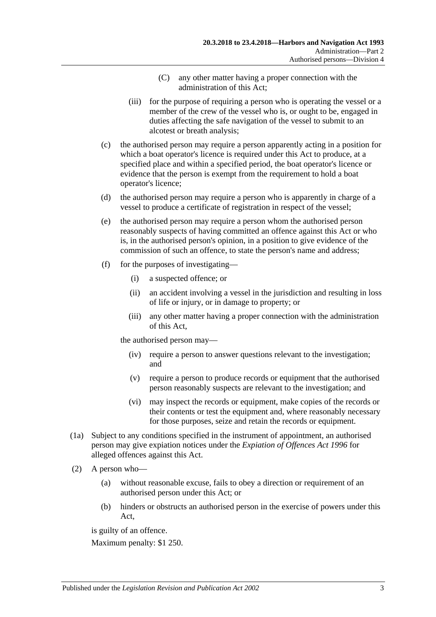- (C) any other matter having a proper connection with the administration of this Act;
- (iii) for the purpose of requiring a person who is operating the vessel or a member of the crew of the vessel who is, or ought to be, engaged in duties affecting the safe navigation of the vessel to submit to an alcotest or breath analysis;
- (c) the authorised person may require a person apparently acting in a position for which a boat operator's licence is required under this Act to produce, at a specified place and within a specified period, the boat operator's licence or evidence that the person is exempt from the requirement to hold a boat operator's licence;
- (d) the authorised person may require a person who is apparently in charge of a vessel to produce a certificate of registration in respect of the vessel;
- (e) the authorised person may require a person whom the authorised person reasonably suspects of having committed an offence against this Act or who is, in the authorised person's opinion, in a position to give evidence of the commission of such an offence, to state the person's name and address;
- (f) for the purposes of investigating—
	- (i) a suspected offence; or
	- (ii) an accident involving a vessel in the jurisdiction and resulting in loss of life or injury, or in damage to property; or
	- (iii) any other matter having a proper connection with the administration of this Act,

the authorised person may—

- (iv) require a person to answer questions relevant to the investigation; and
- (v) require a person to produce records or equipment that the authorised person reasonably suspects are relevant to the investigation; and
- (vi) may inspect the records or equipment, make copies of the records or their contents or test the equipment and, where reasonably necessary for those purposes, seize and retain the records or equipment.
- (1a) Subject to any conditions specified in the instrument of appointment, an authorised person may give expiation notices under the *[Expiation of Offences Act](http://www.legislation.sa.gov.au/index.aspx?action=legref&type=act&legtitle=Expiation%20of%20Offences%20Act%201996) 1996* for alleged offences against this Act.
- (2) A person who—
	- (a) without reasonable excuse, fails to obey a direction or requirement of an authorised person under this Act; or
	- (b) hinders or obstructs an authorised person in the exercise of powers under this Act,

is guilty of an offence.

Maximum penalty: \$1 250.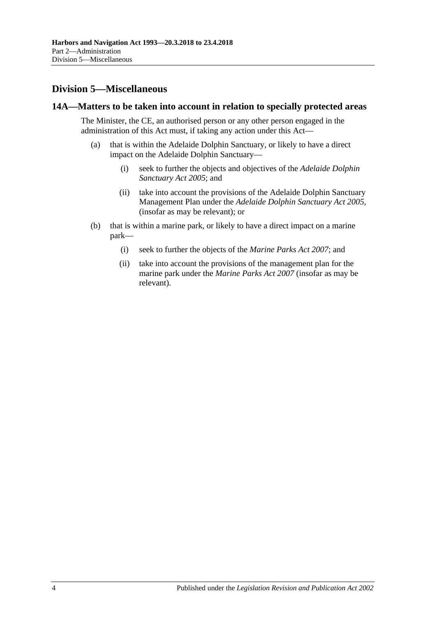# <span id="page-15-0"></span>**Division 5—Miscellaneous**

## <span id="page-15-1"></span>**14A—Matters to be taken into account in relation to specially protected areas**

The Minister, the CE, an authorised person or any other person engaged in the administration of this Act must, if taking any action under this Act—

- (a) that is within the Adelaide Dolphin Sanctuary, or likely to have a direct impact on the Adelaide Dolphin Sanctuary—
	- (i) seek to further the objects and objectives of the *[Adelaide Dolphin](http://www.legislation.sa.gov.au/index.aspx?action=legref&type=act&legtitle=Adelaide%20Dolphin%20Sanctuary%20Act%202005)  [Sanctuary Act](http://www.legislation.sa.gov.au/index.aspx?action=legref&type=act&legtitle=Adelaide%20Dolphin%20Sanctuary%20Act%202005) 2005*; and
	- (ii) take into account the provisions of the Adelaide Dolphin Sanctuary Management Plan under the *[Adelaide Dolphin Sanctuary Act](http://www.legislation.sa.gov.au/index.aspx?action=legref&type=act&legtitle=Adelaide%20Dolphin%20Sanctuary%20Act%202005) 2005*, (insofar as may be relevant); or
- (b) that is within a marine park, or likely to have a direct impact on a marine park—
	- (i) seek to further the objects of the *[Marine Parks Act](http://www.legislation.sa.gov.au/index.aspx?action=legref&type=act&legtitle=Marine%20Parks%20Act%202007) 2007*; and
	- (ii) take into account the provisions of the management plan for the marine park under the *[Marine Parks Act](http://www.legislation.sa.gov.au/index.aspx?action=legref&type=act&legtitle=Marine%20Parks%20Act%202007) 2007* (insofar as may be relevant).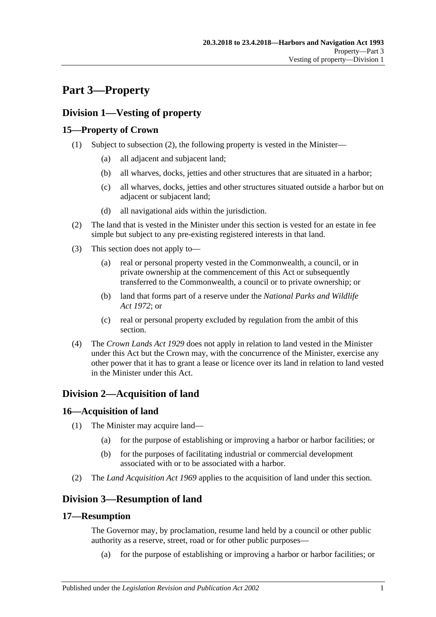# <span id="page-16-0"></span>**Part 3—Property**

# <span id="page-16-1"></span>**Division 1—Vesting of property**

## <span id="page-16-2"></span>**15—Property of Crown**

- (1) Subject to [subsection](#page-16-7) (2), the following property is vested in the Minister—
	- (a) all adjacent and subjacent land;
	- (b) all wharves, docks, jetties and other structures that are situated in a harbor;
	- (c) all wharves, docks, jetties and other structures situated outside a harbor but on adjacent or subjacent land;
	- (d) all navigational aids within the jurisdiction.
- <span id="page-16-7"></span>(2) The land that is vested in the Minister under this section is vested for an estate in fee simple but subject to any pre-existing registered interests in that land.
- (3) This section does not apply to—
	- (a) real or personal property vested in the Commonwealth, a council, or in private ownership at the commencement of this Act or subsequently transferred to the Commonwealth, a council or to private ownership; or
	- (b) land that forms part of a reserve under the *[National Parks and Wildlife](http://www.legislation.sa.gov.au/index.aspx?action=legref&type=act&legtitle=National%20Parks%20and%20Wildlife%20Act%201972)  Act [1972](http://www.legislation.sa.gov.au/index.aspx?action=legref&type=act&legtitle=National%20Parks%20and%20Wildlife%20Act%201972)*; or
	- (c) real or personal property excluded by regulation from the ambit of this section.
- (4) The *[Crown Lands Act](http://www.legislation.sa.gov.au/index.aspx?action=legref&type=act&legtitle=Crown%20Lands%20Act%201929) 1929* does not apply in relation to land vested in the Minister under this Act but the Crown may, with the concurrence of the Minister, exercise any other power that it has to grant a lease or licence over its land in relation to land vested in the Minister under this Act.

# <span id="page-16-3"></span>**Division 2—Acquisition of land**

# <span id="page-16-4"></span>**16—Acquisition of land**

- (1) The Minister may acquire land—
	- (a) for the purpose of establishing or improving a harbor or harbor facilities; or
	- (b) for the purposes of facilitating industrial or commercial development associated with or to be associated with a harbor.
- (2) The *[Land Acquisition Act](http://www.legislation.sa.gov.au/index.aspx?action=legref&type=act&legtitle=Land%20Acquisition%20Act%201969) 1969* applies to the acquisition of land under this section.

# <span id="page-16-5"></span>**Division 3—Resumption of land**

## <span id="page-16-6"></span>**17—Resumption**

The Governor may, by proclamation, resume land held by a council or other public authority as a reserve, street, road or for other public purposes—

(a) for the purpose of establishing or improving a harbor or harbor facilities; or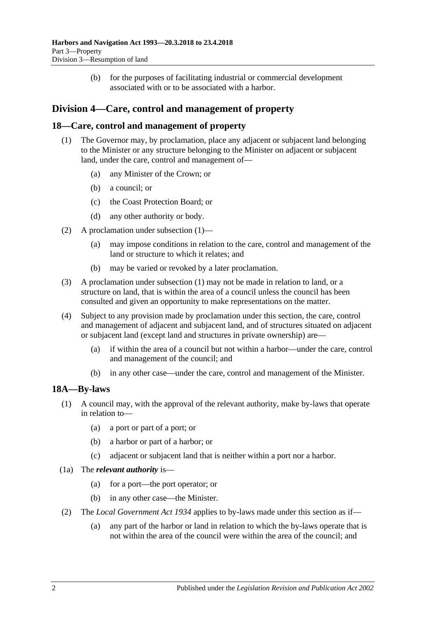(b) for the purposes of facilitating industrial or commercial development associated with or to be associated with a harbor.

# <span id="page-17-0"></span>**Division 4—Care, control and management of property**

## <span id="page-17-3"></span><span id="page-17-1"></span>**18—Care, control and management of property**

- (1) The Governor may, by proclamation, place any adjacent or subjacent land belonging to the Minister or any structure belonging to the Minister on adjacent or subjacent land, under the care, control and management of—
	- (a) any Minister of the Crown; or
	- (b) a council; or
	- (c) the Coast Protection Board; or
	- (d) any other authority or body.
- (2) A proclamation under [subsection](#page-17-3) (1)—
	- (a) may impose conditions in relation to the care, control and management of the land or structure to which it relates; and
	- (b) may be varied or revoked by a later proclamation.
- (3) A proclamation under [subsection](#page-17-3) (1) may not be made in relation to land, or a structure on land, that is within the area of a council unless the council has been consulted and given an opportunity to make representations on the matter.
- (4) Subject to any provision made by proclamation under this section, the care, control and management of adjacent and subjacent land, and of structures situated on adjacent or subjacent land (except land and structures in private ownership) are—
	- (a) if within the area of a council but not within a harbor—under the care, control and management of the council; and
	- (b) in any other case—under the care, control and management of the Minister.

## <span id="page-17-2"></span>**18A—By-laws**

- (1) A council may, with the approval of the relevant authority, make by-laws that operate in relation to—
	- (a) a port or part of a port; or
	- (b) a harbor or part of a harbor; or
	- (c) adjacent or subjacent land that is neither within a port nor a harbor.
- (1a) The *relevant authority* is—
	- (a) for a port—the port operator; or
	- (b) in any other case—the Minister.
- (2) The *[Local Government Act](http://www.legislation.sa.gov.au/index.aspx?action=legref&type=act&legtitle=Local%20Government%20Act%201934) 1934* applies to by-laws made under this section as if—
	- (a) any part of the harbor or land in relation to which the by-laws operate that is not within the area of the council were within the area of the council; and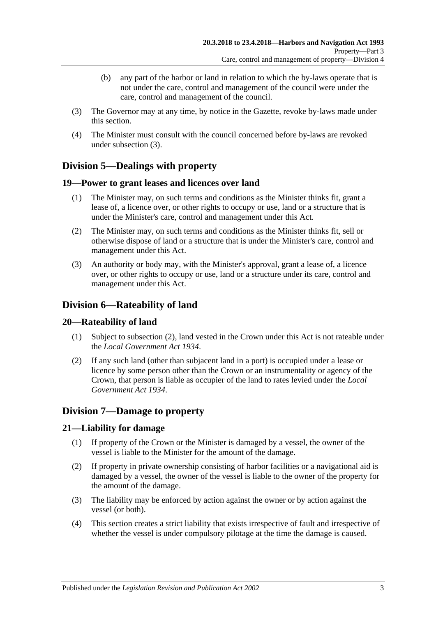- (b) any part of the harbor or land in relation to which the by-laws operate that is not under the care, control and management of the council were under the care, control and management of the council.
- <span id="page-18-6"></span>(3) The Governor may at any time, by notice in the Gazette, revoke by-laws made under this section.
- (4) The Minister must consult with the council concerned before by-laws are revoked under [subsection](#page-18-6) (3).

# <span id="page-18-0"></span>**Division 5—Dealings with property**

## <span id="page-18-1"></span>**19—Power to grant leases and licences over land**

- (1) The Minister may, on such terms and conditions as the Minister thinks fit, grant a lease of, a licence over, or other rights to occupy or use, land or a structure that is under the Minister's care, control and management under this Act.
- (2) The Minister may, on such terms and conditions as the Minister thinks fit, sell or otherwise dispose of land or a structure that is under the Minister's care, control and management under this Act.
- (3) An authority or body may, with the Minister's approval, grant a lease of, a licence over, or other rights to occupy or use, land or a structure under its care, control and management under this Act.

# <span id="page-18-2"></span>**Division 6—Rateability of land**

## <span id="page-18-3"></span>**20—Rateability of land**

- (1) Subject to [subsection](#page-18-7) (2), land vested in the Crown under this Act is not rateable under the *[Local Government Act](http://www.legislation.sa.gov.au/index.aspx?action=legref&type=act&legtitle=Local%20Government%20Act%201934) 1934*.
- <span id="page-18-7"></span>(2) If any such land (other than subjacent land in a port) is occupied under a lease or licence by some person other than the Crown or an instrumentality or agency of the Crown, that person is liable as occupier of the land to rates levied under the *[Local](http://www.legislation.sa.gov.au/index.aspx?action=legref&type=act&legtitle=Local%20Government%20Act%201934)  [Government Act](http://www.legislation.sa.gov.au/index.aspx?action=legref&type=act&legtitle=Local%20Government%20Act%201934) 1934*.

## <span id="page-18-4"></span>**Division 7—Damage to property**

## <span id="page-18-5"></span>**21—Liability for damage**

- (1) If property of the Crown or the Minister is damaged by a vessel, the owner of the vessel is liable to the Minister for the amount of the damage.
- (2) If property in private ownership consisting of harbor facilities or a navigational aid is damaged by a vessel, the owner of the vessel is liable to the owner of the property for the amount of the damage.
- (3) The liability may be enforced by action against the owner or by action against the vessel (or both).
- (4) This section creates a strict liability that exists irrespective of fault and irrespective of whether the vessel is under compulsory pilotage at the time the damage is caused.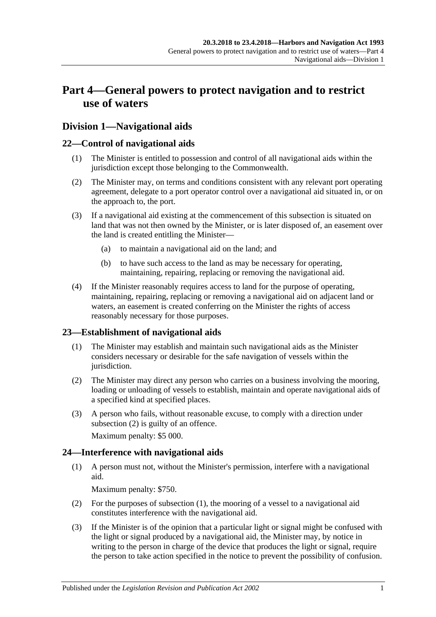# <span id="page-20-0"></span>**Part 4—General powers to protect navigation and to restrict use of waters**

## <span id="page-20-1"></span>**Division 1—Navigational aids**

## <span id="page-20-2"></span>**22—Control of navigational aids**

- (1) The Minister is entitled to possession and control of all navigational aids within the jurisdiction except those belonging to the Commonwealth.
- (2) The Minister may, on terms and conditions consistent with any relevant port operating agreement, delegate to a port operator control over a navigational aid situated in, or on the approach to, the port.
- (3) If a navigational aid existing at the commencement of this subsection is situated on land that was not then owned by the Minister, or is later disposed of, an easement over the land is created entitling the Minister—
	- (a) to maintain a navigational aid on the land; and
	- (b) to have such access to the land as may be necessary for operating, maintaining, repairing, replacing or removing the navigational aid.
- (4) If the Minister reasonably requires access to land for the purpose of operating, maintaining, repairing, replacing or removing a navigational aid on adjacent land or waters, an easement is created conferring on the Minister the rights of access reasonably necessary for those purposes.

## <span id="page-20-3"></span>**23—Establishment of navigational aids**

- (1) The Minister may establish and maintain such navigational aids as the Minister considers necessary or desirable for the safe navigation of vessels within the jurisdiction.
- <span id="page-20-5"></span>(2) The Minister may direct any person who carries on a business involving the mooring, loading or unloading of vessels to establish, maintain and operate navigational aids of a specified kind at specified places.
- (3) A person who fails, without reasonable excuse, to comply with a direction under [subsection](#page-20-5) (2) is guilty of an offence.

Maximum penalty: \$5 000.

## <span id="page-20-6"></span><span id="page-20-4"></span>**24—Interference with navigational aids**

(1) A person must not, without the Minister's permission, interfere with a navigational aid.

Maximum penalty: \$750.

- (2) For the purposes of [subsection](#page-20-6) (1), the mooring of a vessel to a navigational aid constitutes interference with the navigational aid.
- <span id="page-20-7"></span>(3) If the Minister is of the opinion that a particular light or signal might be confused with the light or signal produced by a navigational aid, the Minister may, by notice in writing to the person in charge of the device that produces the light or signal, require the person to take action specified in the notice to prevent the possibility of confusion.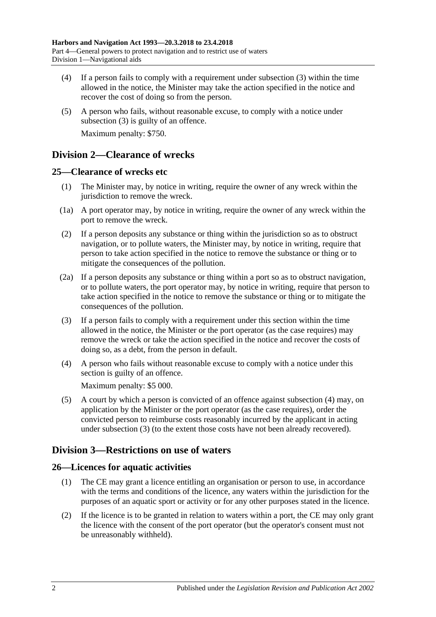- (4) If a person fails to comply with a requirement under [subsection](#page-20-7) (3) within the time allowed in the notice, the Minister may take the action specified in the notice and recover the cost of doing so from the person.
- (5) A person who fails, without reasonable excuse, to comply with a notice under [subsection](#page-20-7) (3) is guilty of an offence. Maximum penalty: \$750.

## <span id="page-21-0"></span>**Division 2—Clearance of wrecks**

## <span id="page-21-1"></span>**25—Clearance of wrecks etc**

- (1) The Minister may, by notice in writing, require the owner of any wreck within the jurisdiction to remove the wreck.
- (1a) A port operator may, by notice in writing, require the owner of any wreck within the port to remove the wreck.
- (2) If a person deposits any substance or thing within the jurisdiction so as to obstruct navigation, or to pollute waters, the Minister may, by notice in writing, require that person to take action specified in the notice to remove the substance or thing or to mitigate the consequences of the pollution.
- (2a) If a person deposits any substance or thing within a port so as to obstruct navigation, or to pollute waters, the port operator may, by notice in writing, require that person to take action specified in the notice to remove the substance or thing or to mitigate the consequences of the pollution.
- <span id="page-21-5"></span>(3) If a person fails to comply with a requirement under this section within the time allowed in the notice, the Minister or the port operator (as the case requires) may remove the wreck or take the action specified in the notice and recover the costs of doing so, as a debt, from the person in default.
- <span id="page-21-4"></span>(4) A person who fails without reasonable excuse to comply with a notice under this section is guilty of an offence.

Maximum penalty: \$5 000.

(5) A court by which a person is convicted of an offence against [subsection](#page-21-4) (4) may, on application by the Minister or the port operator (as the case requires), order the convicted person to reimburse costs reasonably incurred by the applicant in acting under [subsection](#page-21-5) (3) (to the extent those costs have not been already recovered).

# <span id="page-21-2"></span>**Division 3—Restrictions on use of waters**

## <span id="page-21-3"></span>**26—Licences for aquatic activities**

- (1) The CE may grant a licence entitling an organisation or person to use, in accordance with the terms and conditions of the licence, any waters within the jurisdiction for the purposes of an aquatic sport or activity or for any other purposes stated in the licence.
- (2) If the licence is to be granted in relation to waters within a port, the CE may only grant the licence with the consent of the port operator (but the operator's consent must not be unreasonably withheld).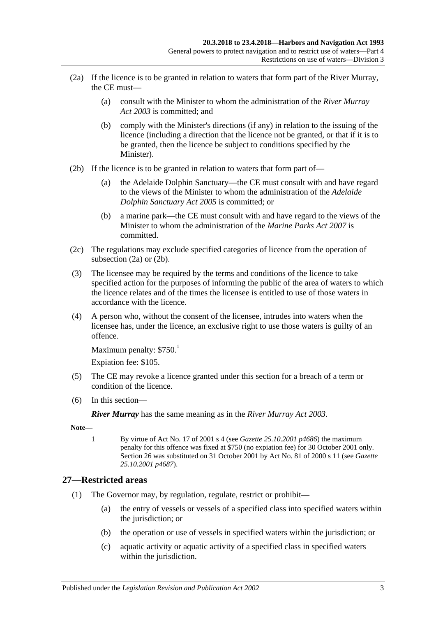- <span id="page-22-1"></span>(2a) If the licence is to be granted in relation to waters that form part of the River Murray, the CE must—
	- (a) consult with the Minister to whom the administration of the *[River Murray](http://www.legislation.sa.gov.au/index.aspx?action=legref&type=act&legtitle=River%20Murray%20Act%202003)  Act [2003](http://www.legislation.sa.gov.au/index.aspx?action=legref&type=act&legtitle=River%20Murray%20Act%202003)* is committed; and
	- (b) comply with the Minister's directions (if any) in relation to the issuing of the licence (including a direction that the licence not be granted, or that if it is to be granted, then the licence be subject to conditions specified by the Minister).
- <span id="page-22-2"></span>(2b) If the licence is to be granted in relation to waters that form part of—
	- (a) the Adelaide Dolphin Sanctuary—the CE must consult with and have regard to the views of the Minister to whom the administration of the *[Adelaide](http://www.legislation.sa.gov.au/index.aspx?action=legref&type=act&legtitle=Adelaide%20Dolphin%20Sanctuary%20Act%202005)  [Dolphin Sanctuary Act](http://www.legislation.sa.gov.au/index.aspx?action=legref&type=act&legtitle=Adelaide%20Dolphin%20Sanctuary%20Act%202005) 2005* is committed; or
	- (b) a marine park—the CE must consult with and have regard to the views of the Minister to whom the administration of the *[Marine Parks Act](http://www.legislation.sa.gov.au/index.aspx?action=legref&type=act&legtitle=Marine%20Parks%20Act%202007) 2007* is committed.
- (2c) The regulations may exclude specified categories of licence from the operation of [subsection](#page-22-1) (2a) or [\(2b\).](#page-22-2)
- (3) The licensee may be required by the terms and conditions of the licence to take specified action for the purposes of informing the public of the area of waters to which the licence relates and of the times the licensee is entitled to use of those waters in accordance with the licence.
- (4) A person who, without the consent of the licensee, intrudes into waters when the licensee has, under the licence, an exclusive right to use those waters is guilty of an offence.

```
Maximum penalty: $750<sup>1</sup>
```
Expiation fee: \$105.

- (5) The CE may revoke a licence granted under this section for a breach of a term or condition of the licence.
- (6) In this section—

*River Murray* has the same meaning as in the *[River Murray Act](http://www.legislation.sa.gov.au/index.aspx?action=legref&type=act&legtitle=River%20Murray%20Act%202003) 2003*.

**Note—**

1 By virtue of Act No. 17 of 2001 s 4 (see *Gazette 25.10.2001 p4686*) the maximum penalty for this offence was fixed at \$750 (no expiation fee) for 30 October 2001 only. Section 26 was substituted on 31 October 2001 by Act No. 81 of 2000 s 11 (see *Gazette 25.10.2001 p4687*).

## <span id="page-22-3"></span><span id="page-22-0"></span>**27—Restricted areas**

- (1) The Governor may, by regulation, regulate, restrict or prohibit—
	- (a) the entry of vessels or vessels of a specified class into specified waters within the jurisdiction; or
	- (b) the operation or use of vessels in specified waters within the jurisdiction; or
	- (c) aquatic activity or aquatic activity of a specified class in specified waters within the jurisdiction.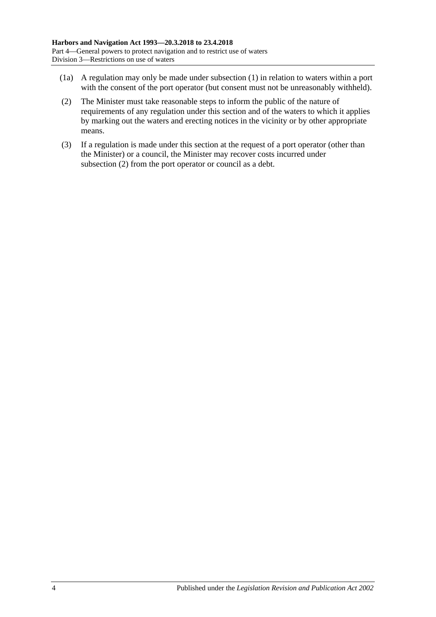- (1a) A regulation may only be made under [subsection](#page-22-3) (1) in relation to waters within a port with the consent of the port operator (but consent must not be unreasonably withheld).
- <span id="page-23-0"></span>(2) The Minister must take reasonable steps to inform the public of the nature of requirements of any regulation under this section and of the waters to which it applies by marking out the waters and erecting notices in the vicinity or by other appropriate means.
- (3) If a regulation is made under this section at the request of a port operator (other than the Minister) or a council, the Minister may recover costs incurred under [subsection](#page-23-0) (2) from the port operator or council as a debt.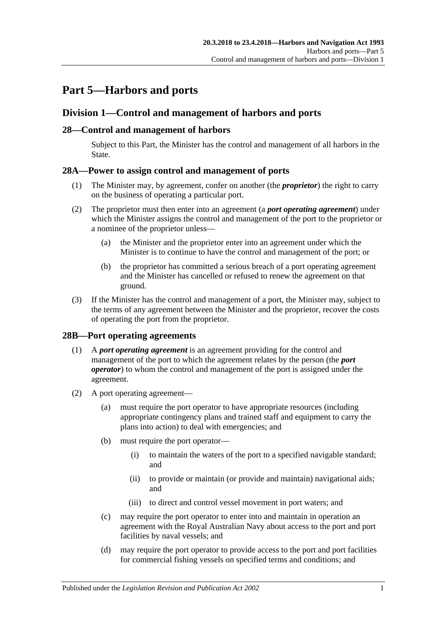# <span id="page-24-0"></span>**Part 5—Harbors and ports**

## <span id="page-24-1"></span>**Division 1—Control and management of harbors and ports**

## <span id="page-24-2"></span>**28—Control and management of harbors**

Subject to this Part, the Minister has the control and management of all harbors in the State.

## <span id="page-24-3"></span>**28A—Power to assign control and management of ports**

- (1) The Minister may, by agreement, confer on another (the *proprietor*) the right to carry on the business of operating a particular port.
- (2) The proprietor must then enter into an agreement (a *port operating agreement*) under which the Minister assigns the control and management of the port to the proprietor or a nominee of the proprietor unless—
	- (a) the Minister and the proprietor enter into an agreement under which the Minister is to continue to have the control and management of the port; or
	- (b) the proprietor has committed a serious breach of a port operating agreement and the Minister has cancelled or refused to renew the agreement on that ground.
- (3) If the Minister has the control and management of a port, the Minister may, subject to the terms of any agreement between the Minister and the proprietor, recover the costs of operating the port from the proprietor.

## <span id="page-24-4"></span>**28B—Port operating agreements**

- (1) A *port operating agreement* is an agreement providing for the control and management of the port to which the agreement relates by the person (the *port operator*) to whom the control and management of the port is assigned under the agreement.
- (2) A port operating agreement—
	- (a) must require the port operator to have appropriate resources (including appropriate contingency plans and trained staff and equipment to carry the plans into action) to deal with emergencies; and
	- (b) must require the port operator—
		- (i) to maintain the waters of the port to a specified navigable standard; and
		- (ii) to provide or maintain (or provide and maintain) navigational aids; and
		- (iii) to direct and control vessel movement in port waters; and
	- (c) may require the port operator to enter into and maintain in operation an agreement with the Royal Australian Navy about access to the port and port facilities by naval vessels; and
	- (d) may require the port operator to provide access to the port and port facilities for commercial fishing vessels on specified terms and conditions; and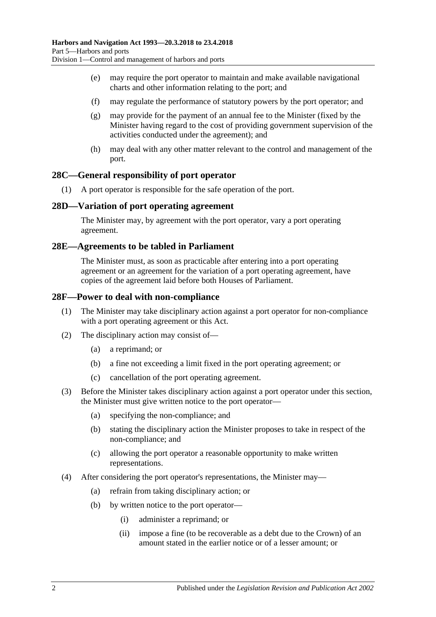- (e) may require the port operator to maintain and make available navigational charts and other information relating to the port; and
- (f) may regulate the performance of statutory powers by the port operator; and
- (g) may provide for the payment of an annual fee to the Minister (fixed by the Minister having regard to the cost of providing government supervision of the activities conducted under the agreement); and
- (h) may deal with any other matter relevant to the control and management of the port.

#### <span id="page-25-0"></span>**28C—General responsibility of port operator**

(1) A port operator is responsible for the safe operation of the port.

#### <span id="page-25-1"></span>**28D—Variation of port operating agreement**

The Minister may, by agreement with the port operator, vary a port operating agreement.

#### <span id="page-25-2"></span>**28E—Agreements to be tabled in Parliament**

The Minister must, as soon as practicable after entering into a port operating agreement or an agreement for the variation of a port operating agreement, have copies of the agreement laid before both Houses of Parliament.

#### <span id="page-25-3"></span>**28F—Power to deal with non-compliance**

- (1) The Minister may take disciplinary action against a port operator for non-compliance with a port operating agreement or this Act.
- (2) The disciplinary action may consist of—
	- (a) a reprimand; or
	- (b) a fine not exceeding a limit fixed in the port operating agreement; or
	- (c) cancellation of the port operating agreement.
- (3) Before the Minister takes disciplinary action against a port operator under this section, the Minister must give written notice to the port operator—
	- (a) specifying the non-compliance; and
	- (b) stating the disciplinary action the Minister proposes to take in respect of the non-compliance; and
	- (c) allowing the port operator a reasonable opportunity to make written representations.
- (4) After considering the port operator's representations, the Minister may—
	- (a) refrain from taking disciplinary action; or
	- (b) by written notice to the port operator—
		- (i) administer a reprimand; or
		- (ii) impose a fine (to be recoverable as a debt due to the Crown) of an amount stated in the earlier notice or of a lesser amount; or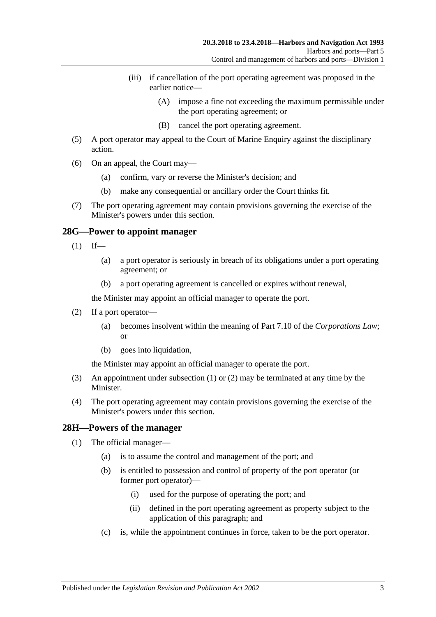- (iii) if cancellation of the port operating agreement was proposed in the earlier notice—
	- (A) impose a fine not exceeding the maximum permissible under the port operating agreement; or
	- (B) cancel the port operating agreement.
- (5) A port operator may appeal to the Court of Marine Enquiry against the disciplinary action.
- (6) On an appeal, the Court may—
	- (a) confirm, vary or reverse the Minister's decision; and
	- (b) make any consequential or ancillary order the Court thinks fit.
- (7) The port operating agreement may contain provisions governing the exercise of the Minister's powers under this section.

#### <span id="page-26-2"></span><span id="page-26-0"></span>**28G—Power to appoint manager**

- $(1)$  If—
	- (a) a port operator is seriously in breach of its obligations under a port operating agreement; or
	- (b) a port operating agreement is cancelled or expires without renewal,

the Minister may appoint an official manager to operate the port.

- <span id="page-26-3"></span>(2) If a port operator—
	- (a) becomes insolvent within the meaning of Part 7.10 of the *Corporations Law*; or
	- (b) goes into liquidation,

the Minister may appoint an official manager to operate the port.

- (3) An appointment under [subsection](#page-26-2) (1) or [\(2\)](#page-26-3) may be terminated at any time by the Minister.
- (4) The port operating agreement may contain provisions governing the exercise of the Minister's powers under this section.

#### <span id="page-26-4"></span><span id="page-26-1"></span>**28H—Powers of the manager**

- (1) The official manager—
	- (a) is to assume the control and management of the port; and
	- (b) is entitled to possession and control of property of the port operator (or former port operator)—
		- (i) used for the purpose of operating the port; and
		- (ii) defined in the port operating agreement as property subject to the application of this paragraph; and
	- (c) is, while the appointment continues in force, taken to be the port operator.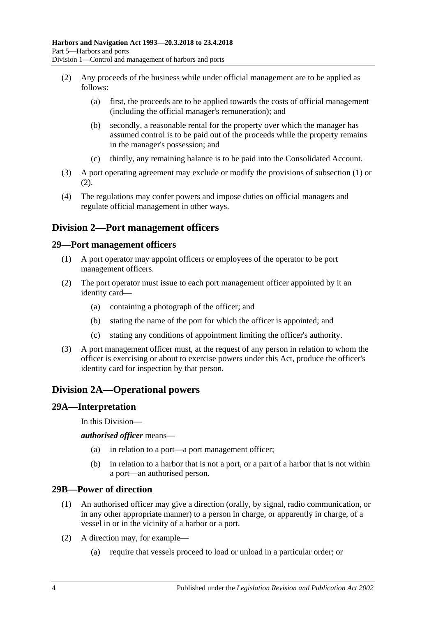- <span id="page-27-5"></span>(2) Any proceeds of the business while under official management are to be applied as follows:
	- (a) first, the proceeds are to be applied towards the costs of official management (including the official manager's remuneration); and
	- (b) secondly, a reasonable rental for the property over which the manager has assumed control is to be paid out of the proceeds while the property remains in the manager's possession; and
	- (c) thirdly, any remaining balance is to be paid into the Consolidated Account.
- (3) A port operating agreement may exclude or modify the provisions of [subsection](#page-26-4) (1) or [\(2\).](#page-27-5)
- (4) The regulations may confer powers and impose duties on official managers and regulate official management in other ways.

## <span id="page-27-0"></span>**Division 2—Port management officers**

#### <span id="page-27-1"></span>**29—Port management officers**

- (1) A port operator may appoint officers or employees of the operator to be port management officers.
- (2) The port operator must issue to each port management officer appointed by it an identity card—
	- (a) containing a photograph of the officer; and
	- (b) stating the name of the port for which the officer is appointed; and
	- (c) stating any conditions of appointment limiting the officer's authority.
- (3) A port management officer must, at the request of any person in relation to whom the officer is exercising or about to exercise powers under this Act, produce the officer's identity card for inspection by that person.

## <span id="page-27-2"></span>**Division 2A—Operational powers**

#### <span id="page-27-3"></span>**29A—Interpretation**

In this Division—

*authorised officer* means—

- (a) in relation to a port—a port management officer;
- (b) in relation to a harbor that is not a port, or a part of a harbor that is not within a port—an authorised person.

#### <span id="page-27-4"></span>**29B—Power of direction**

- (1) An authorised officer may give a direction (orally, by signal, radio communication, or in any other appropriate manner) to a person in charge, or apparently in charge, of a vessel in or in the vicinity of a harbor or a port.
- (2) A direction may, for example—
	- (a) require that vessels proceed to load or unload in a particular order; or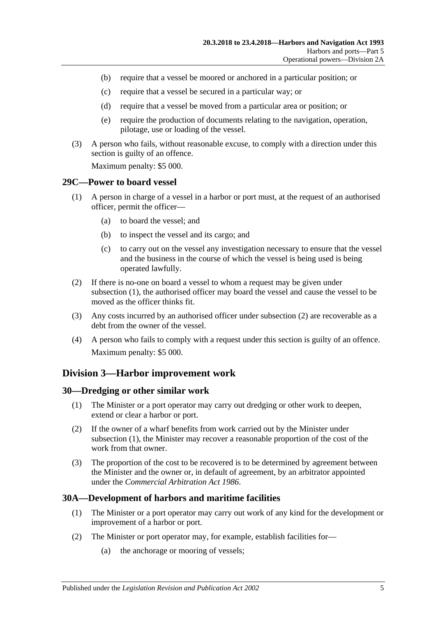- (b) require that a vessel be moored or anchored in a particular position; or
- (c) require that a vessel be secured in a particular way; or
- (d) require that a vessel be moved from a particular area or position; or
- (e) require the production of documents relating to the navigation, operation, pilotage, use or loading of the vessel.
- (3) A person who fails, without reasonable excuse, to comply with a direction under this section is guilty of an offence.

Maximum penalty: \$5 000.

#### <span id="page-28-4"></span><span id="page-28-0"></span>**29C—Power to board vessel**

- (1) A person in charge of a vessel in a harbor or port must, at the request of an authorised officer, permit the officer—
	- (a) to board the vessel; and
	- (b) to inspect the vessel and its cargo; and
	- (c) to carry out on the vessel any investigation necessary to ensure that the vessel and the business in the course of which the vessel is being used is being operated lawfully.
- <span id="page-28-5"></span>(2) If there is no-one on board a vessel to whom a request may be given under [subsection](#page-28-4) (1), the authorised officer may board the vessel and cause the vessel to be moved as the officer thinks fit.
- (3) Any costs incurred by an authorised officer under [subsection](#page-28-5) (2) are recoverable as a debt from the owner of the vessel.
- (4) A person who fails to comply with a request under this section is guilty of an offence. Maximum penalty: \$5 000.

## <span id="page-28-1"></span>**Division 3—Harbor improvement work**

#### <span id="page-28-6"></span><span id="page-28-2"></span>**30—Dredging or other similar work**

- (1) The Minister or a port operator may carry out dredging or other work to deepen, extend or clear a harbor or port.
- (2) If the owner of a wharf benefits from work carried out by the Minister under [subsection](#page-28-6) (1), the Minister may recover a reasonable proportion of the cost of the work from that owner.
- (3) The proportion of the cost to be recovered is to be determined by agreement between the Minister and the owner or, in default of agreement, by an arbitrator appointed under the *[Commercial Arbitration Act](http://www.legislation.sa.gov.au/index.aspx?action=legref&type=act&legtitle=Commercial%20Arbitration%20Act%201986) 1986*.

## <span id="page-28-3"></span>**30A—Development of harbors and maritime facilities**

- (1) The Minister or a port operator may carry out work of any kind for the development or improvement of a harbor or port.
- (2) The Minister or port operator may, for example, establish facilities for—
	- (a) the anchorage or mooring of vessels;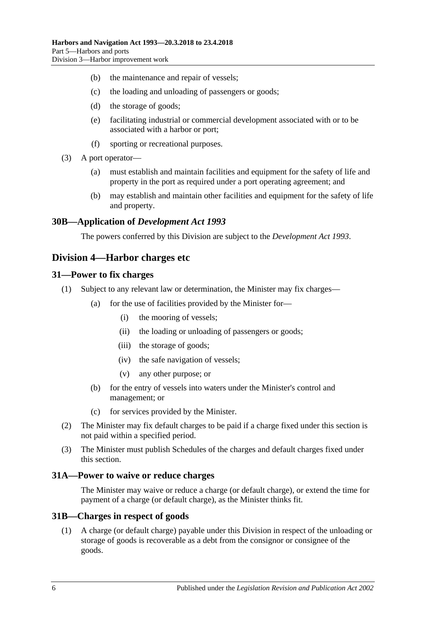- (b) the maintenance and repair of vessels;
- (c) the loading and unloading of passengers or goods;
- (d) the storage of goods;
- (e) facilitating industrial or commercial development associated with or to be associated with a harbor or port;
- (f) sporting or recreational purposes.
- (3) A port operator—
	- (a) must establish and maintain facilities and equipment for the safety of life and property in the port as required under a port operating agreement; and
	- (b) may establish and maintain other facilities and equipment for the safety of life and property.

#### <span id="page-29-0"></span>**30B—Application of** *Development Act 1993*

The powers conferred by this Division are subject to the *[Development Act](http://www.legislation.sa.gov.au/index.aspx?action=legref&type=act&legtitle=Development%20Act%201993) 1993*.

## <span id="page-29-1"></span>**Division 4—Harbor charges etc**

#### <span id="page-29-2"></span>**31—Power to fix charges**

- (1) Subject to any relevant law or determination, the Minister may fix charges—
	- (a) for the use of facilities provided by the Minister for—
		- (i) the mooring of vessels;
		- (ii) the loading or unloading of passengers or goods;
		- (iii) the storage of goods;
		- (iv) the safe navigation of vessels;
		- (v) any other purpose; or
	- (b) for the entry of vessels into waters under the Minister's control and management; or
	- (c) for services provided by the Minister.
- (2) The Minister may fix default charges to be paid if a charge fixed under this section is not paid within a specified period.
- (3) The Minister must publish Schedules of the charges and default charges fixed under this section.

#### <span id="page-29-3"></span>**31A—Power to waive or reduce charges**

The Minister may waive or reduce a charge (or default charge), or extend the time for payment of a charge (or default charge), as the Minister thinks fit.

#### <span id="page-29-4"></span>**31B—Charges in respect of goods**

(1) A charge (or default charge) payable under this Division in respect of the unloading or storage of goods is recoverable as a debt from the consignor or consignee of the goods.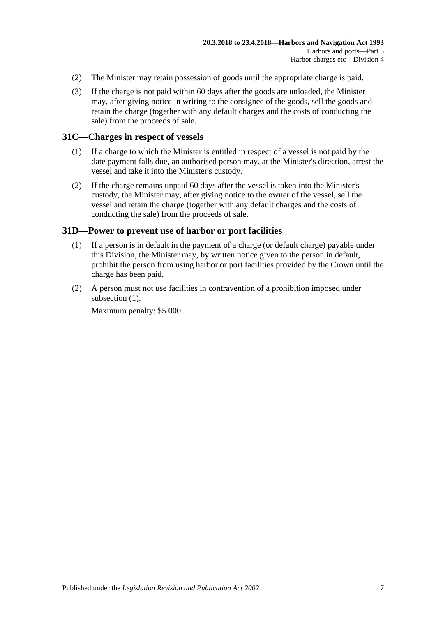- (2) The Minister may retain possession of goods until the appropriate charge is paid.
- (3) If the charge is not paid within 60 days after the goods are unloaded, the Minister may, after giving notice in writing to the consignee of the goods, sell the goods and retain the charge (together with any default charges and the costs of conducting the sale) from the proceeds of sale.

## <span id="page-30-0"></span>**31C—Charges in respect of vessels**

- (1) If a charge to which the Minister is entitled in respect of a vessel is not paid by the date payment falls due, an authorised person may, at the Minister's direction, arrest the vessel and take it into the Minister's custody.
- (2) If the charge remains unpaid 60 days after the vessel is taken into the Minister's custody, the Minister may, after giving notice to the owner of the vessel, sell the vessel and retain the charge (together with any default charges and the costs of conducting the sale) from the proceeds of sale.

## <span id="page-30-2"></span><span id="page-30-1"></span>**31D—Power to prevent use of harbor or port facilities**

- (1) If a person is in default in the payment of a charge (or default charge) payable under this Division, the Minister may, by written notice given to the person in default, prohibit the person from using harbor or port facilities provided by the Crown until the charge has been paid.
- (2) A person must not use facilities in contravention of a prohibition imposed under [subsection](#page-30-2)  $(1)$ .

Maximum penalty: \$5 000.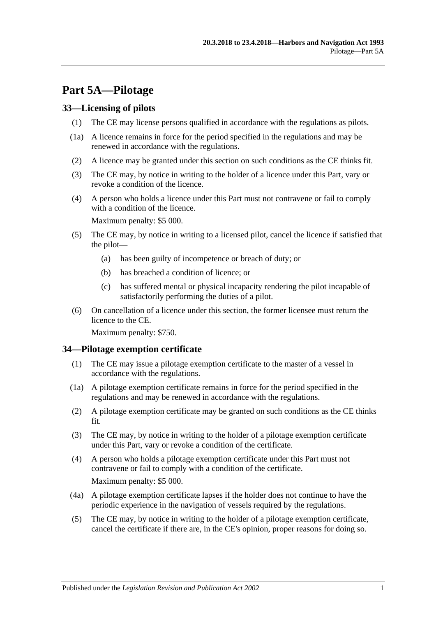# <span id="page-32-0"></span>**Part 5A—Pilotage**

## <span id="page-32-1"></span>**33—Licensing of pilots**

- (1) The CE may license persons qualified in accordance with the regulations as pilots.
- (1a) A licence remains in force for the period specified in the regulations and may be renewed in accordance with the regulations.
- (2) A licence may be granted under this section on such conditions as the CE thinks fit.
- (3) The CE may, by notice in writing to the holder of a licence under this Part, vary or revoke a condition of the licence.
- (4) A person who holds a licence under this Part must not contravene or fail to comply with a condition of the licence.

Maximum penalty: \$5 000.

- (5) The CE may, by notice in writing to a licensed pilot, cancel the licence if satisfied that the pilot—
	- (a) has been guilty of incompetence or breach of duty; or
	- (b) has breached a condition of licence; or
	- (c) has suffered mental or physical incapacity rendering the pilot incapable of satisfactorily performing the duties of a pilot.
- (6) On cancellation of a licence under this section, the former licensee must return the licence to the CE.

Maximum penalty: \$750.

## <span id="page-32-2"></span>**34—Pilotage exemption certificate**

- (1) The CE may issue a pilotage exemption certificate to the master of a vessel in accordance with the regulations.
- (1a) A pilotage exemption certificate remains in force for the period specified in the regulations and may be renewed in accordance with the regulations.
- (2) A pilotage exemption certificate may be granted on such conditions as the CE thinks fit.
- (3) The CE may, by notice in writing to the holder of a pilotage exemption certificate under this Part, vary or revoke a condition of the certificate.
- (4) A person who holds a pilotage exemption certificate under this Part must not contravene or fail to comply with a condition of the certificate. Maximum penalty: \$5 000.
- (4a) A pilotage exemption certificate lapses if the holder does not continue to have the periodic experience in the navigation of vessels required by the regulations.
- (5) The CE may, by notice in writing to the holder of a pilotage exemption certificate, cancel the certificate if there are, in the CE's opinion, proper reasons for doing so.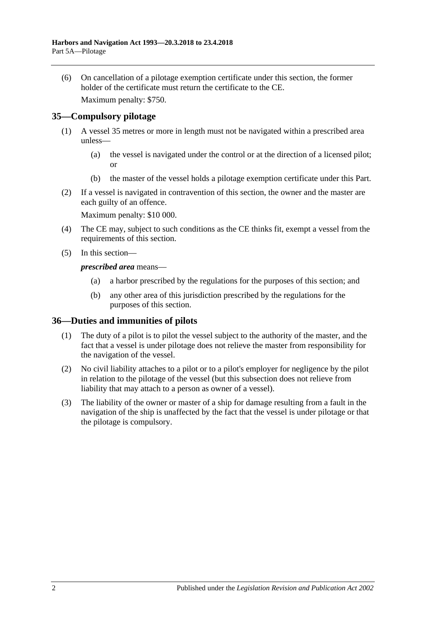(6) On cancellation of a pilotage exemption certificate under this section, the former holder of the certificate must return the certificate to the CE.

Maximum penalty: \$750.

## <span id="page-33-0"></span>**35—Compulsory pilotage**

- (1) A vessel 35 metres or more in length must not be navigated within a prescribed area unless—
	- (a) the vessel is navigated under the control or at the direction of a licensed pilot; or
	- (b) the master of the vessel holds a pilotage exemption certificate under this Part.
- (2) If a vessel is navigated in contravention of this section, the owner and the master are each guilty of an offence.

Maximum penalty: \$10 000.

- (4) The CE may, subject to such conditions as the CE thinks fit, exempt a vessel from the requirements of this section.
- (5) In this section—

#### *prescribed area* means—

- (a) a harbor prescribed by the regulations for the purposes of this section; and
- (b) any other area of this jurisdiction prescribed by the regulations for the purposes of this section.

## <span id="page-33-1"></span>**36—Duties and immunities of pilots**

- (1) The duty of a pilot is to pilot the vessel subject to the authority of the master, and the fact that a vessel is under pilotage does not relieve the master from responsibility for the navigation of the vessel.
- (2) No civil liability attaches to a pilot or to a pilot's employer for negligence by the pilot in relation to the pilotage of the vessel (but this subsection does not relieve from liability that may attach to a person as owner of a vessel).
- (3) The liability of the owner or master of a ship for damage resulting from a fault in the navigation of the ship is unaffected by the fact that the vessel is under pilotage or that the pilotage is compulsory.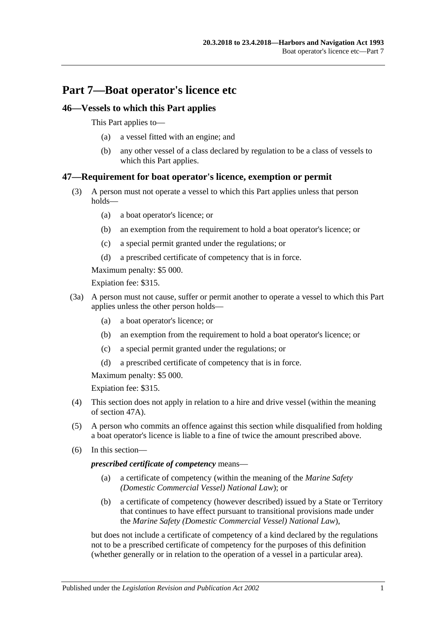# <span id="page-34-0"></span>**Part 7—Boat operator's licence etc**

## <span id="page-34-1"></span>**46—Vessels to which this Part applies**

This Part applies to—

- (a) a vessel fitted with an engine; and
- (b) any other vessel of a class declared by regulation to be a class of vessels to which this Part applies.

## <span id="page-34-2"></span>**47—Requirement for boat operator's licence, exemption or permit**

- (3) A person must not operate a vessel to which this Part applies unless that person holds—
	- (a) a boat operator's licence; or
	- (b) an exemption from the requirement to hold a boat operator's licence; or
	- (c) a special permit granted under the regulations; or
	- (d) a prescribed certificate of competency that is in force.

Maximum penalty: \$5 000.

Expiation fee: \$315.

- (3a) A person must not cause, suffer or permit another to operate a vessel to which this Part applies unless the other person holds—
	- (a) a boat operator's licence; or
	- (b) an exemption from the requirement to hold a boat operator's licence; or
	- (c) a special permit granted under the regulations; or
	- (d) a prescribed certificate of competency that is in force.

Maximum penalty: \$5 000.

Expiation fee: \$315.

- (4) This section does not apply in relation to a hire and drive vessel (within the meaning of [section](#page-35-0) 47A).
- (5) A person who commits an offence against this section while disqualified from holding a boat operator's licence is liable to a fine of twice the amount prescribed above.
- (6) In this section—

#### *prescribed certificate of competency* means—

- (a) a certificate of competency (within the meaning of the *Marine Safety (Domestic Commercial Vessel) National Law*); or
- (b) a certificate of competency (however described) issued by a State or Territory that continues to have effect pursuant to transitional provisions made under the *Marine Safety (Domestic Commercial Vessel) National Law*),

but does not include a certificate of competency of a kind declared by the regulations not to be a prescribed certificate of competency for the purposes of this definition (whether generally or in relation to the operation of a vessel in a particular area).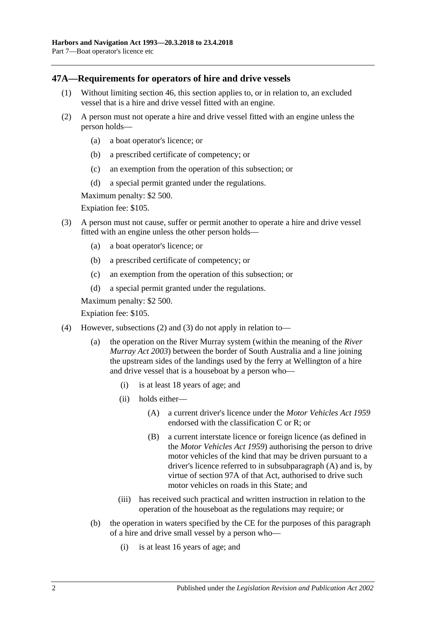## <span id="page-35-0"></span>**47A—Requirements for operators of hire and drive vessels**

- (1) Without limiting [section](#page-34-1) 46, this section applies to, or in relation to, an excluded vessel that is a hire and drive vessel fitted with an engine.
- <span id="page-35-1"></span>(2) A person must not operate a hire and drive vessel fitted with an engine unless the person holds—
	- (a) a boat operator's licence; or
	- (b) a prescribed certificate of competency; or
	- (c) an exemption from the operation of this subsection; or
	- (d) a special permit granted under the regulations.

Maximum penalty: \$2 500.

Expiation fee: \$105.

- <span id="page-35-2"></span>(3) A person must not cause, suffer or permit another to operate a hire and drive vessel fitted with an engine unless the other person holds—
	- (a) a boat operator's licence; or
	- (b) a prescribed certificate of competency; or
	- (c) an exemption from the operation of this subsection; or
	- (d) a special permit granted under the regulations.

Maximum penalty: \$2 500.

Expiation fee: \$105.

- <span id="page-35-3"></span>(4) However, [subsections](#page-35-1) (2) and [\(3\)](#page-35-2) do not apply in relation to—
	- (a) the operation on the River Murray system (within the meaning of the *[River](http://www.legislation.sa.gov.au/index.aspx?action=legref&type=act&legtitle=River%20Murray%20Act%202003)  [Murray Act](http://www.legislation.sa.gov.au/index.aspx?action=legref&type=act&legtitle=River%20Murray%20Act%202003) 2003*) between the border of South Australia and a line joining the upstream sides of the landings used by the ferry at Wellington of a hire and drive vessel that is a houseboat by a person who—
		- (i) is at least 18 years of age; and
		- (ii) holds either—
			- (A) a current driver's licence under the *[Motor Vehicles Act](http://www.legislation.sa.gov.au/index.aspx?action=legref&type=act&legtitle=Motor%20Vehicles%20Act%201959) 1959* endorsed with the classification C or R; or
			- (B) a current interstate licence or foreign licence (as defined in the *[Motor Vehicles Act](http://www.legislation.sa.gov.au/index.aspx?action=legref&type=act&legtitle=Motor%20Vehicles%20Act%201959) 1959*) authorising the person to drive motor vehicles of the kind that may be driven pursuant to a driver's licence referred to in [subsubparagraph](#page-35-3) (A) and is, by virtue of section 97A of that Act, authorised to drive such motor vehicles on roads in this State; and
		- (iii) has received such practical and written instruction in relation to the operation of the houseboat as the regulations may require; or
	- (b) the operation in waters specified by the CE for the purposes of this paragraph of a hire and drive small vessel by a person who—
		- (i) is at least 16 years of age; and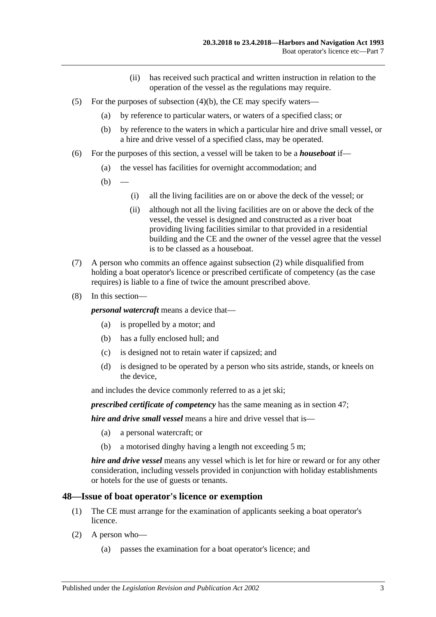- (ii) has received such practical and written instruction in relation to the operation of the vessel as the regulations may require.
- (5) For the purposes of [subsection](#page-35-0)  $(4)(b)$ , the CE may specify waters—
	- (a) by reference to particular waters, or waters of a specified class; or
	- (b) by reference to the waters in which a particular hire and drive small vessel, or a hire and drive vessel of a specified class, may be operated.
- (6) For the purposes of this section, a vessel will be taken to be a *houseboat* if—
	- (a) the vessel has facilities for overnight accommodation; and
	- $(b)$
- (i) all the living facilities are on or above the deck of the vessel; or
- (ii) although not all the living facilities are on or above the deck of the vessel, the vessel is designed and constructed as a river boat providing living facilities similar to that provided in a residential building and the CE and the owner of the vessel agree that the vessel is to be classed as a houseboat.
- (7) A person who commits an offence against [subsection](#page-35-1) (2) while disqualified from holding a boat operator's licence or prescribed certificate of competency (as the case requires) is liable to a fine of twice the amount prescribed above.
- (8) In this section—

*personal watercraft* means a device that—

- (a) is propelled by a motor; and
- (b) has a fully enclosed hull; and
- (c) is designed not to retain water if capsized; and
- (d) is designed to be operated by a person who sits astride, stands, or kneels on the device,

and includes the device commonly referred to as a jet ski;

*prescribed certificate of competency* has the same meaning as in [section](#page-34-0) 47;

*hire and drive small vessel* means a hire and drive vessel that is—

- (a) a personal watercraft; or
- (b) a motorised dinghy having a length not exceeding 5 m;

*hire and drive vessel* means any vessel which is let for hire or reward or for any other consideration, including vessels provided in conjunction with holiday establishments or hotels for the use of guests or tenants.

#### **48—Issue of boat operator's licence or exemption**

- (1) The CE must arrange for the examination of applicants seeking a boat operator's licence.
- (2) A person who—
	- (a) passes the examination for a boat operator's licence; and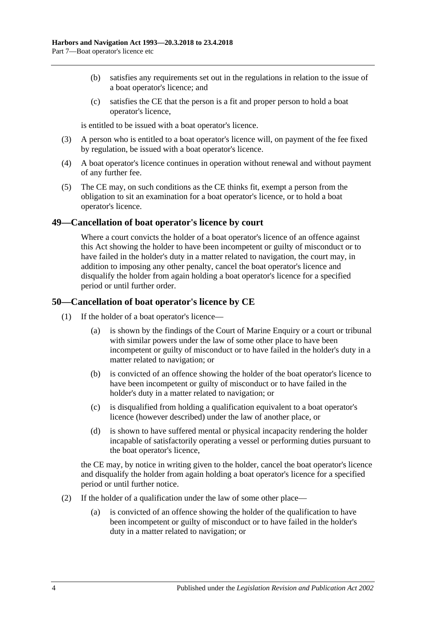- (b) satisfies any requirements set out in the regulations in relation to the issue of a boat operator's licence; and
- (c) satisfies the CE that the person is a fit and proper person to hold a boat operator's licence,

is entitled to be issued with a boat operator's licence.

- (3) A person who is entitled to a boat operator's licence will, on payment of the fee fixed by regulation, be issued with a boat operator's licence.
- (4) A boat operator's licence continues in operation without renewal and without payment of any further fee.
- (5) The CE may, on such conditions as the CE thinks fit, exempt a person from the obligation to sit an examination for a boat operator's licence, or to hold a boat operator's licence.

#### **49—Cancellation of boat operator's licence by court**

Where a court convicts the holder of a boat operator's licence of an offence against this Act showing the holder to have been incompetent or guilty of misconduct or to have failed in the holder's duty in a matter related to navigation, the court may, in addition to imposing any other penalty, cancel the boat operator's licence and disqualify the holder from again holding a boat operator's licence for a specified period or until further order.

#### **50—Cancellation of boat operator's licence by CE**

- (1) If the holder of a boat operator's licence—
	- (a) is shown by the findings of the Court of Marine Enquiry or a court or tribunal with similar powers under the law of some other place to have been incompetent or guilty of misconduct or to have failed in the holder's duty in a matter related to navigation; or
	- (b) is convicted of an offence showing the holder of the boat operator's licence to have been incompetent or guilty of misconduct or to have failed in the holder's duty in a matter related to navigation; or
	- (c) is disqualified from holding a qualification equivalent to a boat operator's licence (however described) under the law of another place, or
	- (d) is shown to have suffered mental or physical incapacity rendering the holder incapable of satisfactorily operating a vessel or performing duties pursuant to the boat operator's licence,

the CE may, by notice in writing given to the holder, cancel the boat operator's licence and disqualify the holder from again holding a boat operator's licence for a specified period or until further notice.

- (2) If the holder of a qualification under the law of some other place—
	- (a) is convicted of an offence showing the holder of the qualification to have been incompetent or guilty of misconduct or to have failed in the holder's duty in a matter related to navigation; or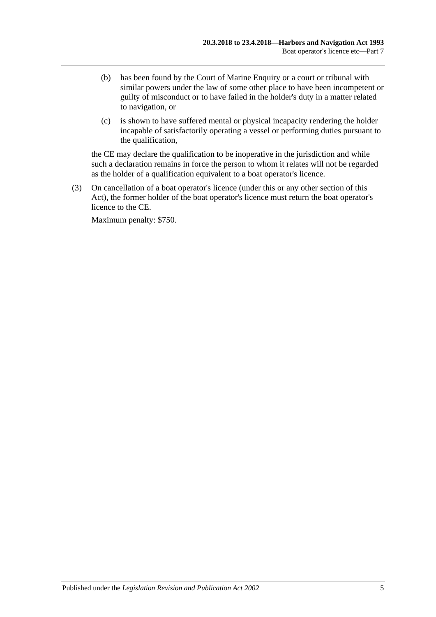- (b) has been found by the Court of Marine Enquiry or a court or tribunal with similar powers under the law of some other place to have been incompetent or guilty of misconduct or to have failed in the holder's duty in a matter related to navigation, or
- (c) is shown to have suffered mental or physical incapacity rendering the holder incapable of satisfactorily operating a vessel or performing duties pursuant to the qualification,

the CE may declare the qualification to be inoperative in the jurisdiction and while such a declaration remains in force the person to whom it relates will not be regarded as the holder of a qualification equivalent to a boat operator's licence.

(3) On cancellation of a boat operator's licence (under this or any other section of this Act), the former holder of the boat operator's licence must return the boat operator's licence to the CE.

Maximum penalty: \$750.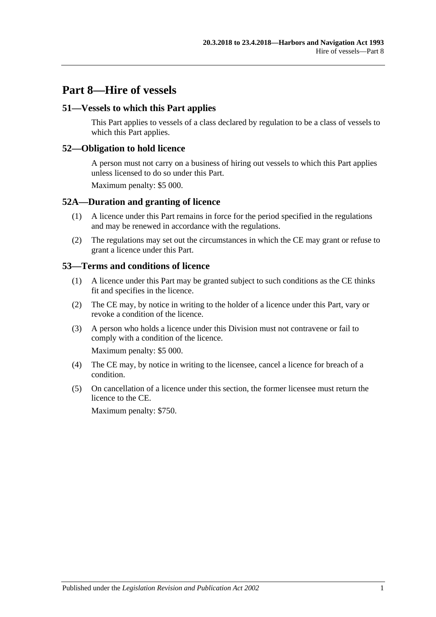# **Part 8—Hire of vessels**

## **51—Vessels to which this Part applies**

This Part applies to vessels of a class declared by regulation to be a class of vessels to which this Part applies.

#### **52—Obligation to hold licence**

A person must not carry on a business of hiring out vessels to which this Part applies unless licensed to do so under this Part.

Maximum penalty: \$5 000.

#### **52A—Duration and granting of licence**

- (1) A licence under this Part remains in force for the period specified in the regulations and may be renewed in accordance with the regulations.
- (2) The regulations may set out the circumstances in which the CE may grant or refuse to grant a licence under this Part.

#### **53—Terms and conditions of licence**

- (1) A licence under this Part may be granted subject to such conditions as the CE thinks fit and specifies in the licence.
- (2) The CE may, by notice in writing to the holder of a licence under this Part, vary or revoke a condition of the licence.
- (3) A person who holds a licence under this Division must not contravene or fail to comply with a condition of the licence.

Maximum penalty: \$5 000.

- (4) The CE may, by notice in writing to the licensee, cancel a licence for breach of a condition.
- (5) On cancellation of a licence under this section, the former licensee must return the licence to the CE.

Maximum penalty: \$750.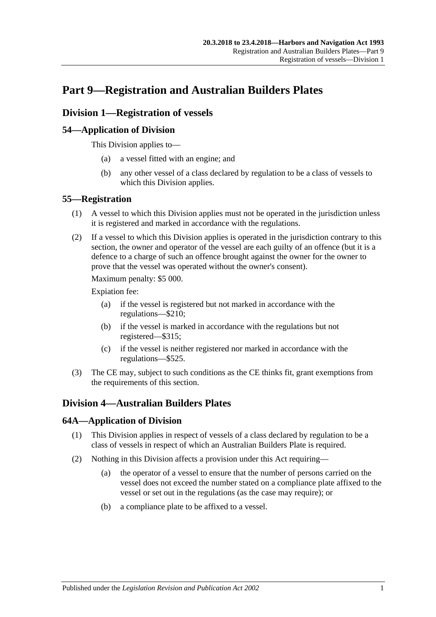# **Part 9—Registration and Australian Builders Plates**

# **Division 1—Registration of vessels**

# **54—Application of Division**

This Division applies to—

- (a) a vessel fitted with an engine; and
- (b) any other vessel of a class declared by regulation to be a class of vessels to which this Division applies.

## **55—Registration**

- (1) A vessel to which this Division applies must not be operated in the jurisdiction unless it is registered and marked in accordance with the regulations.
- (2) If a vessel to which this Division applies is operated in the jurisdiction contrary to this section, the owner and operator of the vessel are each guilty of an offence (but it is a defence to a charge of such an offence brought against the owner for the owner to prove that the vessel was operated without the owner's consent).

Maximum penalty: \$5 000.

Expiation fee:

- (a) if the vessel is registered but not marked in accordance with the regulations—\$210;
- (b) if the vessel is marked in accordance with the regulations but not registered—\$315;
- (c) if the vessel is neither registered nor marked in accordance with the regulations—\$525.
- (3) The CE may, subject to such conditions as the CE thinks fit, grant exemptions from the requirements of this section.

# **Division 4—Australian Builders Plates**

## **64A—Application of Division**

- (1) This Division applies in respect of vessels of a class declared by regulation to be a class of vessels in respect of which an Australian Builders Plate is required.
- (2) Nothing in this Division affects a provision under this Act requiring—
	- (a) the operator of a vessel to ensure that the number of persons carried on the vessel does not exceed the number stated on a compliance plate affixed to the vessel or set out in the regulations (as the case may require); or
	- (b) a compliance plate to be affixed to a vessel.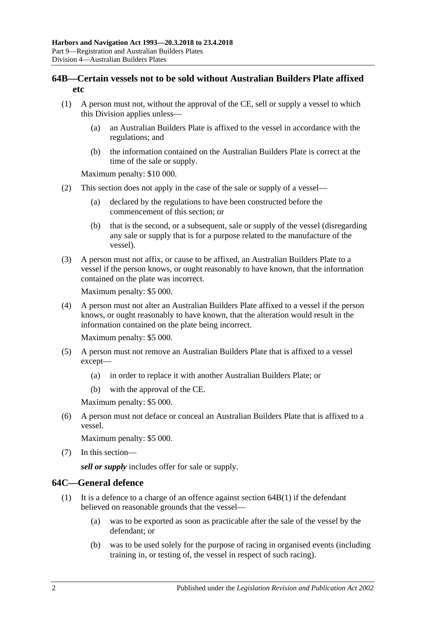## **64B—Certain vessels not to be sold without Australian Builders Plate affixed etc**

- <span id="page-43-0"></span>(1) A person must not, without the approval of the CE, sell or supply a vessel to which this Division applies unless—
	- (a) an Australian Builders Plate is affixed to the vessel in accordance with the regulations; and
	- (b) the information contained on the Australian Builders Plate is correct at the time of the sale or supply.

Maximum penalty: \$10 000.

- (2) This section does not apply in the case of the sale or supply of a vessel—
	- (a) declared by the regulations to have been constructed before the commencement of this section; or
	- (b) that is the second, or a subsequent, sale or supply of the vessel (disregarding any sale or supply that is for a purpose related to the manufacture of the vessel).
- (3) A person must not affix, or cause to be affixed, an Australian Builders Plate to a vessel if the person knows, or ought reasonably to have known, that the information contained on the plate was incorrect.

Maximum penalty: \$5 000.

(4) A person must not alter an Australian Builders Plate affixed to a vessel if the person knows, or ought reasonably to have known, that the alteration would result in the information contained on the plate being incorrect.

Maximum penalty: \$5 000.

- <span id="page-43-1"></span>(5) A person must not remove an Australian Builders Plate that is affixed to a vessel except—
	- (a) in order to replace it with another Australian Builders Plate; or
	- (b) with the approval of the CE.

Maximum penalty: \$5 000.

<span id="page-43-2"></span>(6) A person must not deface or conceal an Australian Builders Plate that is affixed to a vessel.

Maximum penalty: \$5 000.

(7) In this section—

*sell or supply* includes offer for sale or supply.

## **64C—General defence**

- (1) It is a defence to a charge of an offence against [section](#page-43-0)  $64B(1)$  if the defendant believed on reasonable grounds that the vessel—
	- (a) was to be exported as soon as practicable after the sale of the vessel by the defendant; or
	- (b) was to be used solely for the purpose of racing in organised events (including training in, or testing of, the vessel in respect of such racing).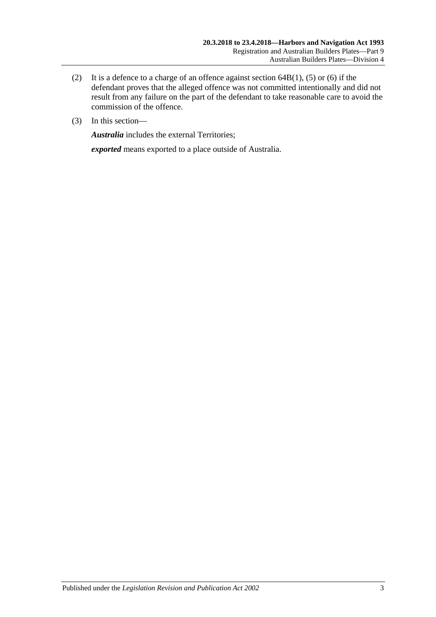- (2) It is a defence to a charge of an offence against [section](#page-43-0)  $64B(1)$ , [\(5\)](#page-43-1) or [\(6\)](#page-43-2) if the defendant proves that the alleged offence was not committed intentionally and did not result from any failure on the part of the defendant to take reasonable care to avoid the commission of the offence.
- (3) In this section—

*Australia* includes the external Territories;

*exported* means exported to a place outside of Australia.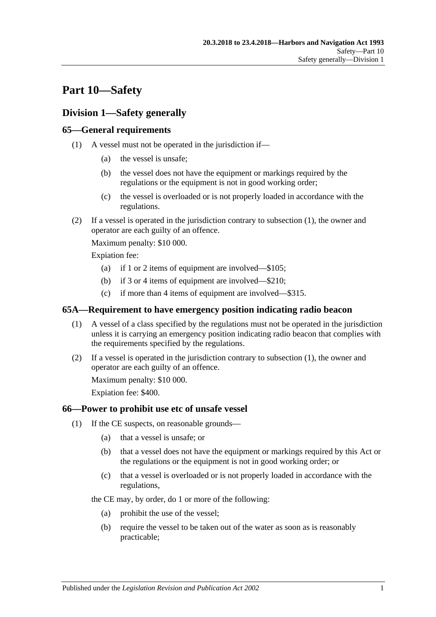# **Part 10—Safety**

# **Division 1—Safety generally**

## <span id="page-46-0"></span>**65—General requirements**

- (1) A vessel must not be operated in the jurisdiction if—
	- (a) the vessel is unsafe;
	- (b) the vessel does not have the equipment or markings required by the regulations or the equipment is not in good working order;
	- (c) the vessel is overloaded or is not properly loaded in accordance with the regulations.
- (2) If a vessel is operated in the jurisdiction contrary to [subsection](#page-46-0) (1), the owner and operator are each guilty of an offence.

Maximum penalty: \$10 000.

Expiation fee:

- (a) if 1 or 2 items of equipment are involved—\$105;
- (b) if 3 or 4 items of equipment are involved—\$210;
- (c) if more than 4 items of equipment are involved—\$315.

#### <span id="page-46-1"></span>**65A—Requirement to have emergency position indicating radio beacon**

- (1) A vessel of a class specified by the regulations must not be operated in the jurisdiction unless it is carrying an emergency position indicating radio beacon that complies with the requirements specified by the regulations.
- (2) If a vessel is operated in the jurisdiction contrary to [subsection](#page-46-1) (1), the owner and operator are each guilty of an offence.

Maximum penalty: \$10 000.

Expiation fee: \$400.

## <span id="page-46-2"></span>**66—Power to prohibit use etc of unsafe vessel**

- (1) If the CE suspects, on reasonable grounds—
	- (a) that a vessel is unsafe; or
	- (b) that a vessel does not have the equipment or markings required by this Act or the regulations or the equipment is not in good working order; or
	- (c) that a vessel is overloaded or is not properly loaded in accordance with the regulations,

the CE may, by order, do 1 or more of the following:

- (a) prohibit the use of the vessel;
- (b) require the vessel to be taken out of the water as soon as is reasonably practicable;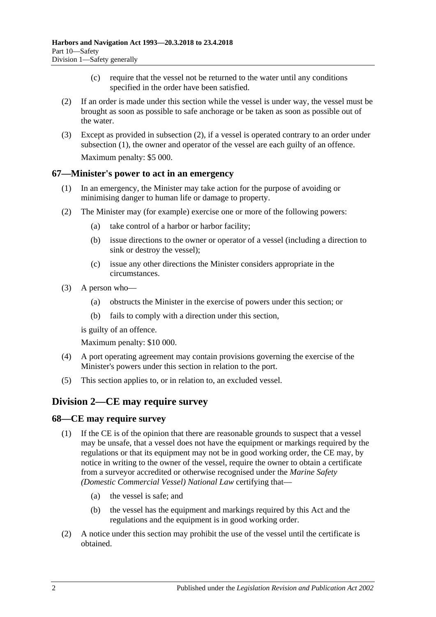- (c) require that the vessel not be returned to the water until any conditions specified in the order have been satisfied.
- <span id="page-47-0"></span>(2) If an order is made under this section while the vessel is under way, the vessel must be brought as soon as possible to safe anchorage or be taken as soon as possible out of the water.
- (3) Except as provided in [subsection](#page-47-0) (2), if a vessel is operated contrary to an order under [subsection](#page-46-2) (1), the owner and operator of the vessel are each guilty of an offence. Maximum penalty: \$5 000.

#### **67—Minister's power to act in an emergency**

- (1) In an emergency, the Minister may take action for the purpose of avoiding or minimising danger to human life or damage to property.
- (2) The Minister may (for example) exercise one or more of the following powers:
	- (a) take control of a harbor or harbor facility;
	- (b) issue directions to the owner or operator of a vessel (including a direction to sink or destroy the vessel);
	- (c) issue any other directions the Minister considers appropriate in the circumstances.
- (3) A person who—
	- (a) obstructs the Minister in the exercise of powers under this section; or
	- (b) fails to comply with a direction under this section,

is guilty of an offence.

Maximum penalty: \$10 000.

- (4) A port operating agreement may contain provisions governing the exercise of the Minister's powers under this section in relation to the port.
- (5) This section applies to, or in relation to, an excluded vessel.

# **Division 2—CE may require survey**

#### **68—CE may require survey**

- (1) If the CE is of the opinion that there are reasonable grounds to suspect that a vessel may be unsafe, that a vessel does not have the equipment or markings required by the regulations or that its equipment may not be in good working order, the CE may, by notice in writing to the owner of the vessel, require the owner to obtain a certificate from a surveyor accredited or otherwise recognised under the *[Marine Safety](http://www.legislation.sa.gov.au/index.aspx?action=legref&type=act&legtitle=Marine%20Safety%20(Domestic%20Commercial%20Vessel)%20National%20Law)  [\(Domestic Commercial Vessel\) National Law](http://www.legislation.sa.gov.au/index.aspx?action=legref&type=act&legtitle=Marine%20Safety%20(Domestic%20Commercial%20Vessel)%20National%20Law)* certifying that—
	- (a) the vessel is safe; and
	- (b) the vessel has the equipment and markings required by this Act and the regulations and the equipment is in good working order.
- (2) A notice under this section may prohibit the use of the vessel until the certificate is obtained.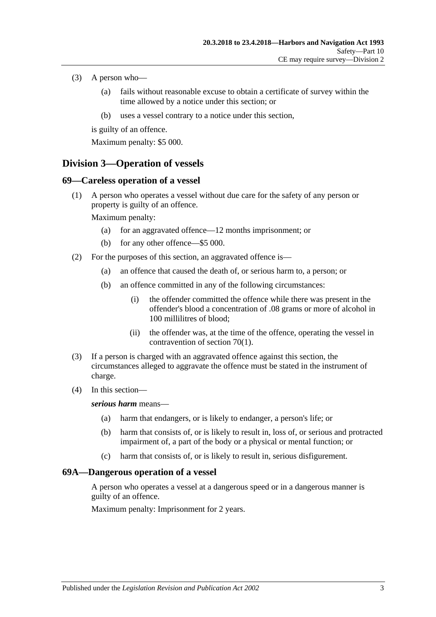- (3) A person who—
	- (a) fails without reasonable excuse to obtain a certificate of survey within the time allowed by a notice under this section; or
	- (b) uses a vessel contrary to a notice under this section,

is guilty of an offence.

Maximum penalty: \$5 000.

# **Division 3—Operation of vessels**

## **69—Careless operation of a vessel**

(1) A person who operates a vessel without due care for the safety of any person or property is guilty of an offence.

Maximum penalty:

- (a) for an aggravated offence—12 months imprisonment; or
- (b) for any other offence—\$5 000.
- (2) For the purposes of this section, an aggravated offence is—
	- (a) an offence that caused the death of, or serious harm to, a person; or
	- (b) an offence committed in any of the following circumstances:
		- (i) the offender committed the offence while there was present in the offender's blood a concentration of .08 grams or more of alcohol in 100 millilitres of blood;
		- (ii) the offender was, at the time of the offence, operating the vessel in contravention of [section](#page-49-0) 70(1).
- (3) If a person is charged with an aggravated offence against this section, the circumstances alleged to aggravate the offence must be stated in the instrument of charge.
- (4) In this section—

#### *serious harm* means—

- (a) harm that endangers, or is likely to endanger, a person's life; or
- (b) harm that consists of, or is likely to result in, loss of, or serious and protracted impairment of, a part of the body or a physical or mental function; or
- (c) harm that consists of, or is likely to result in, serious disfigurement.

## **69A—Dangerous operation of a vessel**

A person who operates a vessel at a dangerous speed or in a dangerous manner is guilty of an offence.

Maximum penalty: Imprisonment for 2 years.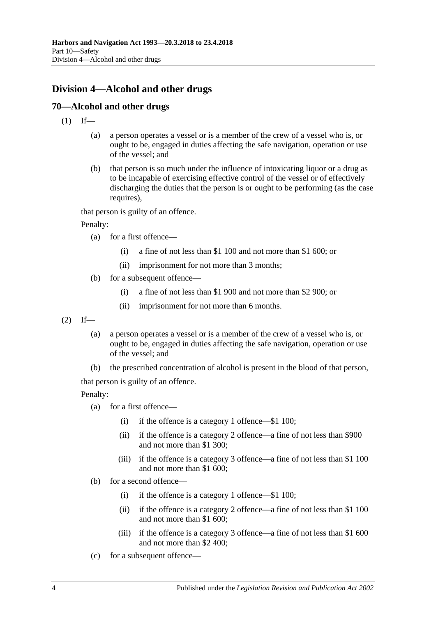# **Division 4—Alcohol and other drugs**

# <span id="page-49-0"></span>**70—Alcohol and other drugs**

- $(1)$  If—
	- (a) a person operates a vessel or is a member of the crew of a vessel who is, or ought to be, engaged in duties affecting the safe navigation, operation or use of the vessel; and
	- (b) that person is so much under the influence of intoxicating liquor or a drug as to be incapable of exercising effective control of the vessel or of effectively discharging the duties that the person is or ought to be performing (as the case requires),

that person is guilty of an offence.

Penalty:

- (a) for a first offence—
	- (i) a fine of not less than \$1 100 and not more than \$1 600; or
	- (ii) imprisonment for not more than 3 months;
- (b) for a subsequent offence—
	- (i) a fine of not less than \$1 900 and not more than \$2 900; or
	- (ii) imprisonment for not more than 6 months.
- <span id="page-49-1"></span> $(2)$  If—
	- (a) a person operates a vessel or is a member of the crew of a vessel who is, or ought to be, engaged in duties affecting the safe navigation, operation or use of the vessel; and
	- (b) the prescribed concentration of alcohol is present in the blood of that person,

that person is guilty of an offence.

Penalty:

- (a) for a first offence—
	- (i) if the offence is a category 1 offence—\$1 100;
	- (ii) if the offence is a category 2 offence—a fine of not less than \$900 and not more than \$1 300;
	- (iii) if the offence is a category 3 offence—a fine of not less than \$1 100 and not more than \$1 600;
- (b) for a second offence—
	- (i) if the offence is a category 1 offence—\$1 100;
	- (ii) if the offence is a category 2 offence—a fine of not less than \$1 100 and not more than \$1 600;
	- (iii) if the offence is a category 3 offence—a fine of not less than \$1 600 and not more than \$2 400;
- (c) for a subsequent offence—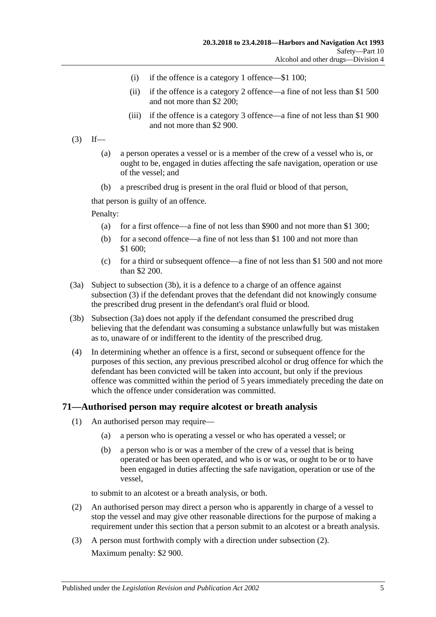- (i) if the offence is a category 1 offence—\$1 100;
- (ii) if the offence is a category 2 offence—a fine of not less than \$1 500 and not more than \$2 200;
- (iii) if the offence is a category 3 offence—a fine of not less than \$1 900 and not more than \$2 900.
- <span id="page-50-1"></span> $(3)$  If—
	- (a) a person operates a vessel or is a member of the crew of a vessel who is, or ought to be, engaged in duties affecting the safe navigation, operation or use of the vessel; and
	- (b) a prescribed drug is present in the oral fluid or blood of that person,

that person is guilty of an offence.

Penalty:

- (a) for a first offence—a fine of not less than \$900 and not more than \$1 300;
- (b) for a second offence—a fine of not less than \$1 100 and not more than \$1 600;
- (c) for a third or subsequent offence—a fine of not less than \$1 500 and not more than \$2 200.
- <span id="page-50-2"></span>(3a) Subject to [subsection](#page-50-0) (3b), it is a defence to a charge of an offence against [subsection](#page-50-1) (3) if the defendant proves that the defendant did not knowingly consume the prescribed drug present in the defendant's oral fluid or blood.
- <span id="page-50-0"></span>(3b) [Subsection \(3a\)](#page-50-2) does not apply if the defendant consumed the prescribed drug believing that the defendant was consuming a substance unlawfully but was mistaken as to, unaware of or indifferent to the identity of the prescribed drug.
- (4) In determining whether an offence is a first, second or subsequent offence for the purposes of this section, any previous prescribed alcohol or drug offence for which the defendant has been convicted will be taken into account, but only if the previous offence was committed within the period of 5 years immediately preceding the date on which the offence under consideration was committed.

#### <span id="page-50-5"></span><span id="page-50-4"></span>**71—Authorised person may require alcotest or breath analysis**

- (1) An authorised person may require—
	- (a) a person who is operating a vessel or who has operated a vessel; or
	- (b) a person who is or was a member of the crew of a vessel that is being operated or has been operated, and who is or was, or ought to be or to have been engaged in duties affecting the safe navigation, operation or use of the vessel,

to submit to an alcotest or a breath analysis, or both.

- <span id="page-50-3"></span>(2) An authorised person may direct a person who is apparently in charge of a vessel to stop the vessel and may give other reasonable directions for the purpose of making a requirement under this section that a person submit to an alcotest or a breath analysis.
- (3) A person must forthwith comply with a direction under [subsection](#page-50-3) (2). Maximum penalty: \$2 900.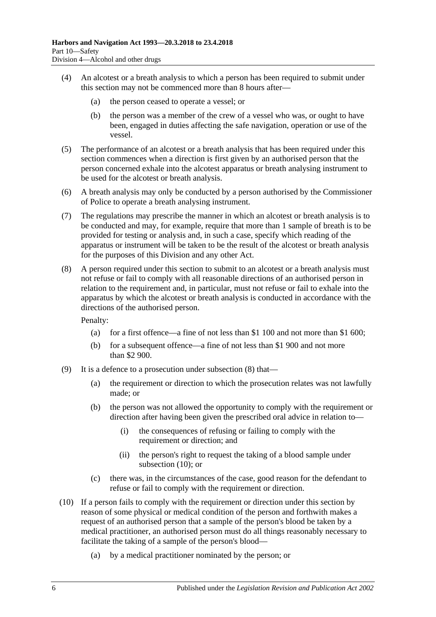- (4) An alcotest or a breath analysis to which a person has been required to submit under this section may not be commenced more than 8 hours after—
	- (a) the person ceased to operate a vessel; or
	- (b) the person was a member of the crew of a vessel who was, or ought to have been, engaged in duties affecting the safe navigation, operation or use of the vessel.
- (5) The performance of an alcotest or a breath analysis that has been required under this section commences when a direction is first given by an authorised person that the person concerned exhale into the alcotest apparatus or breath analysing instrument to be used for the alcotest or breath analysis.
- (6) A breath analysis may only be conducted by a person authorised by the Commissioner of Police to operate a breath analysing instrument.
- (7) The regulations may prescribe the manner in which an alcotest or breath analysis is to be conducted and may, for example, require that more than 1 sample of breath is to be provided for testing or analysis and, in such a case, specify which reading of the apparatus or instrument will be taken to be the result of the alcotest or breath analysis for the purposes of this Division and any other Act.
- <span id="page-51-0"></span>(8) A person required under this section to submit to an alcotest or a breath analysis must not refuse or fail to comply with all reasonable directions of an authorised person in relation to the requirement and, in particular, must not refuse or fail to exhale into the apparatus by which the alcotest or breath analysis is conducted in accordance with the directions of the authorised person.

Penalty:

- (a) for a first offence—a fine of not less than \$1 100 and not more than \$1 600;
- (b) for a subsequent offence—a fine of not less than \$1 900 and not more than \$2 900.
- (9) It is a defence to a prosecution under [subsection](#page-51-0) (8) that—
	- (a) the requirement or direction to which the prosecution relates was not lawfully made; or
	- (b) the person was not allowed the opportunity to comply with the requirement or direction after having been given the prescribed oral advice in relation to—
		- (i) the consequences of refusing or failing to comply with the requirement or direction; and
		- (ii) the person's right to request the taking of a blood sample under [subsection](#page-51-1) (10); or
	- (c) there was, in the circumstances of the case, good reason for the defendant to refuse or fail to comply with the requirement or direction.
- <span id="page-51-1"></span>(10) If a person fails to comply with the requirement or direction under this section by reason of some physical or medical condition of the person and forthwith makes a request of an authorised person that a sample of the person's blood be taken by a medical practitioner, an authorised person must do all things reasonably necessary to facilitate the taking of a sample of the person's blood—
	- (a) by a medical practitioner nominated by the person; or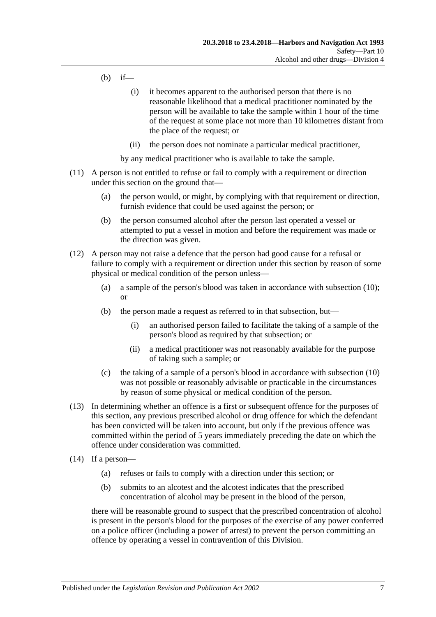- (b) if—
	- (i) it becomes apparent to the authorised person that there is no reasonable likelihood that a medical practitioner nominated by the person will be available to take the sample within 1 hour of the time of the request at some place not more than 10 kilometres distant from the place of the request; or
	- (ii) the person does not nominate a particular medical practitioner,

by any medical practitioner who is available to take the sample.

- (11) A person is not entitled to refuse or fail to comply with a requirement or direction under this section on the ground that—
	- (a) the person would, or might, by complying with that requirement or direction, furnish evidence that could be used against the person; or
	- (b) the person consumed alcohol after the person last operated a vessel or attempted to put a vessel in motion and before the requirement was made or the direction was given.
- (12) A person may not raise a defence that the person had good cause for a refusal or failure to comply with a requirement or direction under this section by reason of some physical or medical condition of the person unless—
	- (a) a sample of the person's blood was taken in accordance with [subsection](#page-51-1) (10); or
	- (b) the person made a request as referred to in that subsection, but—
		- (i) an authorised person failed to facilitate the taking of a sample of the person's blood as required by that subsection; or
		- (ii) a medical practitioner was not reasonably available for the purpose of taking such a sample; or
	- (c) the taking of a sample of a person's blood in accordance with [subsection](#page-51-1) (10) was not possible or reasonably advisable or practicable in the circumstances by reason of some physical or medical condition of the person.
- (13) In determining whether an offence is a first or subsequent offence for the purposes of this section, any previous prescribed alcohol or drug offence for which the defendant has been convicted will be taken into account, but only if the previous offence was committed within the period of 5 years immediately preceding the date on which the offence under consideration was committed.
- <span id="page-52-0"></span>(14) If a person—
	- (a) refuses or fails to comply with a direction under this section; or
	- (b) submits to an alcotest and the alcotest indicates that the prescribed concentration of alcohol may be present in the blood of the person,

there will be reasonable ground to suspect that the prescribed concentration of alcohol is present in the person's blood for the purposes of the exercise of any power conferred on a police officer (including a power of arrest) to prevent the person committing an offence by operating a vessel in contravention of this Division.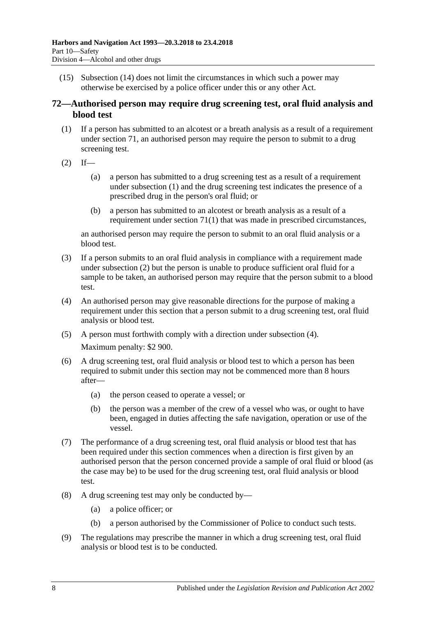(15) [Subsection \(14\)](#page-52-0) does not limit the circumstances in which such a power may otherwise be exercised by a police officer under this or any other Act.

## <span id="page-53-3"></span>**72—Authorised person may require drug screening test, oral fluid analysis and blood test**

- <span id="page-53-0"></span>(1) If a person has submitted to an alcotest or a breath analysis as a result of a requirement under [section](#page-50-4) 71, an authorised person may require the person to submit to a drug screening test.
- <span id="page-53-1"></span> $(2)$  If—
	- (a) a person has submitted to a drug screening test as a result of a requirement under [subsection](#page-53-0) (1) and the drug screening test indicates the presence of a prescribed drug in the person's oral fluid; or
	- (b) a person has submitted to an alcotest or breath analysis as a result of a requirement under [section](#page-50-5) 71(1) that was made in prescribed circumstances,

an authorised person may require the person to submit to an oral fluid analysis or a blood test.

- (3) If a person submits to an oral fluid analysis in compliance with a requirement made under [subsection](#page-53-1) (2) but the person is unable to produce sufficient oral fluid for a sample to be taken, an authorised person may require that the person submit to a blood test.
- <span id="page-53-2"></span>(4) An authorised person may give reasonable directions for the purpose of making a requirement under this section that a person submit to a drug screening test, oral fluid analysis or blood test.
- (5) A person must forthwith comply with a direction under [subsection](#page-53-2) (4). Maximum penalty: \$2 900.
- (6) A drug screening test, oral fluid analysis or blood test to which a person has been required to submit under this section may not be commenced more than 8 hours after—
	- (a) the person ceased to operate a vessel; or
	- (b) the person was a member of the crew of a vessel who was, or ought to have been, engaged in duties affecting the safe navigation, operation or use of the vessel.
- (7) The performance of a drug screening test, oral fluid analysis or blood test that has been required under this section commences when a direction is first given by an authorised person that the person concerned provide a sample of oral fluid or blood (as the case may be) to be used for the drug screening test, oral fluid analysis or blood test.
- (8) A drug screening test may only be conducted by—
	- (a) a police officer; or
	- (b) a person authorised by the Commissioner of Police to conduct such tests.
- (9) The regulations may prescribe the manner in which a drug screening test, oral fluid analysis or blood test is to be conducted.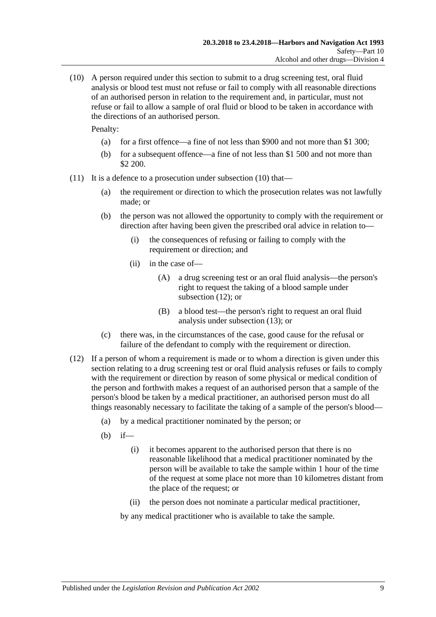<span id="page-54-0"></span>(10) A person required under this section to submit to a drug screening test, oral fluid analysis or blood test must not refuse or fail to comply with all reasonable directions of an authorised person in relation to the requirement and, in particular, must not refuse or fail to allow a sample of oral fluid or blood to be taken in accordance with the directions of an authorised person.

Penalty:

- (a) for a first offence—a fine of not less than \$900 and not more than \$1 300;
- (b) for a subsequent offence—a fine of not less than \$1 500 and not more than \$2 200.
- (11) It is a defence to a prosecution under [subsection](#page-54-0) (10) that—
	- (a) the requirement or direction to which the prosecution relates was not lawfully made; or
	- (b) the person was not allowed the opportunity to comply with the requirement or direction after having been given the prescribed oral advice in relation to—
		- (i) the consequences of refusing or failing to comply with the requirement or direction; and
		- (ii) in the case of—
			- (A) a drug screening test or an oral fluid analysis—the person's right to request the taking of a blood sample under [subsection](#page-54-1) (12); or
			- (B) a blood test—the person's right to request an oral fluid analysis under [subsection](#page-55-0) (13); or
	- (c) there was, in the circumstances of the case, good cause for the refusal or failure of the defendant to comply with the requirement or direction.
- <span id="page-54-1"></span>(12) If a person of whom a requirement is made or to whom a direction is given under this section relating to a drug screening test or oral fluid analysis refuses or fails to comply with the requirement or direction by reason of some physical or medical condition of the person and forthwith makes a request of an authorised person that a sample of the person's blood be taken by a medical practitioner, an authorised person must do all things reasonably necessary to facilitate the taking of a sample of the person's blood—
	- (a) by a medical practitioner nominated by the person; or
	- (b) if—
		- (i) it becomes apparent to the authorised person that there is no reasonable likelihood that a medical practitioner nominated by the person will be available to take the sample within 1 hour of the time of the request at some place not more than 10 kilometres distant from the place of the request; or
		- (ii) the person does not nominate a particular medical practitioner,

by any medical practitioner who is available to take the sample.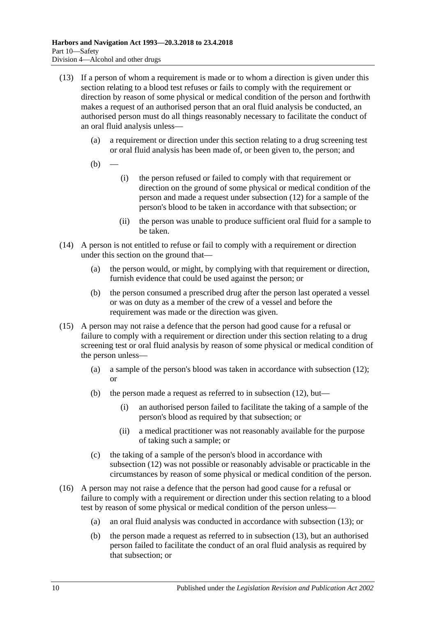- <span id="page-55-0"></span>(13) If a person of whom a requirement is made or to whom a direction is given under this section relating to a blood test refuses or fails to comply with the requirement or direction by reason of some physical or medical condition of the person and forthwith makes a request of an authorised person that an oral fluid analysis be conducted, an authorised person must do all things reasonably necessary to facilitate the conduct of an oral fluid analysis unless—
	- (a) a requirement or direction under this section relating to a drug screening test or oral fluid analysis has been made of, or been given to, the person; and
	- $(b)$
- (i) the person refused or failed to comply with that requirement or direction on the ground of some physical or medical condition of the person and made a request under [subsection](#page-54-1) (12) for a sample of the person's blood to be taken in accordance with that subsection; or
- (ii) the person was unable to produce sufficient oral fluid for a sample to be taken.
- (14) A person is not entitled to refuse or fail to comply with a requirement or direction under this section on the ground that—
	- (a) the person would, or might, by complying with that requirement or direction, furnish evidence that could be used against the person; or
	- (b) the person consumed a prescribed drug after the person last operated a vessel or was on duty as a member of the crew of a vessel and before the requirement was made or the direction was given.
- (15) A person may not raise a defence that the person had good cause for a refusal or failure to comply with a requirement or direction under this section relating to a drug screening test or oral fluid analysis by reason of some physical or medical condition of the person unless—
	- (a) a sample of the person's blood was taken in accordance with [subsection](#page-54-1) (12); or
	- (b) the person made a request as referred to in [subsection](#page-54-1) (12), but—
		- (i) an authorised person failed to facilitate the taking of a sample of the person's blood as required by that subsection; or
		- (ii) a medical practitioner was not reasonably available for the purpose of taking such a sample; or
	- (c) the taking of a sample of the person's blood in accordance with [subsection](#page-54-1) (12) was not possible or reasonably advisable or practicable in the circumstances by reason of some physical or medical condition of the person.
- (16) A person may not raise a defence that the person had good cause for a refusal or failure to comply with a requirement or direction under this section relating to a blood test by reason of some physical or medical condition of the person unless—
	- (a) an oral fluid analysis was conducted in accordance with [subsection](#page-55-0) (13); or
	- (b) the person made a request as referred to in [subsection](#page-55-0) (13), but an authorised person failed to facilitate the conduct of an oral fluid analysis as required by that subsection; or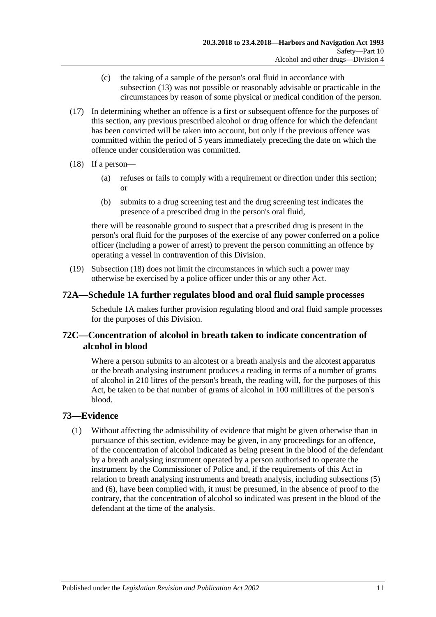- (c) the taking of a sample of the person's oral fluid in accordance with [subsection](#page-55-0) (13) was not possible or reasonably advisable or practicable in the circumstances by reason of some physical or medical condition of the person.
- (17) In determining whether an offence is a first or subsequent offence for the purposes of this section, any previous prescribed alcohol or drug offence for which the defendant has been convicted will be taken into account, but only if the previous offence was committed within the period of 5 years immediately preceding the date on which the offence under consideration was committed.
- <span id="page-56-0"></span>(18) If a person—
	- (a) refuses or fails to comply with a requirement or direction under this section; or
	- (b) submits to a drug screening test and the drug screening test indicates the presence of a prescribed drug in the person's oral fluid,

there will be reasonable ground to suspect that a prescribed drug is present in the person's oral fluid for the purposes of the exercise of any power conferred on a police officer (including a power of arrest) to prevent the person committing an offence by operating a vessel in contravention of this Division.

(19) [Subsection](#page-56-0) (18) does not limit the circumstances in which such a power may otherwise be exercised by a police officer under this or any other Act.

# **72A[—Schedule 1A](#page-77-0) further regulates blood and oral fluid sample processes**

[Schedule 1A](#page-77-0) makes further provision regulating blood and oral fluid sample processes for the purposes of this Division.

# **72C—Concentration of alcohol in breath taken to indicate concentration of alcohol in blood**

Where a person submits to an alcotest or a breath analysis and the alcotest apparatus or the breath analysing instrument produces a reading in terms of a number of grams of alcohol in 210 litres of the person's breath, the reading will, for the purposes of this Act, be taken to be that number of grams of alcohol in 100 millilitres of the person's blood.

# <span id="page-56-1"></span>**73—Evidence**

(1) Without affecting the admissibility of evidence that might be given otherwise than in pursuance of this section, evidence may be given, in any proceedings for an offence, of the concentration of alcohol indicated as being present in the blood of the defendant by a breath analysing instrument operated by a person authorised to operate the instrument by the Commissioner of Police and, if the requirements of this Act in relation to breath analysing instruments and breath analysis, including [subsections \(5\)](#page-57-0) and [\(6\),](#page-57-1) have been complied with, it must be presumed, in the absence of proof to the contrary, that the concentration of alcohol so indicated was present in the blood of the defendant at the time of the analysis.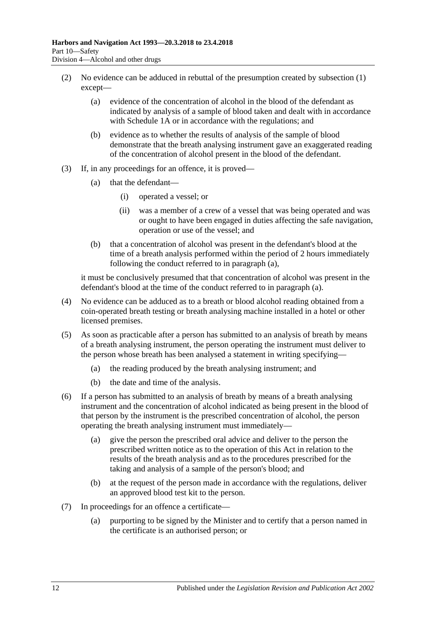- <span id="page-57-5"></span>(2) No evidence can be adduced in rebuttal of the presumption created by [subsection](#page-56-1) (1) except—
	- (a) evidence of the concentration of alcohol in the blood of the defendant as indicated by analysis of a sample of blood taken and dealt with in accordance with [Schedule 1A](#page-77-0) or in accordance with the regulations; and
	- (b) evidence as to whether the results of analysis of the sample of blood demonstrate that the breath analysing instrument gave an exaggerated reading of the concentration of alcohol present in the blood of the defendant.
- <span id="page-57-2"></span>(3) If, in any proceedings for an offence, it is proved—
	- (a) that the defendant—
		- (i) operated a vessel; or
		- (ii) was a member of a crew of a vessel that was being operated and was or ought to have been engaged in duties affecting the safe navigation, operation or use of the vessel; and
	- (b) that a concentration of alcohol was present in the defendant's blood at the time of a breath analysis performed within the period of 2 hours immediately following the conduct referred to in [paragraph](#page-57-2) (a),

it must be conclusively presumed that that concentration of alcohol was present in the defendant's blood at the time of the conduct referred to in [paragraph](#page-57-2) (a).

- (4) No evidence can be adduced as to a breath or blood alcohol reading obtained from a coin-operated breath testing or breath analysing machine installed in a hotel or other licensed premises.
- <span id="page-57-0"></span>(5) As soon as practicable after a person has submitted to an analysis of breath by means of a breath analysing instrument, the person operating the instrument must deliver to the person whose breath has been analysed a statement in writing specifying—
	- (a) the reading produced by the breath analysing instrument; and
	- (b) the date and time of the analysis.
- <span id="page-57-3"></span><span id="page-57-1"></span>(6) If a person has submitted to an analysis of breath by means of a breath analysing instrument and the concentration of alcohol indicated as being present in the blood of that person by the instrument is the prescribed concentration of alcohol, the person operating the breath analysing instrument must immediately—
	- (a) give the person the prescribed oral advice and deliver to the person the prescribed written notice as to the operation of this Act in relation to the results of the breath analysis and as to the procedures prescribed for the taking and analysis of a sample of the person's blood; and
	- (b) at the request of the person made in accordance with the regulations, deliver an approved blood test kit to the person.
- <span id="page-57-4"></span>(7) In proceedings for an offence a certificate—
	- (a) purporting to be signed by the Minister and to certify that a person named in the certificate is an authorised person; or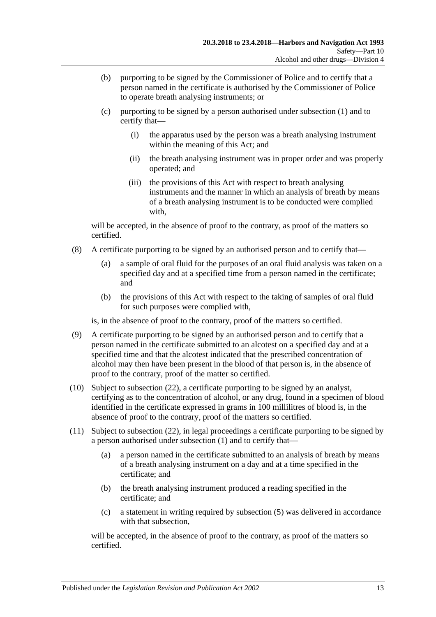- (b) purporting to be signed by the Commissioner of Police and to certify that a person named in the certificate is authorised by the Commissioner of Police to operate breath analysing instruments; or
- (c) purporting to be signed by a person authorised under [subsection](#page-56-1) (1) and to certify that—
	- (i) the apparatus used by the person was a breath analysing instrument within the meaning of this Act; and
	- (ii) the breath analysing instrument was in proper order and was properly operated; and
	- (iii) the provisions of this Act with respect to breath analysing instruments and the manner in which an analysis of breath by means of a breath analysing instrument is to be conducted were complied with,

will be accepted, in the absence of proof to the contrary, as proof of the matters so certified.

- (8) A certificate purporting to be signed by an authorised person and to certify that—
	- (a) a sample of oral fluid for the purposes of an oral fluid analysis was taken on a specified day and at a specified time from a person named in the certificate; and
	- (b) the provisions of this Act with respect to the taking of samples of oral fluid for such purposes were complied with,

is, in the absence of proof to the contrary, proof of the matters so certified.

- (9) A certificate purporting to be signed by an authorised person and to certify that a person named in the certificate submitted to an alcotest on a specified day and at a specified time and that the alcotest indicated that the prescribed concentration of alcohol may then have been present in the blood of that person is, in the absence of proof to the contrary, proof of the matter so certified.
- <span id="page-58-0"></span>(10) Subject to [subsection](#page-60-0) (22), a certificate purporting to be signed by an analyst, certifying as to the concentration of alcohol, or any drug, found in a specimen of blood identified in the certificate expressed in grams in 100 millilitres of blood is, in the absence of proof to the contrary, proof of the matters so certified.
- <span id="page-58-1"></span>(11) Subject to [subsection](#page-60-0) (22), in legal proceedings a certificate purporting to be signed by a person authorised under [subsection](#page-56-1) (1) and to certify that—
	- (a) a person named in the certificate submitted to an analysis of breath by means of a breath analysing instrument on a day and at a time specified in the certificate; and
	- (b) the breath analysing instrument produced a reading specified in the certificate; and
	- (c) a statement in writing required by [subsection](#page-57-0) (5) was delivered in accordance with that subsection,

will be accepted, in the absence of proof to the contrary, as proof of the matters so certified.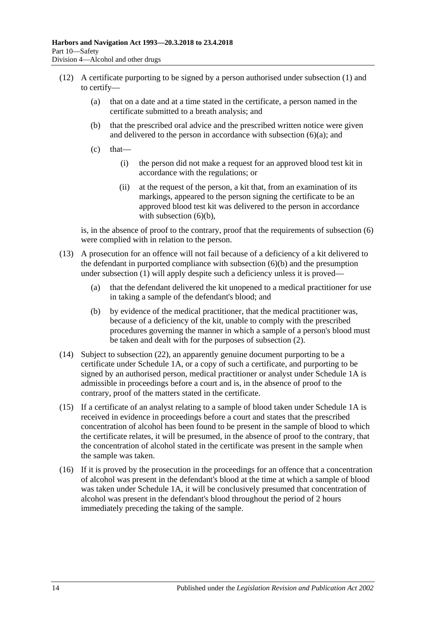- (12) A certificate purporting to be signed by a person authorised under [subsection](#page-56-1) (1) and to certify—
	- (a) that on a date and at a time stated in the certificate, a person named in the certificate submitted to a breath analysis; and
	- (b) that the prescribed oral advice and the prescribed written notice were given and delivered to the person in accordance with [subsection](#page-57-3)  $(6)(a)$ ; and
	- $(c)$  that—
		- (i) the person did not make a request for an approved blood test kit in accordance with the regulations; or
		- (ii) at the request of the person, a kit that, from an examination of its markings, appeared to the person signing the certificate to be an approved blood test kit was delivered to the person in accordance with [subsection](#page-57-4)  $(6)(b)$ ,

is, in the absence of proof to the contrary, proof that the requirements of [subsection](#page-57-1) (6) were complied with in relation to the person.

- (13) A prosecution for an offence will not fail because of a deficiency of a kit delivered to the defendant in purported compliance with [subsection](#page-57-4) (6)(b) and the presumption under [subsection](#page-56-1) (1) will apply despite such a deficiency unless it is proved—
	- (a) that the defendant delivered the kit unopened to a medical practitioner for use in taking a sample of the defendant's blood; and
	- (b) by evidence of the medical practitioner, that the medical practitioner was, because of a deficiency of the kit, unable to comply with the prescribed procedures governing the manner in which a sample of a person's blood must be taken and dealt with for the purposes of [subsection](#page-57-5) (2).
- <span id="page-59-0"></span>(14) Subject to [subsection](#page-60-0) (22), an apparently genuine document purporting to be a certificate under [Schedule 1A,](#page-77-0) or a copy of such a certificate, and purporting to be signed by an authorised person, medical practitioner or analyst under [Schedule 1A](#page-77-0) is admissible in proceedings before a court and is, in the absence of proof to the contrary, proof of the matters stated in the certificate.
- (15) If a certificate of an analyst relating to a sample of blood taken under [Schedule 1A](#page-77-0) is received in evidence in proceedings before a court and states that the prescribed concentration of alcohol has been found to be present in the sample of blood to which the certificate relates, it will be presumed, in the absence of proof to the contrary, that the concentration of alcohol stated in the certificate was present in the sample when the sample was taken.
- (16) If it is proved by the prosecution in the proceedings for an offence that a concentration of alcohol was present in the defendant's blood at the time at which a sample of blood was taken under [Schedule 1A,](#page-77-0) it will be conclusively presumed that concentration of alcohol was present in the defendant's blood throughout the period of 2 hours immediately preceding the taking of the sample.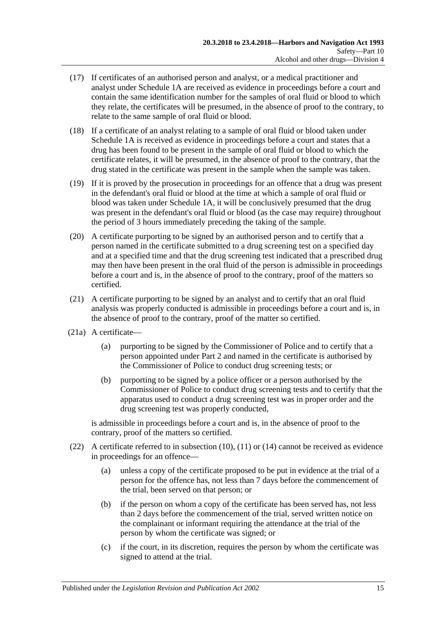- (17) If certificates of an authorised person and analyst, or a medical practitioner and analyst under [Schedule 1A](#page-77-0) are received as evidence in proceedings before a court and contain the same identification number for the samples of oral fluid or blood to which they relate, the certificates will be presumed, in the absence of proof to the contrary, to relate to the same sample of oral fluid or blood.
- (18) If a certificate of an analyst relating to a sample of oral fluid or blood taken under [Schedule 1A](#page-77-0) is received as evidence in proceedings before a court and states that a drug has been found to be present in the sample of oral fluid or blood to which the certificate relates, it will be presumed, in the absence of proof to the contrary, that the drug stated in the certificate was present in the sample when the sample was taken.
- (19) If it is proved by the prosecution in proceedings for an offence that a drug was present in the defendant's oral fluid or blood at the time at which a sample of oral fluid or blood was taken under [Schedule 1A,](#page-77-0) it will be conclusively presumed that the drug was present in the defendant's oral fluid or blood (as the case may require) throughout the period of 3 hours immediately preceding the taking of the sample.
- (20) A certificate purporting to be signed by an authorised person and to certify that a person named in the certificate submitted to a drug screening test on a specified day and at a specified time and that the drug screening test indicated that a prescribed drug may then have been present in the oral fluid of the person is admissible in proceedings before a court and is, in the absence of proof to the contrary, proof of the matters so certified.
- (21) A certificate purporting to be signed by an analyst and to certify that an oral fluid analysis was properly conducted is admissible in proceedings before a court and is, in the absence of proof to the contrary, proof of the matter so certified.
- (21a) A certificate—
	- (a) purporting to be signed by the Commissioner of Police and to certify that a person appointed under [Part 2](#page-12-0) and named in the certificate is authorised by the Commissioner of Police to conduct drug screening tests; or
	- (b) purporting to be signed by a police officer or a person authorised by the Commissioner of Police to conduct drug screening tests and to certify that the apparatus used to conduct a drug screening test was in proper order and the drug screening test was properly conducted,

is admissible in proceedings before a court and is, in the absence of proof to the contrary, proof of the matters so certified.

- <span id="page-60-0"></span>(22) A certificate referred to in [subsection](#page-58-0) (10), [\(11\)](#page-58-1) or [\(14\)](#page-59-0) cannot be received as evidence in proceedings for an offence—
	- (a) unless a copy of the certificate proposed to be put in evidence at the trial of a person for the offence has, not less than 7 days before the commencement of the trial, been served on that person; or
	- (b) if the person on whom a copy of the certificate has been served has, not less than 2 days before the commencement of the trial, served written notice on the complainant or informant requiring the attendance at the trial of the person by whom the certificate was signed; or
	- (c) if the court, in its discretion, requires the person by whom the certificate was signed to attend at the trial.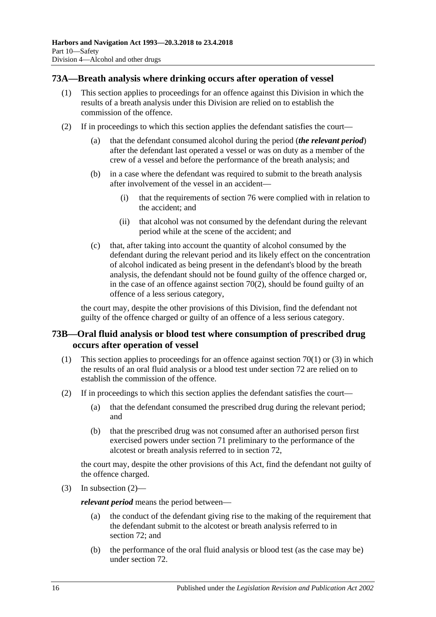## **73A—Breath analysis where drinking occurs after operation of vessel**

- (1) This section applies to proceedings for an offence against this Division in which the results of a breath analysis under this Division are relied on to establish the commission of the offence.
- (2) If in proceedings to which this section applies the defendant satisfies the court—
	- (a) that the defendant consumed alcohol during the period (*the relevant period*) after the defendant last operated a vessel or was on duty as a member of the crew of a vessel and before the performance of the breath analysis; and
	- (b) in a case where the defendant was required to submit to the breath analysis after involvement of the vessel in an accident—
		- (i) that the requirements of [section](#page-64-0) 76 were complied with in relation to the accident; and
		- (ii) that alcohol was not consumed by the defendant during the relevant period while at the scene of the accident; and
	- (c) that, after taking into account the quantity of alcohol consumed by the defendant during the relevant period and its likely effect on the concentration of alcohol indicated as being present in the defendant's blood by the breath analysis, the defendant should not be found guilty of the offence charged or, in the case of an offence against [section](#page-49-1) 70(2), should be found guilty of an offence of a less serious category,

the court may, despite the other provisions of this Division, find the defendant not guilty of the offence charged or guilty of an offence of a less serious category.

## **73B—Oral fluid analysis or blood test where consumption of prescribed drug occurs after operation of vessel**

- (1) This [section](#page-49-0) applies to proceedings for an offence against section 70(1) or [\(3\)](#page-50-1) in which the results of an oral fluid analysis or a blood test under [section](#page-53-3) 72 are relied on to establish the commission of the offence.
- <span id="page-61-0"></span>(2) If in proceedings to which this section applies the defendant satisfies the court—
	- (a) that the defendant consumed the prescribed drug during the relevant period; and
	- (b) that the prescribed drug was not consumed after an authorised person first exercised powers under [section](#page-50-4) 71 preliminary to the performance of the alcotest or breath analysis referred to in [section](#page-53-3) 72,

the court may, despite the other provisions of this Act, find the defendant not guilty of the offence charged.

(3) In [subsection](#page-61-0)  $(2)$ —

*relevant period* means the period between—

- (a) the conduct of the defendant giving rise to the making of the requirement that the defendant submit to the alcotest or breath analysis referred to in [section](#page-53-3) 72; and
- (b) the performance of the oral fluid analysis or blood test (as the case may be) under [section](#page-53-3) 72.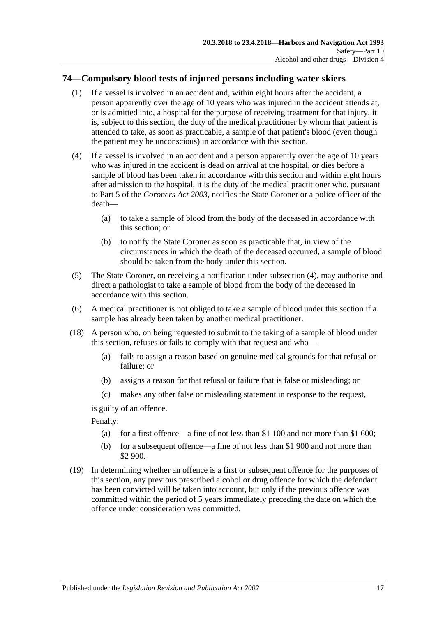# **74—Compulsory blood tests of injured persons including water skiers**

- (1) If a vessel is involved in an accident and, within eight hours after the accident, a person apparently over the age of 10 years who was injured in the accident attends at, or is admitted into, a hospital for the purpose of receiving treatment for that injury, it is, subject to this section, the duty of the medical practitioner by whom that patient is attended to take, as soon as practicable, a sample of that patient's blood (even though the patient may be unconscious) in accordance with this section.
- <span id="page-62-0"></span>(4) If a vessel is involved in an accident and a person apparently over the age of 10 years who was injured in the accident is dead on arrival at the hospital, or dies before a sample of blood has been taken in accordance with this section and within eight hours after admission to the hospital, it is the duty of the medical practitioner who, pursuant to Part 5 of the *[Coroners Act](http://www.legislation.sa.gov.au/index.aspx?action=legref&type=act&legtitle=Coroners%20Act%202003) 2003*, notifies the State Coroner or a police officer of the death—
	- (a) to take a sample of blood from the body of the deceased in accordance with this section; or
	- (b) to notify the State Coroner as soon as practicable that, in view of the circumstances in which the death of the deceased occurred, a sample of blood should be taken from the body under this section.
- (5) The State Coroner, on receiving a notification under [subsection](#page-62-0) (4), may authorise and direct a pathologist to take a sample of blood from the body of the deceased in accordance with this section.
- (6) A medical practitioner is not obliged to take a sample of blood under this section if a sample has already been taken by another medical practitioner.
- (18) A person who, on being requested to submit to the taking of a sample of blood under this section, refuses or fails to comply with that request and who—
	- (a) fails to assign a reason based on genuine medical grounds for that refusal or failure; or
	- (b) assigns a reason for that refusal or failure that is false or misleading; or
	- (c) makes any other false or misleading statement in response to the request,

is guilty of an offence.

Penalty:

- (a) for a first offence—a fine of not less than \$1 100 and not more than \$1 600;
- (b) for a subsequent offence—a fine of not less than \$1 900 and not more than \$2 900.
- (19) In determining whether an offence is a first or subsequent offence for the purposes of this section, any previous prescribed alcohol or drug offence for which the defendant has been convicted will be taken into account, but only if the previous offence was committed within the period of 5 years immediately preceding the date on which the offence under consideration was committed.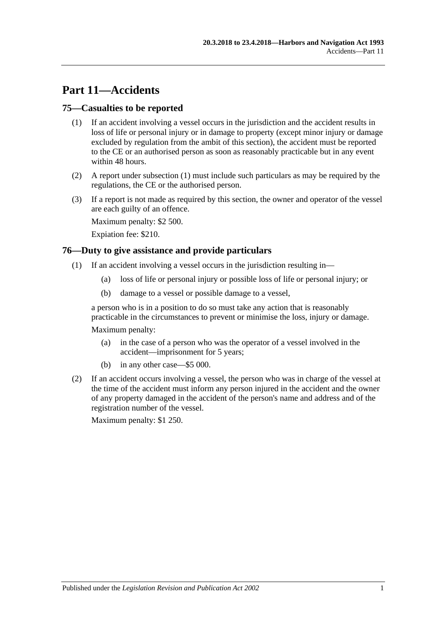# **Part 11—Accidents**

## <span id="page-64-1"></span>**75—Casualties to be reported**

- (1) If an accident involving a vessel occurs in the jurisdiction and the accident results in loss of life or personal injury or in damage to property (except minor injury or damage excluded by regulation from the ambit of this section), the accident must be reported to the CE or an authorised person as soon as reasonably practicable but in any event within 48 hours.
- (2) A report under [subsection](#page-64-1) (1) must include such particulars as may be required by the regulations, the CE or the authorised person.
- (3) If a report is not made as required by this section, the owner and operator of the vessel are each guilty of an offence.

Maximum penalty: \$2 500.

Expiation fee: \$210.

#### <span id="page-64-0"></span>**76—Duty to give assistance and provide particulars**

- (1) If an accident involving a vessel occurs in the jurisdiction resulting in—
	- (a) loss of life or personal injury or possible loss of life or personal injury; or
	- (b) damage to a vessel or possible damage to a vessel,

a person who is in a position to do so must take any action that is reasonably practicable in the circumstances to prevent or minimise the loss, injury or damage.

Maximum penalty:

- (a) in the case of a person who was the operator of a vessel involved in the accident—imprisonment for 5 years;
- (b) in any other case—\$5 000.
- (2) If an accident occurs involving a vessel, the person who was in charge of the vessel at the time of the accident must inform any person injured in the accident and the owner of any property damaged in the accident of the person's name and address and of the registration number of the vessel.

Maximum penalty: \$1 250.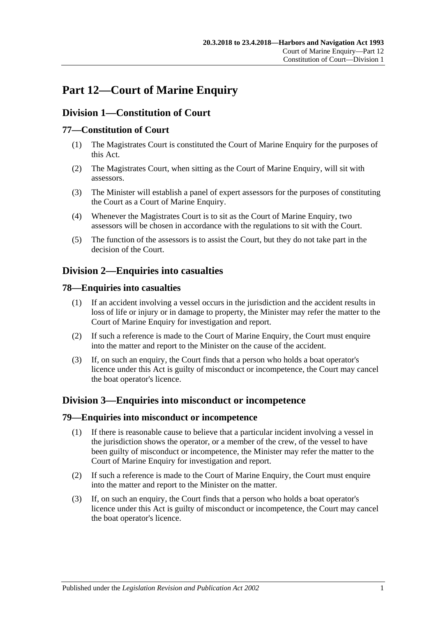# **Part 12—Court of Marine Enquiry**

# **Division 1—Constitution of Court**

## **77—Constitution of Court**

- (1) The Magistrates Court is constituted the Court of Marine Enquiry for the purposes of this Act.
- (2) The Magistrates Court, when sitting as the Court of Marine Enquiry, will sit with assessors.
- (3) The Minister will establish a panel of expert assessors for the purposes of constituting the Court as a Court of Marine Enquiry.
- (4) Whenever the Magistrates Court is to sit as the Court of Marine Enquiry, two assessors will be chosen in accordance with the regulations to sit with the Court.
- (5) The function of the assessors is to assist the Court, but they do not take part in the decision of the Court.

# **Division 2—Enquiries into casualties**

## **78—Enquiries into casualties**

- (1) If an accident involving a vessel occurs in the jurisdiction and the accident results in loss of life or injury or in damage to property, the Minister may refer the matter to the Court of Marine Enquiry for investigation and report.
- (2) If such a reference is made to the Court of Marine Enquiry, the Court must enquire into the matter and report to the Minister on the cause of the accident.
- (3) If, on such an enquiry, the Court finds that a person who holds a boat operator's licence under this Act is guilty of misconduct or incompetence, the Court may cancel the boat operator's licence.

# **Division 3—Enquiries into misconduct or incompetence**

#### **79—Enquiries into misconduct or incompetence**

- (1) If there is reasonable cause to believe that a particular incident involving a vessel in the jurisdiction shows the operator, or a member of the crew, of the vessel to have been guilty of misconduct or incompetence, the Minister may refer the matter to the Court of Marine Enquiry for investigation and report.
- (2) If such a reference is made to the Court of Marine Enquiry, the Court must enquire into the matter and report to the Minister on the matter.
- (3) If, on such an enquiry, the Court finds that a person who holds a boat operator's licence under this Act is guilty of misconduct or incompetence, the Court may cancel the boat operator's licence.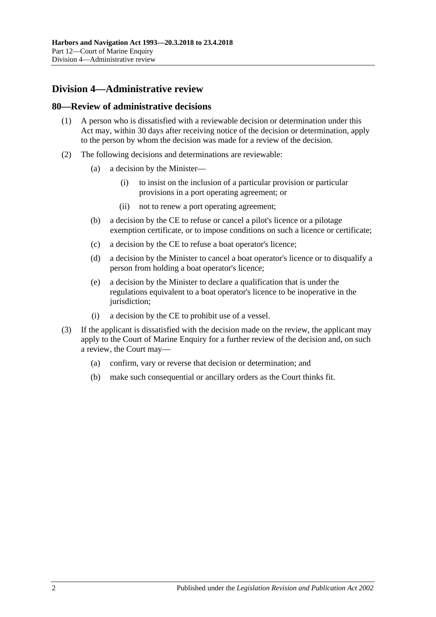# **Division 4—Administrative review**

#### **80—Review of administrative decisions**

- (1) A person who is dissatisfied with a reviewable decision or determination under this Act may, within 30 days after receiving notice of the decision or determination, apply to the person by whom the decision was made for a review of the decision.
- (2) The following decisions and determinations are reviewable:
	- (a) a decision by the Minister—
		- (i) to insist on the inclusion of a particular provision or particular provisions in a port operating agreement; or
		- (ii) not to renew a port operating agreement;
	- (b) a decision by the CE to refuse or cancel a pilot's licence or a pilotage exemption certificate, or to impose conditions on such a licence or certificate;
	- (c) a decision by the CE to refuse a boat operator's licence;
	- (d) a decision by the Minister to cancel a boat operator's licence or to disqualify a person from holding a boat operator's licence;
	- (e) a decision by the Minister to declare a qualification that is under the regulations equivalent to a boat operator's licence to be inoperative in the jurisdiction;
	- (i) a decision by the CE to prohibit use of a vessel.
- (3) If the applicant is dissatisfied with the decision made on the review, the applicant may apply to the Court of Marine Enquiry for a further review of the decision and, on such a review, the Court may—
	- (a) confirm, vary or reverse that decision or determination; and
	- (b) make such consequential or ancillary orders as the Court thinks fit.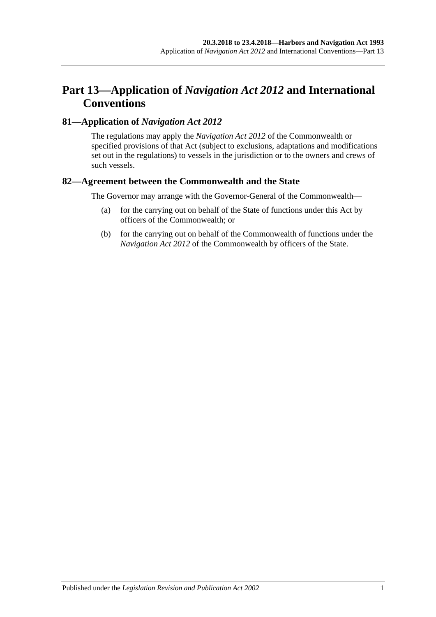# **Part 13—Application of** *Navigation Act 2012* **and International Conventions**

## **81—Application of** *Navigation Act 2012*

The regulations may apply the *Navigation Act 2012* of the Commonwealth or specified provisions of that Act (subject to exclusions, adaptations and modifications set out in the regulations) to vessels in the jurisdiction or to the owners and crews of such vessels.

## **82—Agreement between the Commonwealth and the State**

The Governor may arrange with the Governor-General of the Commonwealth—

- (a) for the carrying out on behalf of the State of functions under this Act by officers of the Commonwealth; or
- (b) for the carrying out on behalf of the Commonwealth of functions under the *Navigation Act 2012* of the Commonwealth by officers of the State.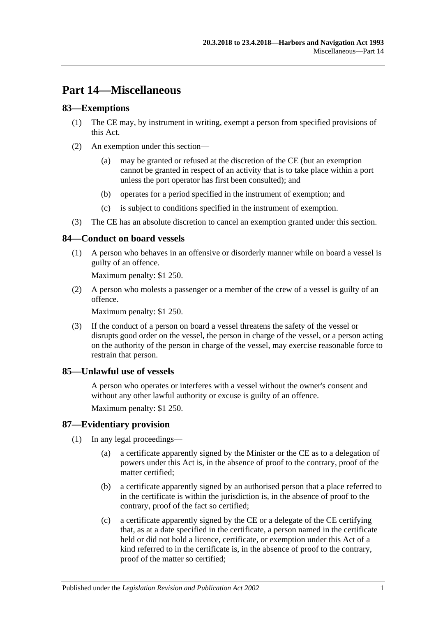# **Part 14—Miscellaneous**

## **83—Exemptions**

- (1) The CE may, by instrument in writing, exempt a person from specified provisions of this Act.
- (2) An exemption under this section—
	- (a) may be granted or refused at the discretion of the CE (but an exemption cannot be granted in respect of an activity that is to take place within a port unless the port operator has first been consulted); and
	- (b) operates for a period specified in the instrument of exemption; and
	- (c) is subject to conditions specified in the instrument of exemption.
- (3) The CE has an absolute discretion to cancel an exemption granted under this section.

## **84—Conduct on board vessels**

(1) A person who behaves in an offensive or disorderly manner while on board a vessel is guilty of an offence.

Maximum penalty: \$1 250.

(2) A person who molests a passenger or a member of the crew of a vessel is guilty of an offence.

Maximum penalty: \$1 250.

(3) If the conduct of a person on board a vessel threatens the safety of the vessel or disrupts good order on the vessel, the person in charge of the vessel, or a person acting on the authority of the person in charge of the vessel, may exercise reasonable force to restrain that person.

## **85—Unlawful use of vessels**

A person who operates or interferes with a vessel without the owner's consent and without any other lawful authority or excuse is guilty of an offence.

Maximum penalty: \$1 250.

## **87—Evidentiary provision**

- (1) In any legal proceedings—
	- (a) a certificate apparently signed by the Minister or the CE as to a delegation of powers under this Act is, in the absence of proof to the contrary, proof of the matter certified;
	- (b) a certificate apparently signed by an authorised person that a place referred to in the certificate is within the jurisdiction is, in the absence of proof to the contrary, proof of the fact so certified;
	- (c) a certificate apparently signed by the CE or a delegate of the CE certifying that, as at a date specified in the certificate, a person named in the certificate held or did not hold a licence, certificate, or exemption under this Act of a kind referred to in the certificate is, in the absence of proof to the contrary, proof of the matter so certified;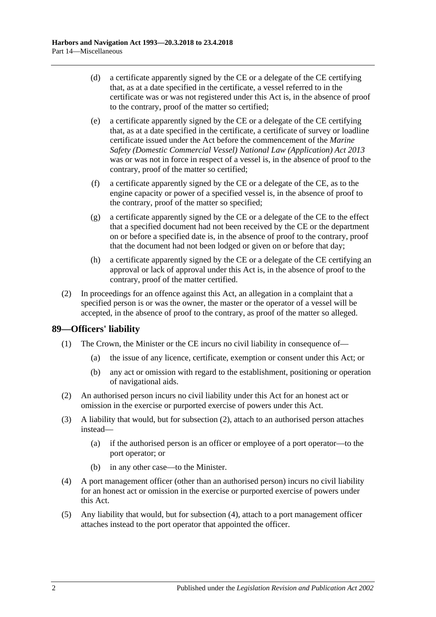- (d) a certificate apparently signed by the CE or a delegate of the CE certifying that, as at a date specified in the certificate, a vessel referred to in the certificate was or was not registered under this Act is, in the absence of proof to the contrary, proof of the matter so certified;
- (e) a certificate apparently signed by the CE or a delegate of the CE certifying that, as at a date specified in the certificate, a certificate of survey or loadline certificate issued under the Act before the commencement of the *[Marine](http://www.legislation.sa.gov.au/index.aspx?action=legref&type=act&legtitle=Marine%20Safety%20(Domestic%20Commercial%20Vessel)%20National%20Law%20(Application)%20Act%202013)  [Safety \(Domestic Commercial Vessel\) National Law \(Application\) Act](http://www.legislation.sa.gov.au/index.aspx?action=legref&type=act&legtitle=Marine%20Safety%20(Domestic%20Commercial%20Vessel)%20National%20Law%20(Application)%20Act%202013) 2013* was or was not in force in respect of a vessel is, in the absence of proof to the contrary, proof of the matter so certified;
- (f) a certificate apparently signed by the CE or a delegate of the CE, as to the engine capacity or power of a specified vessel is, in the absence of proof to the contrary, proof of the matter so specified;
- (g) a certificate apparently signed by the CE or a delegate of the CE to the effect that a specified document had not been received by the CE or the department on or before a specified date is, in the absence of proof to the contrary, proof that the document had not been lodged or given on or before that day;
- (h) a certificate apparently signed by the CE or a delegate of the CE certifying an approval or lack of approval under this Act is, in the absence of proof to the contrary, proof of the matter certified.
- (2) In proceedings for an offence against this Act, an allegation in a complaint that a specified person is or was the owner, the master or the operator of a vessel will be accepted, in the absence of proof to the contrary, as proof of the matter so alleged.

# **89—Officers' liability**

- (1) The Crown, the Minister or the CE incurs no civil liability in consequence of—
	- (a) the issue of any licence, certificate, exemption or consent under this Act; or
	- (b) any act or omission with regard to the establishment, positioning or operation of navigational aids.
- <span id="page-71-0"></span>(2) An authorised person incurs no civil liability under this Act for an honest act or omission in the exercise or purported exercise of powers under this Act.
- (3) A liability that would, but for [subsection](#page-71-0) (2), attach to an authorised person attaches instead—
	- (a) if the authorised person is an officer or employee of a port operator—to the port operator; or
	- (b) in any other case—to the Minister.
- <span id="page-71-1"></span>(4) A port management officer (other than an authorised person) incurs no civil liability for an honest act or omission in the exercise or purported exercise of powers under this Act.
- (5) Any liability that would, but for [subsection](#page-71-1) (4), attach to a port management officer attaches instead to the port operator that appointed the officer.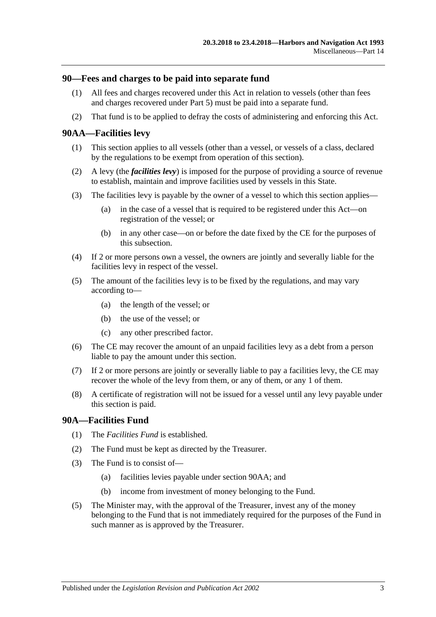## **90—Fees and charges to be paid into separate fund**

- (1) All fees and charges recovered under this Act in relation to vessels (other than fees and charges recovered under [Part 5\)](#page-24-0) must be paid into a separate fund.
- (2) That fund is to be applied to defray the costs of administering and enforcing this Act.

## <span id="page-72-0"></span>**90AA—Facilities levy**

- (1) This section applies to all vessels (other than a vessel, or vessels of a class, declared by the regulations to be exempt from operation of this section).
- (2) A levy (the *facilities levy*) is imposed for the purpose of providing a source of revenue to establish, maintain and improve facilities used by vessels in this State.
- (3) The facilities levy is payable by the owner of a vessel to which this section applies—
	- (a) in the case of a vessel that is required to be registered under this Act—on registration of the vessel; or
	- (b) in any other case—on or before the date fixed by the CE for the purposes of this subsection.
- (4) If 2 or more persons own a vessel, the owners are jointly and severally liable for the facilities levy in respect of the vessel.
- (5) The amount of the facilities levy is to be fixed by the regulations, and may vary according to—
	- (a) the length of the vessel; or
	- (b) the use of the vessel; or
	- (c) any other prescribed factor.
- (6) The CE may recover the amount of an unpaid facilities levy as a debt from a person liable to pay the amount under this section.
- (7) If 2 or more persons are jointly or severally liable to pay a facilities levy, the CE may recover the whole of the levy from them, or any of them, or any 1 of them.
- (8) A certificate of registration will not be issued for a vessel until any levy payable under this section is paid.

### **90A—Facilities Fund**

- (1) The *Facilities Fund* is established.
- (2) The Fund must be kept as directed by the Treasurer.
- (3) The Fund is to consist of—
	- (a) facilities levies payable under [section](#page-72-0) 90AA; and
	- (b) income from investment of money belonging to the Fund.
- (5) The Minister may, with the approval of the Treasurer, invest any of the money belonging to the Fund that is not immediately required for the purposes of the Fund in such manner as is approved by the Treasurer.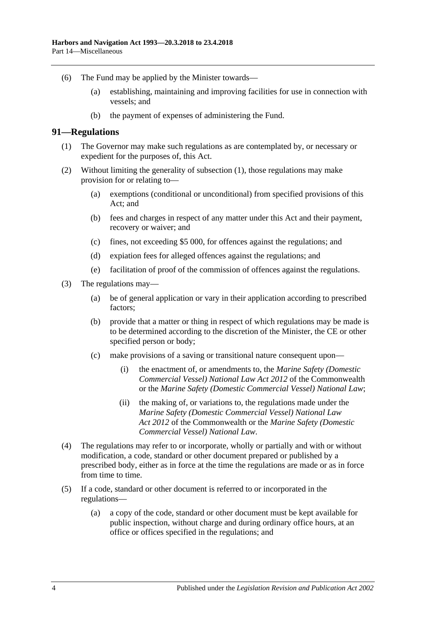- (6) The Fund may be applied by the Minister towards—
	- (a) establishing, maintaining and improving facilities for use in connection with vessels; and
	- (b) the payment of expenses of administering the Fund.

#### <span id="page-73-0"></span>**91—Regulations**

- (1) The Governor may make such regulations as are contemplated by, or necessary or expedient for the purposes of, this Act.
- (2) Without limiting the generality of [subsection](#page-73-0) (1), those regulations may make provision for or relating to—
	- (a) exemptions (conditional or unconditional) from specified provisions of this Act; and
	- (b) fees and charges in respect of any matter under this Act and their payment, recovery or waiver; and
	- (c) fines, not exceeding \$5 000, for offences against the regulations; and
	- (d) expiation fees for alleged offences against the regulations; and
	- (e) facilitation of proof of the commission of offences against the regulations.
- (3) The regulations may—
	- (a) be of general application or vary in their application according to prescribed factors;
	- (b) provide that a matter or thing in respect of which regulations may be made is to be determined according to the discretion of the Minister, the CE or other specified person or body;
	- (c) make provisions of a saving or transitional nature consequent upon—
		- (i) the enactment of, or amendments to, the *Marine Safety (Domestic Commercial Vessel) National Law Act 2012* of the Commonwealth or the *[Marine Safety \(Domestic Commercial Vessel\) National Law](http://www.legislation.sa.gov.au/index.aspx?action=legref&type=act&legtitle=Marine%20Safety%20(Domestic%20Commercial%20Vessel)%20National%20Law)*;
		- (ii) the making of, or variations to, the regulations made under the *Marine Safety (Domestic Commercial Vessel) National Law Act 2012* of the Commonwealth or the *[Marine Safety \(Domestic](http://www.legislation.sa.gov.au/index.aspx?action=legref&type=act&legtitle=Marine%20Safety%20(Domestic%20Commercial%20Vessel)%20National%20Law)  [Commercial Vessel\) National Law](http://www.legislation.sa.gov.au/index.aspx?action=legref&type=act&legtitle=Marine%20Safety%20(Domestic%20Commercial%20Vessel)%20National%20Law)*.
- (4) The regulations may refer to or incorporate, wholly or partially and with or without modification, a code, standard or other document prepared or published by a prescribed body, either as in force at the time the regulations are made or as in force from time to time.
- (5) If a code, standard or other document is referred to or incorporated in the regulations—
	- (a) a copy of the code, standard or other document must be kept available for public inspection, without charge and during ordinary office hours, at an office or offices specified in the regulations; and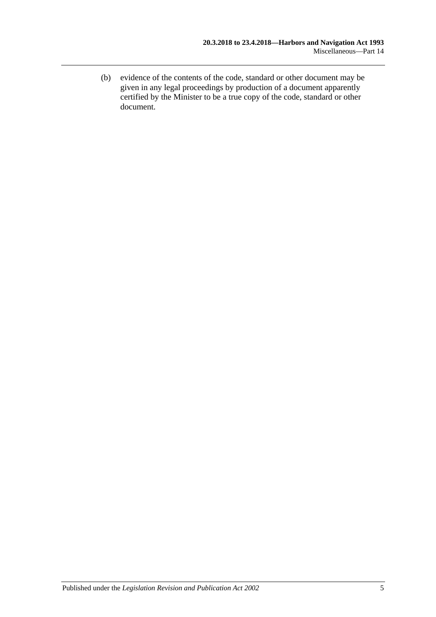(b) evidence of the contents of the code, standard or other document may be given in any legal proceedings by production of a document apparently certified by the Minister to be a true copy of the code, standard or other document.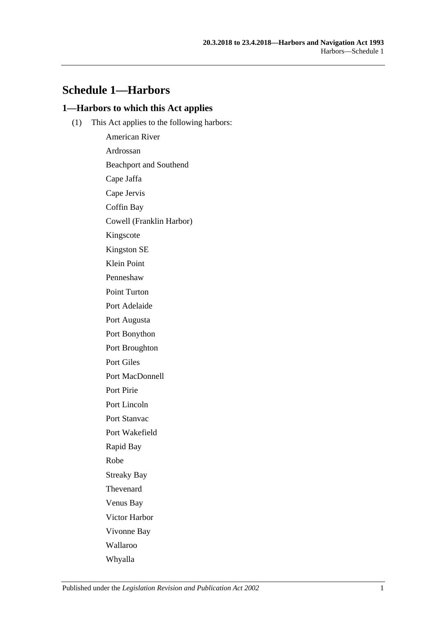## **Schedule 1—Harbors**

## **1—Harbors to which this Act applies**

(1) This Act applies to the following harbors:

American River Ardrossan Beachport and Southend Cape Jaffa Cape Jervis Coffin Bay Cowell (Franklin Harbor) Kingscote Kingston SE Klein Point Penneshaw Point Turton Port Adelaide Port Augusta Port Bonython Port Broughton Port Giles Port MacDonnell Port Pirie Port Lincoln Port Stanvac Port Wakefield Rapid Bay Robe Streaky Bay Thevenard Venus Bay Victor Harbor Vivonne Bay Wallaroo Whyalla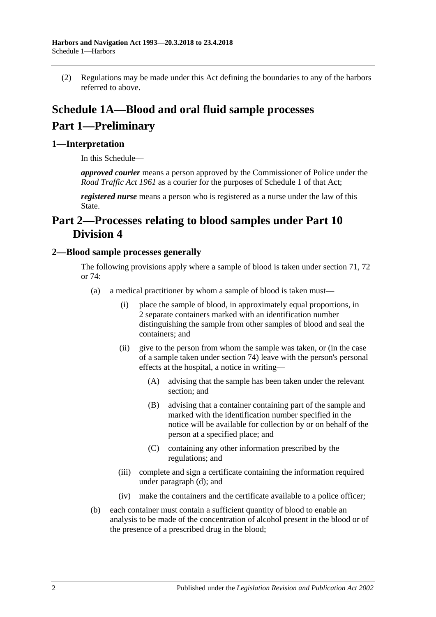(2) Regulations may be made under this Act defining the boundaries to any of the harbors referred to above.

# **Schedule 1A—Blood and oral fluid sample processes Part 1—Preliminary**

## **1—Interpretation**

In this Schedule—

*approved courier* means a person approved by the Commissioner of Police under the *[Road Traffic Act](http://www.legislation.sa.gov.au/index.aspx?action=legref&type=act&legtitle=Road%20Traffic%20Act%201961) 1961* as a courier for the purposes of Schedule 1 of that Act;

*registered nurse* means a person who is registered as a nurse under the law of this State.

## **Part 2—Processes relating to blood samples under [Part 10](#page-49-0)  [Division 4](#page-49-0)**

## <span id="page-77-0"></span>**2—Blood sample processes generally**

The following provisions apply where a sample of blood is taken under [section](#page-50-0) 71, [72](#page-53-0) or [74:](#page-62-0)

- (a) a medical practitioner by whom a sample of blood is taken must—
	- (i) place the sample of blood, in approximately equal proportions, in 2 separate containers marked with an identification number distinguishing the sample from other samples of blood and seal the containers; and
	- (ii) give to the person from whom the sample was taken, or (in the case of a sample taken under [section](#page-62-0) 74) leave with the person's personal effects at the hospital, a notice in writing—
		- (A) advising that the sample has been taken under the relevant section; and
		- (B) advising that a container containing part of the sample and marked with the identification number specified in the notice will be available for collection by or on behalf of the person at a specified place; and
		- (C) containing any other information prescribed by the regulations; and
	- (iii) complete and sign a certificate containing the information required under [paragraph](#page-78-0) (d); and
	- (iv) make the containers and the certificate available to a police officer;
- (b) each container must contain a sufficient quantity of blood to enable an analysis to be made of the concentration of alcohol present in the blood or of the presence of a prescribed drug in the blood;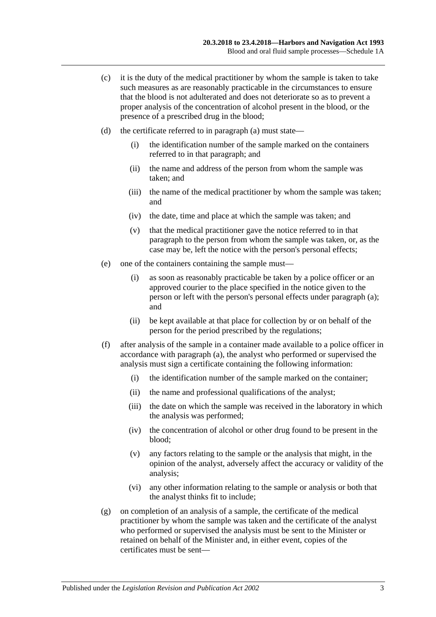- (c) it is the duty of the medical practitioner by whom the sample is taken to take such measures as are reasonably practicable in the circumstances to ensure that the blood is not adulterated and does not deteriorate so as to prevent a proper analysis of the concentration of alcohol present in the blood, or the presence of a prescribed drug in the blood;
- <span id="page-78-0"></span>(d) the certificate referred to in [paragraph](#page-77-0) (a) must state—
	- (i) the identification number of the sample marked on the containers referred to in that paragraph; and
	- (ii) the name and address of the person from whom the sample was taken; and
	- (iii) the name of the medical practitioner by whom the sample was taken; and
	- (iv) the date, time and place at which the sample was taken; and
	- (v) that the medical practitioner gave the notice referred to in that paragraph to the person from whom the sample was taken, or, as the case may be, left the notice with the person's personal effects;
- (e) one of the containers containing the sample must—
	- (i) as soon as reasonably practicable be taken by a police officer or an approved courier to the place specified in the notice given to the person or left with the person's personal effects under [paragraph](#page-77-0) (a); and
	- (ii) be kept available at that place for collection by or on behalf of the person for the period prescribed by the regulations;
- (f) after analysis of the sample in a container made available to a police officer in accordance with [paragraph](#page-77-0) (a), the analyst who performed or supervised the analysis must sign a certificate containing the following information:
	- (i) the identification number of the sample marked on the container;
	- (ii) the name and professional qualifications of the analyst;
	- (iii) the date on which the sample was received in the laboratory in which the analysis was performed;
	- (iv) the concentration of alcohol or other drug found to be present in the blood;
	- (v) any factors relating to the sample or the analysis that might, in the opinion of the analyst, adversely affect the accuracy or validity of the analysis;
	- (vi) any other information relating to the sample or analysis or both that the analyst thinks fit to include;
- (g) on completion of an analysis of a sample, the certificate of the medical practitioner by whom the sample was taken and the certificate of the analyst who performed or supervised the analysis must be sent to the Minister or retained on behalf of the Minister and, in either event, copies of the certificates must be sent—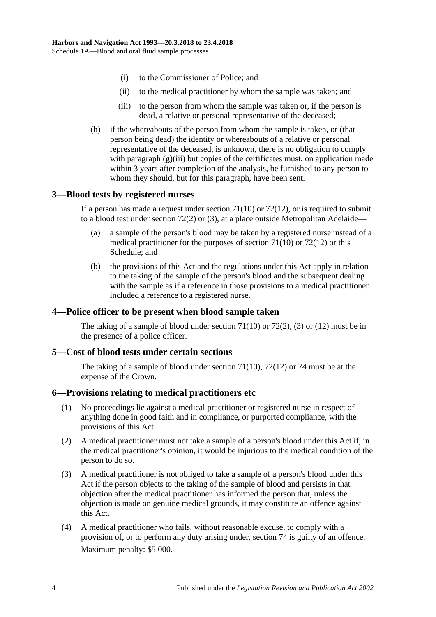- (i) to the Commissioner of Police; and
- (ii) to the medical practitioner by whom the sample was taken; and
- (iii) to the person from whom the sample was taken or, if the person is dead, a relative or personal representative of the deceased;
- <span id="page-79-0"></span>(h) if the whereabouts of the person from whom the sample is taken, or (that person being dead) the identity or whereabouts of a relative or personal representative of the deceased, is unknown, there is no obligation to comply with [paragraph](#page-79-0) (g)(iii) but copies of the certificates must, on application made within 3 years after completion of the analysis, be furnished to any person to whom they should, but for this paragraph, have been sent.

## **3—Blood tests by registered nurses**

If a person has made a request under [section](#page-51-0)  $71(10)$  or  $72(12)$ , or is required to submit to a blood test under [section](#page-53-1) 72(2) or [\(3\),](#page-53-2) at a place outside Metropolitan Adelaide—

- (a) a sample of the person's blood may be taken by a registered nurse instead of a medical practitioner for the purposes of [section](#page-51-0) 71(10) or [72\(12\)](#page-54-0) or this Schedule; and
- (b) the provisions of this Act and the regulations under this Act apply in relation to the taking of the sample of the person's blood and the subsequent dealing with the sample as if a reference in those provisions to a medical practitioner included a reference to a registered nurse.

## **4—Police officer to be present when blood sample taken**

The taking of a sample of blood under [section](#page-51-0)  $71(10)$  or  $72(2)$ , [\(3\)](#page-53-2) or [\(12\)](#page-54-0) must be in the presence of a police officer.

## **5—Cost of blood tests under certain sections**

The taking of a sample of blood under [section](#page-51-0) 71(10), [72\(12\)](#page-54-0) or [74](#page-62-0) must be at the expense of the Crown.

### **6—Provisions relating to medical practitioners etc**

- (1) No proceedings lie against a medical practitioner or registered nurse in respect of anything done in good faith and in compliance, or purported compliance, with the provisions of this Act.
- (2) A medical practitioner must not take a sample of a person's blood under this Act if, in the medical practitioner's opinion, it would be injurious to the medical condition of the person to do so.
- (3) A medical practitioner is not obliged to take a sample of a person's blood under this Act if the person objects to the taking of the sample of blood and persists in that objection after the medical practitioner has informed the person that, unless the objection is made on genuine medical grounds, it may constitute an offence against this Act.
- <span id="page-79-1"></span>(4) A medical practitioner who fails, without reasonable excuse, to comply with a provision of, or to perform any duty arising under, [section](#page-62-0) 74 is guilty of an offence. Maximum penalty: \$5 000.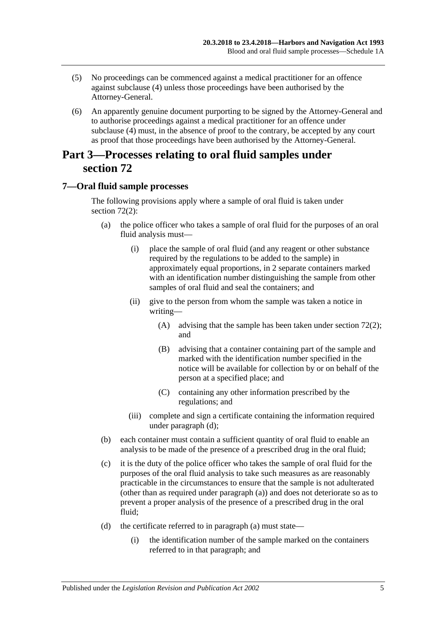- (5) No proceedings can be commenced against a medical practitioner for an offence against [subclause](#page-79-1) (4) unless those proceedings have been authorised by the Attorney-General.
- (6) An apparently genuine document purporting to be signed by the Attorney-General and to authorise proceedings against a medical practitioner for an offence under [subclause](#page-79-1) (4) must, in the absence of proof to the contrary, be accepted by any court as proof that those proceedings have been authorised by the Attorney-General.

## **Part 3—Processes relating to oral fluid samples under [section](#page-53-0) 72**

## <span id="page-80-0"></span>**7—Oral fluid sample processes**

The following provisions apply where a sample of oral fluid is taken under [section](#page-53-1) 72(2):

- (a) the police officer who takes a sample of oral fluid for the purposes of an oral fluid analysis must—
	- (i) place the sample of oral fluid (and any reagent or other substance required by the regulations to be added to the sample) in approximately equal proportions, in 2 separate containers marked with an identification number distinguishing the sample from other samples of oral fluid and seal the containers; and
	- (ii) give to the person from whom the sample was taken a notice in writing—
		- (A) advising that the sample has been taken under [section](#page-53-1) 72(2); and
		- (B) advising that a container containing part of the sample and marked with the identification number specified in the notice will be available for collection by or on behalf of the person at a specified place; and
		- (C) containing any other information prescribed by the regulations; and
	- (iii) complete and sign a certificate containing the information required under [paragraph](#page-78-0) (d);
- (b) each container must contain a sufficient quantity of oral fluid to enable an analysis to be made of the presence of a prescribed drug in the oral fluid;
- (c) it is the duty of the police officer who takes the sample of oral fluid for the purposes of the oral fluid analysis to take such measures as are reasonably practicable in the circumstances to ensure that the sample is not adulterated (other than as required under [paragraph](#page-80-0) (a)) and does not deteriorate so as to prevent a proper analysis of the presence of a prescribed drug in the oral fluid;
- (d) the certificate referred to in [paragraph](#page-77-0) (a) must state—
	- (i) the identification number of the sample marked on the containers referred to in that paragraph; and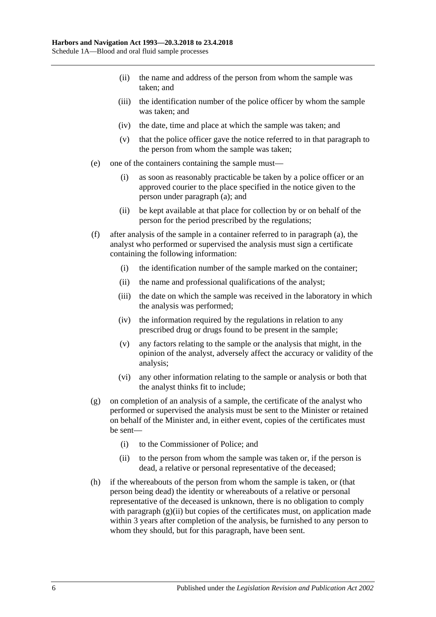- (ii) the name and address of the person from whom the sample was taken; and
- (iii) the identification number of the police officer by whom the sample was taken; and
- (iv) the date, time and place at which the sample was taken; and
- (v) that the police officer gave the notice referred to in that paragraph to the person from whom the sample was taken;
- (e) one of the containers containing the sample must—
	- (i) as soon as reasonably practicable be taken by a police officer or an approved courier to the place specified in the notice given to the person under [paragraph](#page-80-0) (a); and
	- (ii) be kept available at that place for collection by or on behalf of the person for the period prescribed by the regulations;
- (f) after analysis of the sample in a container referred to in [paragraph](#page-80-0) (a), the analyst who performed or supervised the analysis must sign a certificate containing the following information:
	- (i) the identification number of the sample marked on the container;
	- (ii) the name and professional qualifications of the analyst;
	- (iii) the date on which the sample was received in the laboratory in which the analysis was performed;
	- (iv) the information required by the regulations in relation to any prescribed drug or drugs found to be present in the sample;
	- (v) any factors relating to the sample or the analysis that might, in the opinion of the analyst, adversely affect the accuracy or validity of the analysis;
	- (vi) any other information relating to the sample or analysis or both that the analyst thinks fit to include;
- (g) on completion of an analysis of a sample, the certificate of the analyst who performed or supervised the analysis must be sent to the Minister or retained on behalf of the Minister and, in either event, copies of the certificates must be sent—
	- (i) to the Commissioner of Police; and
	- (ii) to the person from whom the sample was taken or, if the person is dead, a relative or personal representative of the deceased;
- <span id="page-81-0"></span>(h) if the whereabouts of the person from whom the sample is taken, or (that person being dead) the identity or whereabouts of a relative or personal representative of the deceased is unknown, there is no obligation to comply with [paragraph](#page-81-0)  $(g)(ii)$  but copies of the certificates must, on application made within 3 years after completion of the analysis, be furnished to any person to whom they should, but for this paragraph, have been sent.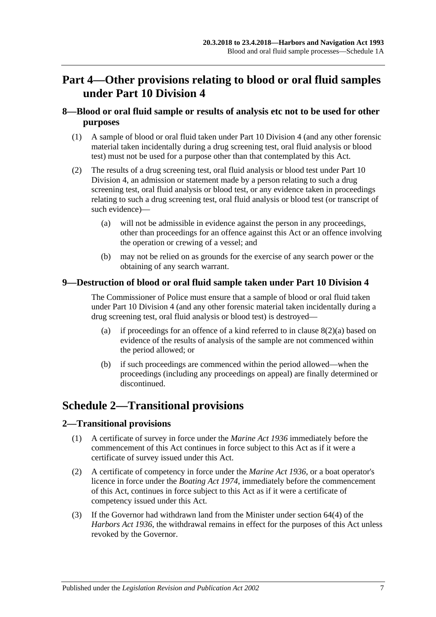## **Part 4—Other provisions relating to blood or oral fluid samples under [Part 10 Division 4](#page-49-0)**

## **8—Blood or oral fluid sample or results of analysis etc not to be used for other purposes**

- (1) A sample of blood or oral fluid taken under [Part 10 Division 4](#page-49-0) (and any other forensic material taken incidentally during a drug screening test, oral fluid analysis or blood test) must not be used for a purpose other than that contemplated by this Act.
- <span id="page-82-0"></span>(2) The results of a drug screening test, oral fluid analysis or blood test under [Part 10](#page-49-0)  [Division 4,](#page-49-0) an admission or statement made by a person relating to such a drug screening test, oral fluid analysis or blood test, or any evidence taken in proceedings relating to such a drug screening test, oral fluid analysis or blood test (or transcript of such evidence)—
	- (a) will not be admissible in evidence against the person in any proceedings, other than proceedings for an offence against this Act or an offence involving the operation or crewing of a vessel; and
	- (b) may not be relied on as grounds for the exercise of any search power or the obtaining of any search warrant.

## **9—Destruction of blood or oral fluid sample taken under [Part 10 Division 4](#page-49-0)**

The Commissioner of Police must ensure that a sample of blood or oral fluid taken under [Part 10 Division 4](#page-49-0) (and any other forensic material taken incidentally during a drug screening test, oral fluid analysis or blood test) is destroyed—

- (a) if proceedings for an offence of a kind referred to in clause  $8(2)(a)$  based on evidence of the results of analysis of the sample are not commenced within the period allowed; or
- (b) if such proceedings are commenced within the period allowed—when the proceedings (including any proceedings on appeal) are finally determined or discontinued.

## **Schedule 2—Transitional provisions**

## **2—Transitional provisions**

- (1) A certificate of survey in force under the *[Marine Act](http://www.legislation.sa.gov.au/index.aspx?action=legref&type=act&legtitle=Marine%20Act%201936) 1936* immediately before the commencement of this Act continues in force subject to this Act as if it were a certificate of survey issued under this Act.
- (2) A certificate of competency in force under the *[Marine Act](http://www.legislation.sa.gov.au/index.aspx?action=legref&type=act&legtitle=Marine%20Act%201936) 1936*, or a boat operator's licence in force under the *[Boating Act](http://www.legislation.sa.gov.au/index.aspx?action=legref&type=act&legtitle=Boating%20Act%201974) 1974*, immediately before the commencement of this Act, continues in force subject to this Act as if it were a certificate of competency issued under this Act.
- (3) If the Governor had withdrawn land from the Minister under section 64(4) of the *[Harbors Act](http://www.legislation.sa.gov.au/index.aspx?action=legref&type=act&legtitle=Harbors%20Act%201936) 1936*, the withdrawal remains in effect for the purposes of this Act unless revoked by the Governor.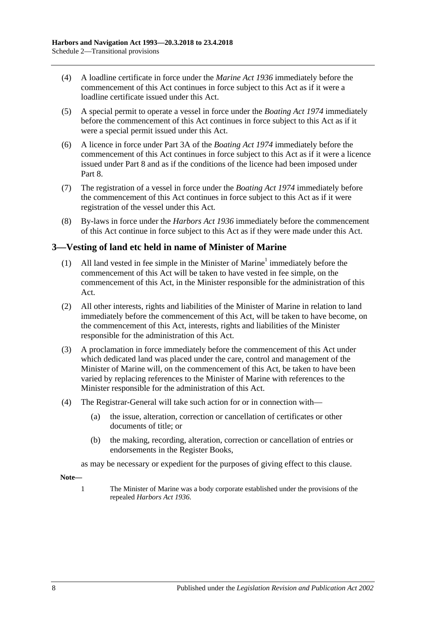- (4) A loadline certificate in force under the *[Marine Act](http://www.legislation.sa.gov.au/index.aspx?action=legref&type=act&legtitle=Marine%20Act%201936) 1936* immediately before the commencement of this Act continues in force subject to this Act as if it were a loadline certificate issued under this Act.
- (5) A special permit to operate a vessel in force under the *[Boating Act](http://www.legislation.sa.gov.au/index.aspx?action=legref&type=act&legtitle=Boating%20Act%201974) 1974* immediately before the commencement of this Act continues in force subject to this Act as if it were a special permit issued under this Act.
- (6) A licence in force under Part 3A of the *[Boating Act](http://www.legislation.sa.gov.au/index.aspx?action=legref&type=act&legtitle=Boating%20Act%201974) 1974* immediately before the commencement of this Act continues in force subject to this Act as if it were a licence issued under [Part 8](#page-40-0) and as if the conditions of the licence had been imposed under [Part](#page-40-0) 8.
- (7) The registration of a vessel in force under the *[Boating Act](http://www.legislation.sa.gov.au/index.aspx?action=legref&type=act&legtitle=Boating%20Act%201974) 1974* immediately before the commencement of this Act continues in force subject to this Act as if it were registration of the vessel under this Act.
- (8) By-laws in force under the *[Harbors Act](http://www.legislation.sa.gov.au/index.aspx?action=legref&type=act&legtitle=Harbors%20Act%201936) 1936* immediately before the commencement of this Act continue in force subject to this Act as if they were made under this Act.

## **3—Vesting of land etc held in name of Minister of Marine**

- (1) All land vested in fee simple in the Minister of Marine<sup>1</sup> immediately before the commencement of this Act will be taken to have vested in fee simple, on the commencement of this Act, in the Minister responsible for the administration of this Act.
- (2) All other interests, rights and liabilities of the Minister of Marine in relation to land immediately before the commencement of this Act, will be taken to have become, on the commencement of this Act, interests, rights and liabilities of the Minister responsible for the administration of this Act.
- (3) A proclamation in force immediately before the commencement of this Act under which dedicated land was placed under the care, control and management of the Minister of Marine will, on the commencement of this Act, be taken to have been varied by replacing references to the Minister of Marine with references to the Minister responsible for the administration of this Act.
- (4) The Registrar-General will take such action for or in connection with—
	- (a) the issue, alteration, correction or cancellation of certificates or other documents of title; or
	- (b) the making, recording, alteration, correction or cancellation of entries or endorsements in the Register Books,

as may be necessary or expedient for the purposes of giving effect to this clause.

**Note—**

1 The Minister of Marine was a body corporate established under the provisions of the repealed *[Harbors Act](http://www.legislation.sa.gov.au/index.aspx?action=legref&type=act&legtitle=Harbors%20Act%201936) 1936*.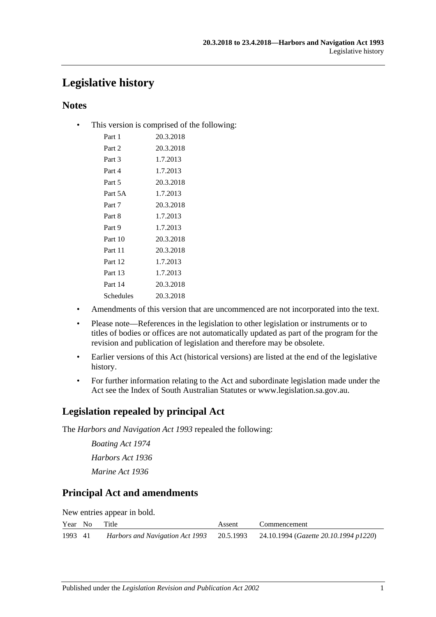## **Legislative history**

## **Notes**

• This version is comprised of the following:

| Part 1    | 20.3.2018 |
|-----------|-----------|
| Part 2    | 20.3.2018 |
| Part 3    | 1.7.2013  |
| Part 4    | 1.7.2013  |
| Part 5    | 20.3.2018 |
| Part 5A   | 1.7.2013  |
| Part 7    | 20.3.2018 |
| Part 8    | 1.7.2013  |
| Part 9    | 1.7.2013  |
| Part 10   | 20.3.2018 |
| Part 11   | 20.3.2018 |
| Part 12   | 1.7.2013  |
| Part 13   | 1.7.2013  |
| Part 14   | 20.3.2018 |
| Schedules | 20.3.2018 |

- Amendments of this version that are uncommenced are not incorporated into the text.
- Please note—References in the legislation to other legislation or instruments or to titles of bodies or offices are not automatically updated as part of the program for the revision and publication of legislation and therefore may be obsolete.
- Earlier versions of this Act (historical versions) are listed at the end of the legislative history.
- For further information relating to the Act and subordinate legislation made under the Act see the Index of South Australian Statutes or www.legislation.sa.gov.au.

## **Legislation repealed by principal Act**

The *Harbors and Navigation Act 1993* repealed the following:

*Boating Act 1974 Harbors Act 1936 Marine Act 1936*

## **Principal Act and amendments**

| New entries appear in bold. |  |  |  |  |  |
|-----------------------------|--|--|--|--|--|
|-----------------------------|--|--|--|--|--|

|         | Year No Title | Assent | Commencement                                                                    |
|---------|---------------|--------|---------------------------------------------------------------------------------|
| 1993 41 |               |        | Harbors and Navigation Act 1993 20.5.1993 24.10.1994 (Gazette 20.10.1994 p1220) |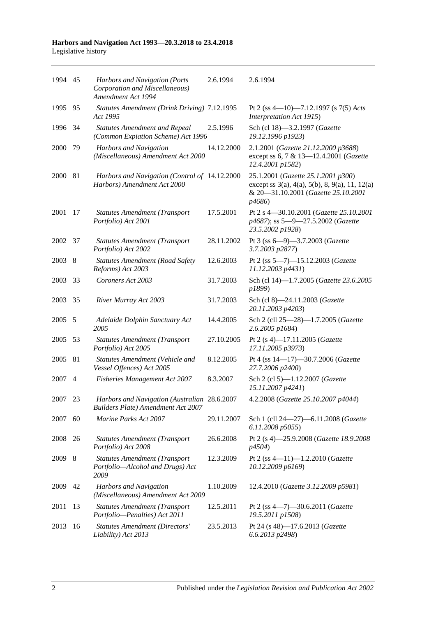| 1994 45 |     | Harbors and Navigation (Ports<br>Corporation and Miscellaneous)<br>Amendment Act 1994     | 2.6.1994   | 2.6.1994                                                                                                                                                  |
|---------|-----|-------------------------------------------------------------------------------------------|------------|-----------------------------------------------------------------------------------------------------------------------------------------------------------|
| 1995    | 95  | Statutes Amendment (Drink Driving) 7.12.1995<br>Act 1995                                  |            | Pt 2 (ss 4-10)-7.12.1997 (s 7(5) Acts<br>Interpretation Act 1915)                                                                                         |
| 1996    | 34  | <b>Statutes Amendment and Repeal</b><br>(Common Expiation Scheme) Act 1996                | 2.5.1996   | Sch (cl 18)-3.2.1997 (Gazette<br>19.12.1996 p1923)                                                                                                        |
| 2000    | 79  | Harbors and Navigation<br>(Miscellaneous) Amendment Act 2000                              | 14.12.2000 | 2.1.2001 (Gazette 21.12.2000 p3688)<br>except ss 6, 7 & 13-12.4.2001 (Gazette<br>12.4.2001 p1582)                                                         |
| 2000    | 81  | Harbors and Navigation (Control of 14.12.2000<br>Harbors) Amendment Act 2000              |            | 25.1.2001 (Gazette 25.1.2001 p300)<br>except ss $3(a)$ , $4(a)$ , $5(b)$ , $8$ , $9(a)$ , $11$ , $12(a)$<br>& 20-31.10.2001 (Gazette 25.10.2001<br>p4686) |
| 2001    | 17  | <b>Statutes Amendment (Transport</b><br>Portfolio) Act 2001                               | 17.5.2001  | Pt 2 s 4-30.10.2001 (Gazette 25.10.2001<br>p4687); ss 5-9-27.5.2002 (Gazette<br>23.5.2002 p1928)                                                          |
| 2002    | 37  | <b>Statutes Amendment (Transport</b><br>Portfolio) Act 2002                               | 28.11.2002 | Pt 3 (ss 6-9)-3.7.2003 (Gazette<br>3.7.2003 p2877)                                                                                                        |
| 2003    | - 8 | <b>Statutes Amendment (Road Safety</b><br>Reforms) Act 2003                               | 12.6.2003  | Pt 2 (ss 5-7)-15.12.2003 (Gazette<br>11.12.2003 p4431)                                                                                                    |
| 2003    | 33  | Coroners Act 2003                                                                         | 31.7.2003  | Sch (cl 14)-1.7.2005 (Gazette 23.6.2005<br>p1899)                                                                                                         |
| 2003    | 35  | River Murray Act 2003                                                                     | 31.7.2003  | Sch (cl 8)-24.11.2003 (Gazette<br>20.11.2003 p4203)                                                                                                       |
| 2005    | 5   | Adelaide Dolphin Sanctuary Act<br>2005                                                    | 14.4.2005  | Sch 2 (cll 25-28)-1.7.2005 (Gazette<br>2.6.2005 p1684)                                                                                                    |
| 2005    | 53  | <b>Statutes Amendment (Transport</b><br>Portfolio) Act 2005                               | 27.10.2005 | Pt 2 (s 4)-17.11.2005 (Gazette<br>17.11.2005 p3973)                                                                                                       |
| 2005    | 81  | Statutes Amendment (Vehicle and<br>Vessel Offences) Act 2005                              | 8.12.2005  | Pt 4 (ss 14-17)-30.7.2006 (Gazette<br>27.7.2006 p2400)                                                                                                    |
| 2007    | 4   | Fisheries Management Act 2007                                                             | 8.3.2007   | Sch 2 (cl 5)-1.12.2007 (Gazette<br>15.11.2007 p4241)                                                                                                      |
| 2007    | 23  | Harbors and Navigation (Australian 28.6.2007<br><b>Builders Plate) Amendment Act 2007</b> |            | 4.2.2008 (Gazette 25.10.2007 p4044)                                                                                                                       |
| 2007    | 60  | Marine Parks Act 2007                                                                     | 29.11.2007 | Sch 1 (cll 24-27)-6.11.2008 (Gazette<br>6.11.2008 p5055)                                                                                                  |
| 2008    | 26  | <b>Statutes Amendment (Transport</b><br>Portfolio) Act 2008                               | 26.6.2008  | Pt 2 (s 4)-25.9.2008 (Gazette 18.9.2008<br>p4504)                                                                                                         |
| 2009    | 8   | <b>Statutes Amendment (Transport</b><br>Portfolio-Alcohol and Drugs) Act<br>2009          | 12.3.2009  | Pt 2 (ss 4-11)-1.2.2010 (Gazette<br>10.12.2009 p6169)                                                                                                     |
| 2009    | 42  | Harbors and Navigation<br>(Miscellaneous) Amendment Act 2009                              | 1.10.2009  | 12.4.2010 (Gazette 3.12.2009 p5981)                                                                                                                       |
| 2011    | 13  | <b>Statutes Amendment (Transport</b><br>Portfolio-Penalties) Act 2011                     | 12.5.2011  | Pt 2 (ss 4-7)-30.6.2011 (Gazette<br>19.5.2011 p1508)                                                                                                      |
| 2013    | 16  | <b>Statutes Amendment (Directors'</b><br>Liability) Act 2013                              | 23.5.2013  | Pt 24 (s 48)-17.6.2013 (Gazette<br>6.6.2013 p2498)                                                                                                        |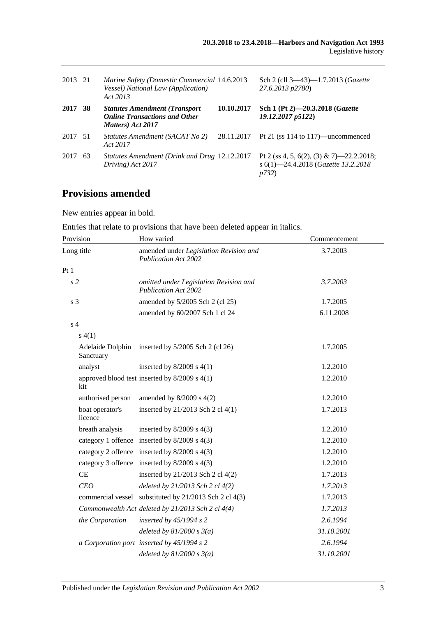| 2013 21 |    | Marine Safety (Domestic Commercial 14.6.2013<br>Vessel) National Law (Application)<br>Act 2013      |            | Sch 2 (cll 3–43)–1.7.2013 ( <i>Gazette</i><br>27.6.2013 p2780)                                   |
|---------|----|-----------------------------------------------------------------------------------------------------|------------|--------------------------------------------------------------------------------------------------|
| 2017    | 38 | <b>Statutes Amendment (Transport</b> )<br><b>Online Transactions and Other</b><br>Matters) Act 2017 | 10.10.2017 | Sch 1 (Pt 2)-20.3.2018 (Gazette<br>19.12.2017 p5122)                                             |
| 2017 51 |    | Statutes Amendment (SACAT No 2)<br>Act 2017                                                         | 28.11.2017 | Pt 21 (ss $114$ to $117$ )—uncommenced                                                           |
| 2017    | 63 | Statutes Amendment (Drink and Drug 12.12.2017<br>Driving) Act 2017                                  |            | Pt 2 (ss 4, 5, 6(2), (3) & 7)—22.2.2018;<br>s 6(1)-24.4.2018 (Gazette 13.2.2018<br><i>p</i> 732) |

## **Provisions amended**

New entries appear in bold.

Entries that relate to provisions that have been deleted appear in italics.

| Provision                     | How varied                                                            | Commencement |
|-------------------------------|-----------------------------------------------------------------------|--------------|
| Long title                    | amended under Legislation Revision and<br><b>Publication Act 2002</b> | 3.7.2003     |
| Pt1                           |                                                                       |              |
| s <sub>2</sub>                | omitted under Legislation Revision and<br><b>Publication Act 2002</b> | 3.7.2003     |
| s <sub>3</sub>                | amended by 5/2005 Sch 2 (cl 25)                                       | 1.7.2005     |
|                               | amended by 60/2007 Sch 1 cl 24                                        | 6.11.2008    |
| s <sub>4</sub>                |                                                                       |              |
| s(4(1))                       |                                                                       |              |
| Adelaide Dolphin<br>Sanctuary | inserted by $5/2005$ Sch 2 (cl 26)                                    | 1.7.2005     |
| analyst                       | inserted by $8/2009$ s $4(1)$                                         | 1.2.2010     |
| kit                           | approved blood test inserted by $8/2009$ s $4(1)$                     | 1.2.2010     |
| authorised person             | amended by $8/2009$ s $4(2)$                                          | 1.2.2010     |
| boat operator's<br>licence    | inserted by 21/2013 Sch 2 cl 4(1)                                     | 1.7.2013     |
| breath analysis               | inserted by $8/2009$ s $4(3)$                                         | 1.2.2010     |
|                               | category 1 offence inserted by 8/2009 s 4(3)                          | 1.2.2010     |
|                               | category 2 offence inserted by $8/2009$ s $4(3)$                      | 1.2.2010     |
|                               | category 3 offence inserted by 8/2009 s 4(3)                          | 1.2.2010     |
| <b>CE</b>                     | inserted by 21/2013 Sch 2 cl 4(2)                                     | 1.7.2013     |
| <b>CEO</b>                    | deleted by 21/2013 Sch 2 cl 4(2)                                      | 1.7.2013     |
|                               | commercial vessel substituted by 21/2013 Sch 2 cl 4(3)                | 1.7.2013     |
|                               | Commonwealth Act deleted by 21/2013 Sch 2 cl 4(4)                     | 1.7.2013     |
| the Corporation               | inserted by $45/1994 s 2$                                             | 2.6.1994     |
|                               | deleted by $81/2000 s 3(a)$                                           | 31.10.2001   |
|                               | a Corporation port inserted by 45/1994 s 2                            | 2.6.1994     |
|                               | deleted by $81/2000 s 3(a)$                                           | 31.10.2001   |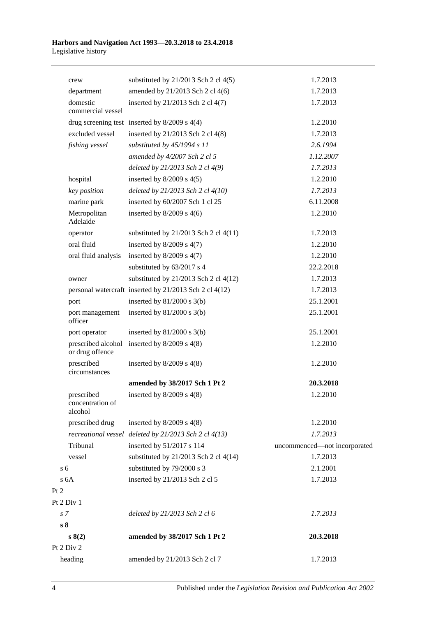|                | crew                                      | substituted by $21/2013$ Sch 2 cl 4(5)                 | 1.7.2013                     |
|----------------|-------------------------------------------|--------------------------------------------------------|------------------------------|
|                | department                                | amended by 21/2013 Sch 2 cl 4(6)                       | 1.7.2013                     |
|                | domestic<br>commercial vessel             | inserted by 21/2013 Sch 2 cl 4(7)                      | 1.7.2013                     |
|                |                                           | drug screening test inserted by $8/2009$ s $4(4)$      | 1.2.2010                     |
|                | excluded vessel                           | inserted by 21/2013 Sch 2 cl 4(8)                      | 1.7.2013                     |
|                | fishing vessel                            | substituted by 45/1994 s 11                            | 2.6.1994                     |
|                |                                           | amended by 4/2007 Sch 2 cl 5                           | 1.12.2007                    |
|                |                                           | deleted by 21/2013 Sch 2 cl 4(9)                       | 1.7.2013                     |
|                | hospital                                  | inserted by $8/2009$ s $4(5)$                          | 1.2.2010                     |
|                | key position                              | deleted by 21/2013 Sch 2 cl 4(10)                      | 1.7.2013                     |
|                | marine park                               | inserted by 60/2007 Sch 1 cl 25                        | 6.11.2008                    |
|                | Metropolitan<br>Adelaide                  | inserted by $8/2009$ s $4(6)$                          | 1.2.2010                     |
|                | operator                                  | substituted by $21/2013$ Sch 2 cl $4(11)$              | 1.7.2013                     |
|                | oral fluid                                | inserted by $8/2009$ s $4(7)$                          | 1.2.2010                     |
|                | oral fluid analysis                       | inserted by $8/2009$ s $4(7)$                          | 1.2.2010                     |
|                |                                           | substituted by 63/2017 s 4                             | 22.2.2018                    |
|                | owner                                     | substituted by $21/2013$ Sch 2 cl $4(12)$              | 1.7.2013                     |
|                |                                           | personal watercraft inserted by 21/2013 Sch 2 cl 4(12) | 1.7.2013                     |
|                | port                                      | inserted by $81/2000$ s $3(b)$                         | 25.1.2001                    |
|                | port management<br>officer                | inserted by $81/2000$ s $3(b)$                         | 25.1.2001                    |
|                | port operator                             | inserted by $81/2000$ s $3(b)$                         | 25.1.2001                    |
|                | prescribed alcohol<br>or drug offence     | inserted by $8/2009$ s $4(8)$                          | 1.2.2010                     |
|                | prescribed<br>circumstances               | inserted by $8/2009$ s $4(8)$                          | 1.2.2010                     |
|                |                                           | amended by 38/2017 Sch 1 Pt 2                          | 20.3.2018                    |
|                | prescribed<br>concentration of<br>alcohol | inserted by $8/2009$ s $4(8)$                          | 1.2.2010                     |
|                | prescribed drug                           | inserted by $8/2009$ s $4(8)$                          | 1.2.2010                     |
|                |                                           | recreational vessel deleted by 21/2013 Sch 2 cl 4(13)  | 1.7.2013                     |
|                | Tribunal                                  | inserted by 51/2017 s 114                              | uncommenced-not incorporated |
|                | vessel                                    | substituted by $21/2013$ Sch 2 cl 4(14)                | 1.7.2013                     |
| s <sub>6</sub> |                                           | substituted by 79/2000 s 3                             | 2.1.2001                     |
|                | s <sub>6A</sub>                           | inserted by 21/2013 Sch 2 cl 5                         | 1.7.2013                     |
| Pt 2           |                                           |                                                        |                              |
|                | Pt 2 Div 1                                |                                                        |                              |
| s <sub>7</sub> |                                           | deleted by 21/2013 Sch 2 cl 6                          | 1.7.2013                     |
| s <sub>8</sub> |                                           |                                                        |                              |
|                | s(2)                                      | amended by 38/2017 Sch 1 Pt 2                          | 20.3.2018                    |
|                | Pt 2 Div 2                                |                                                        |                              |
|                | heading                                   | amended by 21/2013 Sch 2 cl 7                          | 1.7.2013                     |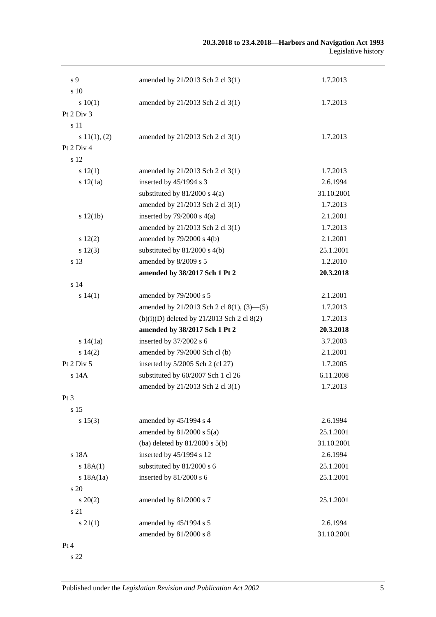#### **20.3.2018 to 23.4.2018—Harbors and Navigation Act 1993** Legislative history

| s <sub>9</sub>  | amended by 21/2013 Sch 2 cl 3(1)             | 1.7.2013   |
|-----------------|----------------------------------------------|------------|
| s 10            |                                              |            |
| 10(1)           | amended by 21/2013 Sch 2 cl 3(1)             | 1.7.2013   |
| Pt $2$ Div $3$  |                                              |            |
| s 11            |                                              |            |
| s 11(1), (2)    | amended by 21/2013 Sch 2 cl 3(1)             | 1.7.2013   |
| Pt 2 Div 4      |                                              |            |
| s 12            |                                              |            |
| s 12(1)         | amended by 21/2013 Sch 2 cl 3(1)             | 1.7.2013   |
| s 12(1a)        | inserted by 45/1994 s 3                      | 2.6.1994   |
|                 | substituted by $81/2000$ s $4(a)$            | 31.10.2001 |
|                 | amended by 21/2013 Sch 2 cl 3(1)             | 1.7.2013   |
| s 12(1b)        | inserted by $79/2000$ s $4(a)$               | 2.1.2001   |
|                 | amended by 21/2013 Sch 2 cl 3(1)             | 1.7.2013   |
| 12(2)           | amended by 79/2000 s 4(b)                    | 2.1.2001   |
| s 12(3)         | substituted by $81/2000$ s $4(b)$            | 25.1.2001  |
| s 13            | amended by 8/2009 s 5                        | 1.2.2010   |
|                 | amended by 38/2017 Sch 1 Pt 2                | 20.3.2018  |
| s <sub>14</sub> |                                              |            |
| s 14(1)         | amended by 79/2000 s 5                       | 2.1.2001   |
|                 | amended by 21/2013 Sch 2 cl 8(1), (3)–(5)    | 1.7.2013   |
|                 | $(b)(i)(D)$ deleted by 21/2013 Sch 2 cl 8(2) | 1.7.2013   |
|                 | amended by 38/2017 Sch 1 Pt 2                | 20.3.2018  |
| s 14(1a)        | inserted by 37/2002 s 6                      | 3.7.2003   |
| s 14(2)         | amended by 79/2000 Sch cl (b)                | 2.1.2001   |
| Pt $2$ Div $5$  | inserted by 5/2005 Sch 2 (cl 27)             | 1.7.2005   |
| $s$ 14 $A$      | substituted by 60/2007 Sch 1 cl 26           | 6.11.2008  |
|                 | amended by 21/2013 Sch 2 cl 3(1)             | 1.7.2013   |
| Pt 3            |                                              |            |
| s 15            |                                              |            |
| s 15(3)         | amended by 45/1994 s 4                       | 2.6.1994   |
|                 | amended by $81/2000$ s $5(a)$                | 25.1.2001  |
|                 | (ba) deleted by $81/2000$ s $5(b)$           | 31.10.2001 |
| s 18A           | inserted by 45/1994 s 12                     | 2.6.1994   |
| s 18A(1)        | substituted by 81/2000 s 6                   | 25.1.2001  |
| s 18A(1a)       | inserted by 81/2000 s 6                      | 25.1.2001  |
| $\frac{1}{20}$  |                                              |            |
| $s\,20(2)$      | amended by 81/2000 s 7                       | 25.1.2001  |
| s 21            |                                              |            |
| $s \, 21(1)$    | amended by 45/1994 s 5                       | 2.6.1994   |
|                 | amended by 81/2000 s 8                       | 31.10.2001 |
| Pt 4            |                                              |            |
|                 |                                              |            |

s 22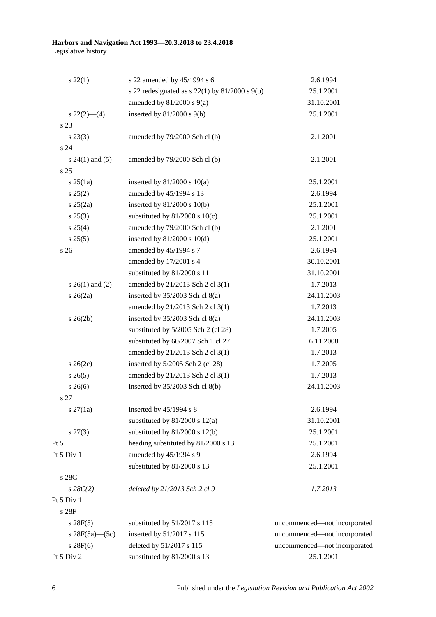| $s\,22(1)$           | s 22 amended by 45/1994 s 6                          | 2.6.1994                     |
|----------------------|------------------------------------------------------|------------------------------|
|                      | s 22 redesignated as s $22(1)$ by $81/2000$ s $9(b)$ | 25.1.2001                    |
|                      | amended by $81/2000$ s $9(a)$                        | 31.10.2001                   |
| $s\,22(2)$ - (4)     | inserted by $81/2000$ s $9(b)$                       | 25.1.2001                    |
| s 23                 |                                                      |                              |
| $s\,23(3)$           | amended by 79/2000 Sch cl (b)                        | 2.1.2001                     |
| s 24                 |                                                      |                              |
| s $24(1)$ and $(5)$  | amended by 79/2000 Sch cl (b)                        | 2.1.2001                     |
| s 25                 |                                                      |                              |
| $s$ 25(1a)           | inserted by $81/2000$ s $10(a)$                      | 25.1.2001                    |
| s 25(2)              | amended by 45/1994 s 13                              | 2.6.1994                     |
| $s \; 25(2a)$        | inserted by $81/2000$ s $10(b)$                      | 25.1.2001                    |
| $s\,25(3)$           | substituted by $81/2000$ s $10(c)$                   | 25.1.2001                    |
| $s \; 25(4)$         | amended by 79/2000 Sch cl (b)                        | 2.1.2001                     |
| s 25(5)              | inserted by $81/2000$ s $10(d)$                      | 25.1.2001                    |
| s <sub>26</sub>      | amended by 45/1994 s 7                               | 2.6.1994                     |
|                      | amended by 17/2001 s 4                               | 30.10.2001                   |
|                      | substituted by 81/2000 s 11                          | 31.10.2001                   |
| s $26(1)$ and $(2)$  | amended by 21/2013 Sch 2 cl 3(1)                     | 1.7.2013                     |
| $s \; 26(2a)$        | inserted by 35/2003 Sch cl 8(a)                      | 24.11.2003                   |
|                      | amended by 21/2013 Sch 2 cl 3(1)                     | 1.7.2013                     |
| $s \; 26(2b)$        | inserted by 35/2003 Sch cl 8(a)                      | 24.11.2003                   |
|                      | substituted by 5/2005 Sch 2 (cl 28)                  | 1.7.2005                     |
|                      | substituted by 60/2007 Sch 1 cl 27                   | 6.11.2008                    |
|                      | amended by 21/2013 Sch 2 cl 3(1)                     | 1.7.2013                     |
| $s \; 26(2c)$        | inserted by 5/2005 Sch 2 (cl 28)                     | 1.7.2005                     |
| $s \, 26(5)$         | amended by 21/2013 Sch 2 cl 3(1)                     | 1.7.2013                     |
| $s \; 26(6)$         | inserted by 35/2003 Sch cl 8(b)                      | 24.11.2003                   |
| s 27                 |                                                      |                              |
| $s \, 27(1a)$        | inserted by $45/1994$ s 8                            | 2.6.1994                     |
|                      | substituted by $81/2000$ s $12(a)$                   | 31.10.2001                   |
| $s\,27(3)$           | substituted by 81/2000 s 12(b)                       | 25.1.2001                    |
| $Pt\,5$              | heading substituted by 81/2000 s 13                  | 25.1.2001                    |
| Pt 5 Div 1           | amended by 45/1994 s 9                               | 2.6.1994                     |
|                      | substituted by 81/2000 s 13                          | 25.1.2001                    |
| s 28C                |                                                      |                              |
| $s\,28C(2)$          | deleted by 21/2013 Sch 2 cl 9                        | 1.7.2013                     |
| Pt 5 Div 1           |                                                      |                              |
| s 28F                |                                                      |                              |
| $s \, 28F(5)$        | substituted by 51/2017 s 115                         | uncommenced—not incorporated |
| s $28F(5a)$ — $(5c)$ | inserted by 51/2017 s 115                            | uncommenced-not incorporated |
| s 28F(6)             | deleted by 51/2017 s 115                             | uncommenced-not incorporated |
| Pt 5 Div 2           | substituted by 81/2000 s 13                          | 25.1.2001                    |
|                      |                                                      |                              |

6 Published under the *Legislation Revision and Publication Act 2002*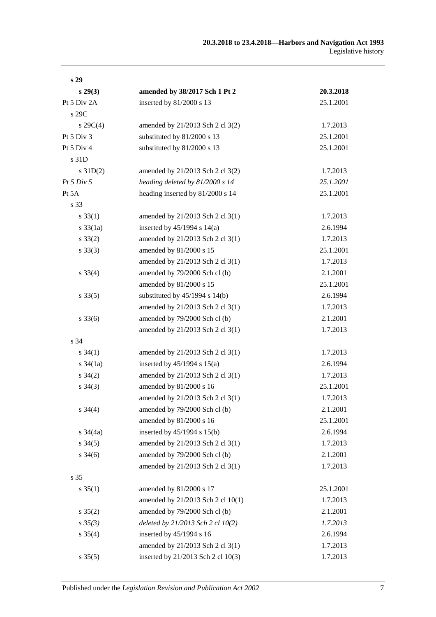| s <sub>29</sub>     |                                    |           |
|---------------------|------------------------------------|-----------|
| $s\,29(3)$          | amended by 38/2017 Sch 1 Pt 2      | 20.3.2018 |
| Pt 5 Div 2A         | inserted by 81/2000 s 13           | 25.1.2001 |
| s 29C               |                                    |           |
| $s \, 29C(4)$       | amended by 21/2013 Sch 2 cl 3(2)   | 1.7.2013  |
| Pt 5 Div 3          | substituted by 81/2000 s 13        | 25.1.2001 |
| Pt 5 Div 4          | substituted by 81/2000 s 13        | 25.1.2001 |
| s 31D               |                                    |           |
| $s \, 31D(2)$       | amended by 21/2013 Sch 2 cl 3(2)   | 1.7.2013  |
| Pt 5 Div 5          | heading deleted by 81/2000 s 14    | 25.1.2001 |
| Pt 5A               | heading inserted by 81/2000 s 14   | 25.1.2001 |
| s 33                |                                    |           |
| $s \, 33(1)$        | amended by 21/2013 Sch 2 cl 3(1)   | 1.7.2013  |
| $s \frac{33}{1a}$   | inserted by $45/1994$ s $14(a)$    | 2.6.1994  |
| $s \, 33(2)$        | amended by 21/2013 Sch 2 cl 3(1)   | 1.7.2013  |
| $s \, 33(3)$        | amended by 81/2000 s 15            | 25.1.2001 |
|                     | amended by 21/2013 Sch 2 cl 3(1)   | 1.7.2013  |
| $s \, 33(4)$        | amended by 79/2000 Sch cl (b)      | 2.1.2001  |
|                     | amended by 81/2000 s 15            | 25.1.2001 |
| $s \, 33(5)$        | substituted by $45/1994$ s $14(b)$ | 2.6.1994  |
|                     | amended by 21/2013 Sch 2 cl 3(1)   | 1.7.2013  |
| $s \, 33(6)$        | amended by 79/2000 Sch cl (b)      | 2.1.2001  |
|                     | amended by 21/2013 Sch 2 cl 3(1)   | 1.7.2013  |
| s 34                |                                    |           |
| $s \, 34(1)$        | amended by 21/2013 Sch 2 cl 3(1)   | 1.7.2013  |
| $s \frac{34}{1a}$   | inserted by $45/1994$ s $15(a)$    | 2.6.1994  |
| $s \, 34(2)$        | amended by 21/2013 Sch 2 cl 3(1)   | 1.7.2013  |
| $s \; 34(3)$        | amended by 81/2000 s 16            | 25.1.2001 |
|                     | amended by 21/2013 Sch 2 cl 3(1)   | 1.7.2013  |
| $s \; 34(4)$        | amended by 79/2000 Sch cl (b)      | 2.1.2001  |
|                     | amended by 81/2000 s 16            | 25.1.2001 |
| s $34(4a)$          | inserted by 45/1994 s 15(b)        | 2.6.1994  |
| $s \; 34(5)$        | amended by 21/2013 Sch 2 cl 3(1)   | 1.7.2013  |
| $s \frac{34(6)}{2}$ | amended by 79/2000 Sch cl (b)      | 2.1.2001  |
|                     | amended by 21/2013 Sch 2 cl 3(1)   | 1.7.2013  |
| s 35                |                                    |           |
| $s \, 35(1)$        | amended by 81/2000 s 17            | 25.1.2001 |
|                     | amended by 21/2013 Sch 2 cl 10(1)  | 1.7.2013  |
| $s \, 35(2)$        | amended by 79/2000 Sch cl (b)      | 2.1.2001  |
| $s \, 35(3)$        | deleted by 21/2013 Sch 2 cl 10(2)  | 1.7.2013  |
| $s \; 35(4)$        | inserted by 45/1994 s 16           | 2.6.1994  |
|                     | amended by 21/2013 Sch 2 cl 3(1)   | 1.7.2013  |
| $s \, 35(5)$        | inserted by 21/2013 Sch 2 cl 10(3) | 1.7.2013  |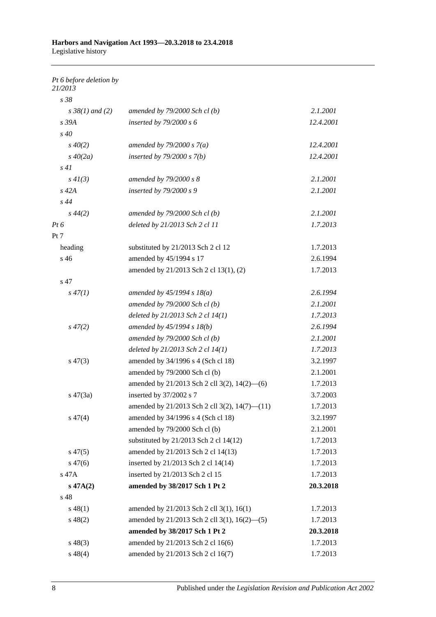*Pt 6 before deletion by 21/2013*

| s 38                 |                                               |           |
|----------------------|-----------------------------------------------|-----------|
| $s \, 38(1)$ and (2) | amended by $79/2000$ Sch cl(b)                | 2.1.2001  |
| s 39A                | inserted by $79/2000 s 6$                     | 12.4.2001 |
| $s\,40$              |                                               |           |
| $s\,40(2)$           | amended by $79/2000 s 7(a)$                   | 12.4.2001 |
| $s\,40(2a)$          | inserted by $79/2000 s 7(b)$                  | 12.4.2001 |
| s41                  |                                               |           |
| $s\,4I(3)$           | amended by 79/2000 s 8                        | 2.1.2001  |
| $s$ 42 $A$           | inserted by $79/2000 s$ 9                     | 2.1.2001  |
| s44                  |                                               |           |
| $s\,44(2)$           | amended by $79/2000$ Sch cl(b)                | 2.1.2001  |
| $Pt\,6$              | deleted by 21/2013 Sch 2 cl 11                | 1.7.2013  |
| Pt 7                 |                                               |           |
| heading              | substituted by 21/2013 Sch 2 cl 12            | 1.7.2013  |
| s 46                 | amended by 45/1994 s 17                       | 2.6.1994  |
|                      | amended by 21/2013 Sch 2 cl 13(1), (2)        | 1.7.2013  |
| s 47                 |                                               |           |
| $s\,47(1)$           | amended by $45/1994 s 18(a)$                  | 2.6.1994  |
|                      | amended by $79/2000$ Sch cl(b)                | 2.1.2001  |
|                      | deleted by $21/2013$ Sch 2 cl $14(1)$         | 1.7.2013  |
| $s\,47(2)$           | amended by $45/1994 s 18(b)$                  | 2.6.1994  |
|                      | amended by $79/2000$ Sch cl(b)                | 2.1.2001  |
|                      | deleted by $21/2013$ Sch 2 cl $14(1)$         | 1.7.2013  |
| $s\,47(3)$           | amended by 34/1996 s 4 (Sch cl 18)            | 3.2.1997  |
|                      | amended by 79/2000 Sch cl (b)                 | 2.1.2001  |
|                      | amended by 21/2013 Sch 2 cll 3(2), 14(2)–(6)  | 1.7.2013  |
| $s\ 47(3a)$          | inserted by 37/2002 s 7                       | 3.7.2003  |
|                      | amended by 21/2013 Sch 2 cll 3(2), 14(7)–(11) | 1.7.2013  |
| $s\,47(4)$           | amended by 34/1996 s 4 (Sch cl 18)            | 3.2.1997  |
|                      | amended by 79/2000 Sch cl (b)                 | 2.1.2001  |
|                      | substituted by 21/2013 Sch 2 cl 14(12)        | 1.7.2013  |
| $s\,47(5)$           | amended by 21/2013 Sch 2 cl 14(13)            | 1.7.2013  |
| $s\,47(6)$           | inserted by 21/2013 Sch 2 cl 14(14)           | 1.7.2013  |
| s 47A                | inserted by 21/2013 Sch 2 cl 15               | 1.7.2013  |
| $s\ 47A(2)$          | amended by 38/2017 Sch 1 Pt 2                 | 20.3.2018 |
| s 48                 |                                               |           |
| $s\,48(1)$           | amended by 21/2013 Sch 2 cll 3(1), 16(1)      | 1.7.2013  |
| $s\ 48(2)$           | amended by 21/2013 Sch 2 cll 3(1), 16(2)–(5)  | 1.7.2013  |
|                      | amended by 38/2017 Sch 1 Pt 2                 | 20.3.2018 |
| $s\,48(3)$           | amended by 21/2013 Sch 2 cl 16(6)             | 1.7.2013  |
| $s\,48(4)$           | amended by 21/2013 Sch 2 cl 16(7)             | 1.7.2013  |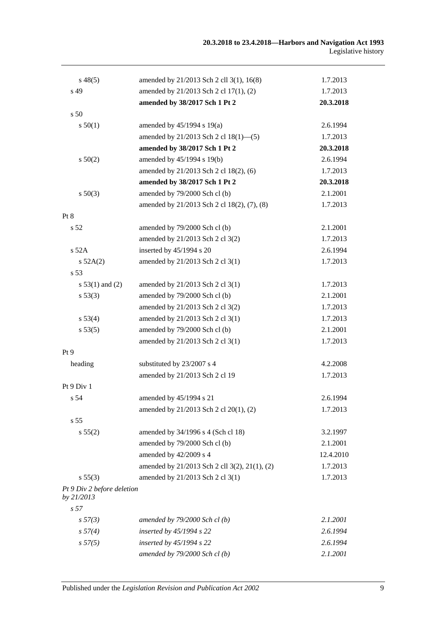| $s\,48(5)$                               | amended by 21/2013 Sch 2 cll 3(1), 16(8)      | 1.7.2013  |
|------------------------------------------|-----------------------------------------------|-----------|
| s 49                                     | amended by 21/2013 Sch 2 cl 17(1), (2)        | 1.7.2013  |
|                                          | amended by 38/2017 Sch 1 Pt 2                 | 20.3.2018 |
| s 50                                     |                                               |           |
| s 50(1)                                  | amended by $45/1994$ s 19(a)                  | 2.6.1994  |
|                                          | amended by 21/2013 Sch 2 cl 18(1)–(5)         | 1.7.2013  |
|                                          | amended by 38/2017 Sch 1 Pt 2                 | 20.3.2018 |
| $s\,50(2)$                               | amended by 45/1994 s 19(b)                    | 2.6.1994  |
|                                          | amended by 21/2013 Sch 2 cl 18(2), (6)        | 1.7.2013  |
|                                          | amended by 38/2017 Sch 1 Pt 2                 | 20.3.2018 |
| $s\ 50(3)$                               | amended by 79/2000 Sch cl (b)                 | 2.1.2001  |
|                                          | amended by 21/2013 Sch 2 cl 18(2), (7), (8)   | 1.7.2013  |
| Pt 8                                     |                                               |           |
| s <sub>52</sub>                          | amended by 79/2000 Sch cl (b)                 | 2.1.2001  |
|                                          | amended by 21/2013 Sch 2 cl 3(2)              | 1.7.2013  |
| $s$ 52A                                  | inserted by 45/1994 s 20                      | 2.6.1994  |
| s 52A(2)                                 | amended by 21/2013 Sch 2 cl 3(1)              | 1.7.2013  |
| s 53                                     |                                               |           |
| s $53(1)$ and (2)                        | amended by 21/2013 Sch 2 cl 3(1)              | 1.7.2013  |
| s 53(3)                                  | amended by 79/2000 Sch cl (b)                 | 2.1.2001  |
|                                          | amended by 21/2013 Sch 2 cl 3(2)              | 1.7.2013  |
| s 53(4)                                  | amended by 21/2013 Sch 2 cl 3(1)              | 1.7.2013  |
| s 53(5)                                  | amended by 79/2000 Sch cl (b)                 | 2.1.2001  |
|                                          | amended by 21/2013 Sch 2 cl 3(1)              | 1.7.2013  |
| Pt 9                                     |                                               |           |
| heading                                  | substituted by 23/2007 s 4                    | 4.2.2008  |
|                                          | amended by 21/2013 Sch 2 cl 19                | 1.7.2013  |
| Pt 9 Div 1                               |                                               |           |
| s <sub>54</sub>                          | amended by 45/1994 s 21                       | 2.6.1994  |
|                                          | amended by 21/2013 Sch 2 cl 20(1), (2)        | 1.7.2013  |
| s <sub>55</sub>                          |                                               |           |
| s 55(2)                                  | amended by 34/1996 s 4 (Sch cl 18)            | 3.2.1997  |
|                                          | amended by 79/2000 Sch cl (b)                 | 2.1.2001  |
|                                          | amended by 42/2009 s 4                        | 12.4.2010 |
|                                          | amended by 21/2013 Sch 2 cll 3(2), 21(1), (2) | 1.7.2013  |
| s 55(3)                                  | amended by 21/2013 Sch 2 cl 3(1)              | 1.7.2013  |
| Pt 9 Div 2 before deletion<br>by 21/2013 |                                               |           |
| s <sub>57</sub>                          |                                               |           |
| s 57(3)                                  | amended by $79/2000$ Sch cl(b)                | 2.1.2001  |
| s 57(4)                                  | inserted by 45/1994 s 22                      | 2.6.1994  |
| s 57(5)                                  | inserted by 45/1994 s 22                      | 2.6.1994  |
|                                          | amended by $79/2000$ Sch cl(b)                | 2.1.2001  |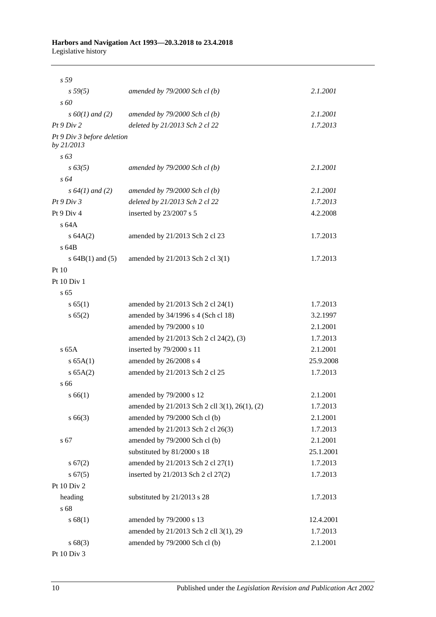| s 59                                     |                                               |           |
|------------------------------------------|-----------------------------------------------|-----------|
| s 59(5)                                  | amended by $79/2000$ Sch cl(b)                | 2.1.2001  |
| $s\,60$                                  |                                               |           |
| $s\ 60(1)$ and (2)                       | amended by $79/2000$ Sch cl(b)                | 2.1.2001  |
| Pt9 Div2                                 | deleted by 21/2013 Sch 2 cl 22                | 1.7.2013  |
| Pt 9 Div 3 before deletion<br>by 21/2013 |                                               |           |
| $s\,63$                                  |                                               |           |
| $s\,63(5)$                               | amended by $79/2000$ Sch cl(b)                | 2.1.2001  |
| $s\,64$                                  |                                               |           |
| $s\,64(1)$ and (2)                       | amended by $79/2000$ Sch cl(b)                | 2.1.2001  |
| Pt9 Div3                                 | deleted by 21/2013 Sch 2 cl 22                | 1.7.2013  |
| Pt 9 Div 4                               | inserted by 23/2007 s 5                       | 4.2.2008  |
| s64A                                     |                                               |           |
| s 64A(2)                                 | amended by 21/2013 Sch 2 cl 23                | 1.7.2013  |
| s 64B                                    |                                               |           |
| s $64B(1)$ and $(5)$                     | amended by 21/2013 Sch 2 cl 3(1)              | 1.7.2013  |
| Pt 10                                    |                                               |           |
| Pt $10$ Div $1$                          |                                               |           |
| s 65                                     |                                               |           |
| s 65(1)                                  | amended by 21/2013 Sch 2 cl 24(1)             | 1.7.2013  |
| s 65(2)                                  | amended by 34/1996 s 4 (Sch cl 18)            | 3.2.1997  |
|                                          | amended by 79/2000 s 10                       | 2.1.2001  |
|                                          | amended by 21/2013 Sch 2 cl 24(2), (3)        | 1.7.2013  |
| $s$ 65A                                  | inserted by 79/2000 s 11                      | 2.1.2001  |
| s 65A(1)                                 | amended by 26/2008 s 4                        | 25.9.2008 |
| s 65A(2)                                 | amended by 21/2013 Sch 2 cl 25                | 1.7.2013  |
| s 66                                     |                                               |           |
| s 66(1)                                  | amended by 79/2000 s 12                       | 2.1.2001  |
|                                          | amended by 21/2013 Sch 2 cll 3(1), 26(1), (2) | 1.7.2013  |
| $s\,66(3)$                               | amended by 79/2000 Sch cl (b)                 | 2.1.2001  |
|                                          | amended by 21/2013 Sch 2 cl 26(3)             | 1.7.2013  |
| s 67                                     | amended by 79/2000 Sch cl (b)                 | 2.1.2001  |
|                                          | substituted by 81/2000 s 18                   | 25.1.2001 |
| s 67(2)                                  | amended by 21/2013 Sch 2 cl 27(1)             | 1.7.2013  |
| s 67(5)                                  | inserted by 21/2013 Sch 2 cl 27(2)            | 1.7.2013  |
| Pt 10 Div 2                              |                                               |           |
| heading                                  | substituted by 21/2013 s 28                   | 1.7.2013  |
| s 68                                     |                                               |           |
| s 68(1)                                  | amended by 79/2000 s 13                       | 12.4.2001 |
|                                          | amended by 21/2013 Sch 2 cll 3(1), 29         | 1.7.2013  |
| s 68(3)                                  | amended by 79/2000 Sch cl (b)                 | 2.1.2001  |
| Pt 10 Div 3                              |                                               |           |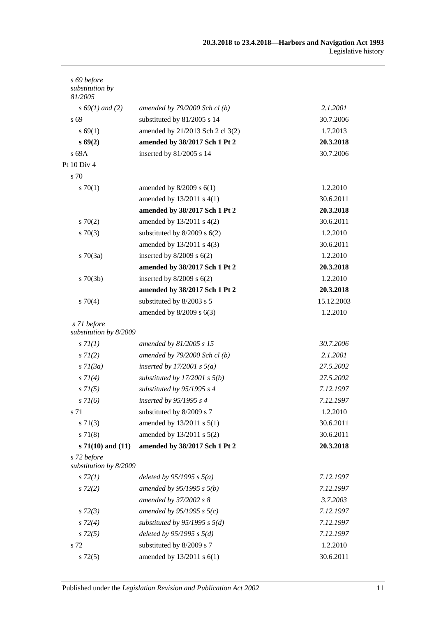| s 69 before<br>substitution by<br>81/2005 |                                   |            |
|-------------------------------------------|-----------------------------------|------------|
| $s\,69(1)$ and (2)                        | amended by $79/2000$ Sch cl(b)    | 2.1.2001   |
| s 69                                      | substituted by 81/2005 s 14       | 30.7.2006  |
| s 69(1)                                   | amended by 21/2013 Sch 2 cl 3(2)  | 1.7.2013   |
| s69(2)                                    | amended by 38/2017 Sch 1 Pt 2     | 20.3.2018  |
| s 69A                                     | inserted by 81/2005 s 14          | 30.7.2006  |
| Pt 10 Div 4                               |                                   |            |
| s 70                                      |                                   |            |
| 570(1)                                    | amended by $8/2009$ s $6(1)$      | 1.2.2010   |
|                                           | amended by $13/2011$ s $4(1)$     | 30.6.2011  |
|                                           | amended by 38/2017 Sch 1 Pt 2     | 20.3.2018  |
| 570(2)                                    | amended by 13/2011 s 4(2)         | 30.6.2011  |
| $s \, 70(3)$                              | substituted by $8/2009$ s $6(2)$  | 1.2.2010   |
|                                           | amended by 13/2011 s 4(3)         | 30.6.2011  |
| $s \, 70(3a)$                             | inserted by $8/2009$ s $6(2)$     | 1.2.2010   |
|                                           | amended by 38/2017 Sch 1 Pt 2     | 20.3.2018  |
| $s \, 70(3b)$                             | inserted by $8/2009$ s $6(2)$     | 1.2.2010   |
|                                           | amended by 38/2017 Sch 1 Pt 2     | 20.3.2018  |
| $s \, 70(4)$                              | substituted by 8/2003 s 5         | 15.12.2003 |
|                                           | amended by $8/2009$ s $6(3)$      | 1.2.2010   |
| s 71 before<br>substitution by 8/2009     |                                   |            |
| s 7l(1)                                   | amended by 81/2005 s 15           | 30.7.2006  |
| $s \, 7l(2)$                              | amended by $79/2000$ Sch cl(b)    | 2.1.2001   |
| $s \, 7l(3a)$                             | inserted by $17/2001 s 5(a)$      | 27.5.2002  |
| $s \, 7I(4)$                              | substituted by $17/2001$ s $5(b)$ | 27.5.2002  |
| $s \, 71(5)$                              | substituted by 95/1995 s 4        | 7.12.1997  |
| $s \, 7l(6)$                              | inserted by 95/1995 s 4           | 7.12.1997  |
| s 71                                      | substituted by 8/2009 s 7         | 1.2.2010   |
| $s \, 71(3)$                              | amended by 13/2011 s 5(1)         | 30.6.2011  |
| $s \, 71(8)$                              | amended by 13/2011 s 5(2)         | 30.6.2011  |
| s $71(10)$ and $(11)$                     | amended by 38/2017 Sch 1 Pt 2     | 20.3.2018  |
| s 72 before<br>substitution by 8/2009     |                                   |            |
| $s\,72(1)$                                | deleted by $95/1995 s 5(a)$       | 7.12.1997  |
| $s\,72(2)$                                | amended by $95/1995 s 5(b)$       | 7.12.1997  |
|                                           | amended by 37/2002 s 8            | 3.7.2003   |
| $s\,72(3)$                                | amended by $95/1995 s 5(c)$       | 7.12.1997  |
| $s\,72(4)$                                | substituted by $95/1995$ s $5(d)$ | 7.12.1997  |
| $s\,72(5)$                                | deleted by $95/1995 s 5(d)$       | 7.12.1997  |
| s 72                                      | substituted by 8/2009 s 7         | 1.2.2010   |
| $s\,72(5)$                                | amended by 13/2011 s 6(1)         | 30.6.2011  |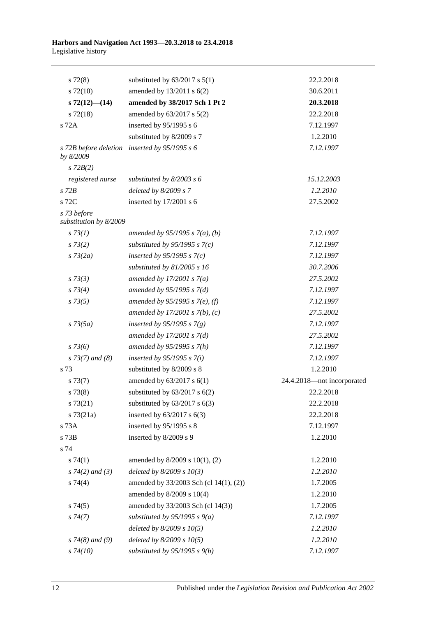| $s\,72(8)$                            | substituted by $63/2017$ s $5(1)$             | 22.2.2018                  |
|---------------------------------------|-----------------------------------------------|----------------------------|
| $s\ 72(10)$                           | amended by 13/2011 s 6(2)                     | 30.6.2011                  |
| $s\,72(12)$ — $(14)$                  | amended by 38/2017 Sch 1 Pt 2                 | 20.3.2018                  |
| $s$ 72(18)                            | amended by 63/2017 s 5(2)                     | 22.2.2018                  |
| s 72A                                 | inserted by $95/1995$ s 6                     | 7.12.1997                  |
|                                       | substituted by 8/2009 s 7                     | 1.2.2010                   |
| by 8/2009                             | s 72B before deletion inserted by 95/1995 s 6 | 7.12.1997                  |
| $s$ 72 $B(2)$                         |                                               |                            |
| registered nurse                      | substituted by $8/2003$ s 6                   | 15.12.2003                 |
| $s$ 72 $B$                            | deleted by $8/2009 s 7$                       | 1.2.2010                   |
| s 72C                                 | inserted by $17/2001$ s 6                     | 27.5.2002                  |
| s 73 before<br>substitution by 8/2009 |                                               |                            |
| s 73(1)                               | amended by 95/1995 s $7(a)$ , (b)             | 7.12.1997                  |
| $s \, 73(2)$                          | substituted by $95/1995$ s $7(c)$             | 7.12.1997                  |
| $s \, 73(2a)$                         | inserted by $95/1995$ s $7(c)$                | 7.12.1997                  |
|                                       | substituted by $81/2005$ s 16                 | 30.7.2006                  |
| $s \, 73(3)$                          | amended by $17/2001 s 7(a)$                   | 27.5.2002                  |
| $s \, 73(4)$                          | amended by $95/1995 s 7(d)$                   | 7.12.1997                  |
| $s \, 73(5)$                          | amended by 95/1995 s 7(e), (f)                | 7.12.1997                  |
|                                       | amended by $17/2001 s 7(b)$ , (c)             | 27.5.2002                  |
| $s \, 73(5a)$                         | inserted by 95/1995 s $7(g)$                  | 7.12.1997                  |
|                                       | amended by $17/2001 s 7(d)$                   | 27.5.2002                  |
| $s \, 73(6)$                          | amended by $95/1995 s 7(h)$                   | 7.12.1997                  |
| $s$ 73(7) and (8)                     | inserted by $95/1995 s 7(i)$                  | 7.12.1997                  |
| s 73                                  | substituted by 8/2009 s 8                     | 1.2.2010                   |
| $s\,73(7)$                            | amended by 63/2017 s 6(1)                     | 24.4.2018-not incorporated |
| s 73(8)                               | substituted by $63/2017$ s $6(2)$             | 22.2.2018                  |
| s73(21)                               | substituted by $63/2017$ s $6(3)$             | 22.2.2018                  |
| $s \, 73(21a)$                        | inserted by $63/2017$ s $6(3)$                | 22.2.2018                  |
| s 73A                                 | inserted by 95/1995 s 8                       | 7.12.1997                  |
| s 73B                                 | inserted by 8/2009 s 9                        | 1.2.2010                   |
| s 74                                  |                                               |                            |
| s74(1)                                | amended by 8/2009 s 10(1), (2)                | 1.2.2010                   |
| $s \, 74(2)$ and (3)                  | deleted by $8/2009 s 10(3)$                   | 1.2.2010                   |
| $s \, 74(4)$                          | amended by 33/2003 Sch (cl 14(1), (2))        | 1.7.2005                   |
|                                       | amended by 8/2009 s 10(4)                     | 1.2.2010                   |
| s74(5)                                | amended by 33/2003 Sch (cl 14(3))             | 1.7.2005                   |
| s74(7)                                | substituted by $95/1995 s 9(a)$               | 7.12.1997                  |
|                                       | deleted by $8/2009 s 10(5)$                   | 1.2.2010                   |
| $s$ 74(8) and (9)                     | deleted by $8/2009 s 10(5)$                   | 1.2.2010                   |
| $s\,74(10)$                           | substituted by $95/1995 s 9(b)$               | 7.12.1997                  |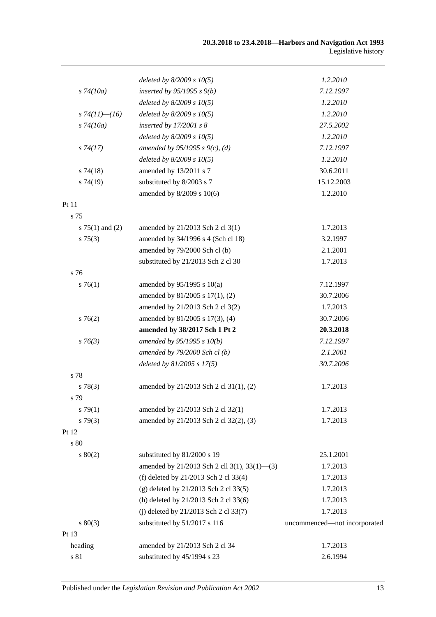|                     | deleted by $8/2009 s 10(5)$                  | 1.2.2010                     |
|---------------------|----------------------------------------------|------------------------------|
| $s\,74(10a)$        | inserted by $95/1995 s 9(b)$                 | 7.12.1997                    |
|                     | deleted by $8/2009 s 10(5)$                  | 1.2.2010                     |
| s $74(11)$ - $(16)$ | deleted by $8/2009 s 10(5)$                  | 1.2.2010                     |
| $s\,74(16a)$        | inserted by $17/2001$ s 8                    | 27.5.2002                    |
|                     | deleted by $8/2009 s 10(5)$                  | 1.2.2010                     |
| $s\,74(17)$         | amended by 95/1995 s 9(c), (d)               | 7.12.1997                    |
|                     | deleted by $8/2009 s 10(5)$                  | 1.2.2010                     |
| $s\,74(18)$         | amended by 13/2011 s 7                       | 30.6.2011                    |
| s74(19)             | substituted by 8/2003 s 7                    | 15.12.2003                   |
|                     | amended by 8/2009 s 10(6)                    | 1.2.2010                     |
| Pt 11               |                                              |                              |
| s 75                |                                              |                              |
| s $75(1)$ and $(2)$ | amended by 21/2013 Sch 2 cl 3(1)             | 1.7.2013                     |
| s 75(3)             | amended by 34/1996 s 4 (Sch cl 18)           | 3.2.1997                     |
|                     | amended by 79/2000 Sch cl (b)                | 2.1.2001                     |
|                     | substituted by 21/2013 Sch 2 cl 30           | 1.7.2013                     |
| s 76                |                                              |                              |
| $s \, 76(1)$        | amended by $95/1995$ s $10(a)$               | 7.12.1997                    |
|                     | amended by 81/2005 s 17(1), (2)              | 30.7.2006                    |
|                     | amended by 21/2013 Sch 2 cl 3(2)             | 1.7.2013                     |
| s76(2)              | amended by 81/2005 s 17(3), (4)              | 30.7.2006                    |
|                     | amended by 38/2017 Sch 1 Pt 2                | 20.3.2018                    |
| $s \, 76(3)$        | amended by 95/1995 s 10(b)                   | 7.12.1997                    |
|                     | amended by $79/2000$ Sch cl (b)              | 2.1.2001                     |
|                     | deleted by $81/2005$ s $17(5)$               | 30.7.2006                    |
| s 78                |                                              |                              |
| s 78(3)             | amended by 21/2013 Sch 2 cl 31(1), (2)       | 1.7.2013                     |
| s 79                |                                              |                              |
| s79(1)              | amended by 21/2013 Sch 2 cl 32(1)            | 1.7.2013                     |
| $s\,79(3)$          | amended by 21/2013 Sch 2 cl 32(2), (3)       | 1.7.2013                     |
| Pt 12               |                                              |                              |
| s 80                |                                              |                              |
| $s\ 80(2)$          | substituted by 81/2000 s 19                  | 25.1.2001                    |
|                     | amended by 21/2013 Sch 2 cll 3(1), 33(1)–(3) | 1.7.2013                     |
|                     | (f) deleted by 21/2013 Sch 2 cl 33(4)        | 1.7.2013                     |
|                     | (g) deleted by 21/2013 Sch 2 cl 33(5)        | 1.7.2013                     |
|                     | (h) deleted by 21/2013 Sch 2 cl 33(6)        | 1.7.2013                     |
|                     | (j) deleted by 21/2013 Sch 2 cl 33(7)        | 1.7.2013                     |
| $s\ 80(3)$          | substituted by 51/2017 s 116                 | uncommenced-not incorporated |
| Pt 13               |                                              |                              |
| heading             | amended by 21/2013 Sch 2 cl 34               | 1.7.2013                     |
| $\sqrt{s}$ 81       | substituted by 45/1994 s 23                  | 2.6.1994                     |
|                     |                                              |                              |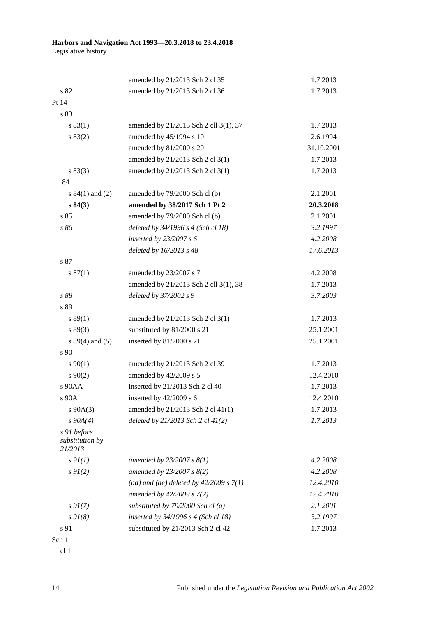|                                           | amended by 21/2013 Sch 2 cl 35            | 1.7.2013   |
|-------------------------------------------|-------------------------------------------|------------|
| s82                                       | amended by 21/2013 Sch 2 cl 36            | 1.7.2013   |
| Pt 14                                     |                                           |            |
| s 83                                      |                                           |            |
| s 83(1)                                   | amended by 21/2013 Sch 2 cll 3(1), 37     | 1.7.2013   |
| s 83(2)                                   | amended by 45/1994 s 10                   | 2.6.1994   |
|                                           | amended by 81/2000 s 20                   | 31.10.2001 |
|                                           | amended by 21/2013 Sch 2 cl 3(1)          | 1.7.2013   |
| s 83(3)                                   | amended by 21/2013 Sch 2 cl 3(1)          | 1.7.2013   |
| 84                                        |                                           |            |
| s $84(1)$ and (2)                         | amended by 79/2000 Sch cl (b)             | 2.1.2001   |
| s 84(3)                                   | amended by 38/2017 Sch 1 Pt 2             | 20.3.2018  |
| s 85                                      | amended by 79/2000 Sch cl (b)             | 2.1.2001   |
| s 86                                      | deleted by 34/1996 s 4 (Sch cl 18)        | 3.2.1997   |
|                                           | inserted by $23/2007 s 6$                 | 4.2.2008   |
|                                           | deleted by 16/2013 s 48                   | 17.6.2013  |
| s 87                                      |                                           |            |
| s 87(1)                                   | amended by 23/2007 s 7                    | 4.2.2008   |
|                                           | amended by 21/2013 Sch 2 cll 3(1), 38     | 1.7.2013   |
| s 88                                      | deleted by 37/2002 s 9                    | 3.7.2003   |
| s 89                                      |                                           |            |
| s 89(1)                                   | amended by 21/2013 Sch 2 cl 3(1)          | 1.7.2013   |
| s 89(3)                                   | substituted by 81/2000 s 21               | 25.1.2001  |
| $s 89(4)$ and (5)                         | inserted by 81/2000 s 21                  | 25.1.2001  |
| s 90                                      |                                           |            |
| $s\,90(1)$                                | amended by 21/2013 Sch 2 cl 39            | 1.7.2013   |
| $s \ 90(2)$                               | amended by 42/2009 s 5                    | 12.4.2010  |
| s 90AA                                    | inserted by 21/2013 Sch 2 cl 40           | 1.7.2013   |
| s 90A                                     | inserted by $42/2009$ s 6                 | 12.4.2010  |
| $s\ 90A(3)$                               | amended by 21/2013 Sch 2 cl 41(1)         | 1.7.2013   |
| $s\,90A(4)$                               | deleted by 21/2013 Sch 2 cl 41(2)         | 1.7.2013   |
| s 91 before<br>substitution by<br>21/2013 |                                           |            |
| $s \mathcal{Q}_I(I)$                      | amended by $23/2007 s 8(1)$               | 4.2.2008   |
| $s \, 9I(2)$                              | amended by 23/2007 s 8(2)                 | 4.2.2008   |
|                                           | (ad) and (ae) deleted by $42/2009 s 7(1)$ | 12.4.2010  |
|                                           | amended by 42/2009 s 7(2)                 | 12.4.2010  |
| $s \, 9I(7)$                              | substituted by $79/2000$ Sch cl(a)        | 2.1.2001   |
| $s \, 9I(8)$                              | inserted by 34/1996 s 4 (Sch cl 18)       | 3.2.1997   |
| s 91                                      | substituted by 21/2013 Sch 2 cl 42        | 1.7.2013   |
| Sch 1                                     |                                           |            |

cl 1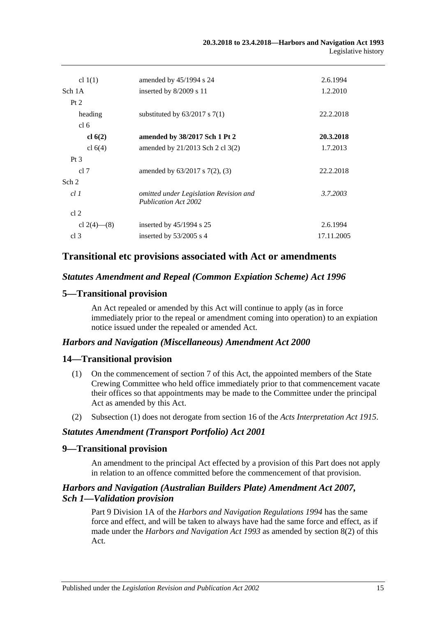| cl $1(1)$       | amended by $45/1994$ s 24                                             | 2.6.1994   |
|-----------------|-----------------------------------------------------------------------|------------|
| Sch 1A          | inserted by 8/2009 s 11                                               | 1.2.2010   |
| Pt 2            |                                                                       |            |
| heading         | substituted by $63/2017$ s $7(1)$                                     | 22.2.2018  |
| cl <sub>6</sub> |                                                                       |            |
| cl 6(2)         | amended by 38/2017 Sch 1 Pt 2                                         | 20.3.2018  |
| cl $6(4)$       | amended by $21/2013$ Sch 2 cl 3(2)                                    | 1.7.2013   |
| Pt <sub>3</sub> |                                                                       |            |
| cl 7            | amended by $63/2017$ s $7(2)$ , $(3)$                                 | 22.2.2018  |
| Sch 2           |                                                                       |            |
| cl1             | omitted under Legislation Revision and<br><b>Publication Act 2002</b> | 3.7.2003   |
| cl <sub>2</sub> |                                                                       |            |
| cl 2(4)–(8)     | inserted by $45/1994$ s 25                                            | 2.6.1994   |
| cl <sub>3</sub> | inserted by $53/2005$ s 4                                             | 17.11.2005 |

## **Transitional etc provisions associated with Act or amendments**

## *Statutes Amendment and Repeal (Common Expiation Scheme) Act 1996*

## **5—Transitional provision**

An Act repealed or amended by this Act will continue to apply (as in force immediately prior to the repeal or amendment coming into operation) to an expiation notice issued under the repealed or amended Act.

## *Harbors and Navigation (Miscellaneous) Amendment Act 2000*

### **14—Transitional provision**

- (1) On the commencement of section 7 of this Act, the appointed members of the State Crewing Committee who held office immediately prior to that commencement vacate their offices so that appointments may be made to the Committee under the principal Act as amended by this Act.
- (2) Subsection (1) does not derogate from section 16 of the *[Acts Interpretation Act](http://www.legislation.sa.gov.au/index.aspx?action=legref&type=act&legtitle=Acts%20Interpretation%20Act%201915) 1915*.

### *Statutes Amendment (Transport Portfolio) Act 2001*

### **9—Transitional provision**

An amendment to the principal Act effected by a provision of this Part does not apply in relation to an offence committed before the commencement of that provision.

## *Harbors and Navigation (Australian Builders Plate) Amendment Act 2007, Sch 1—Validation provision*

Part 9 Division 1A of the *[Harbors and Navigation Regulations](http://www.legislation.sa.gov.au/index.aspx?action=legref&type=subordleg&legtitle=Harbors%20and%20Navigation%20Regulations%201994) 1994* has the same force and effect, and will be taken to always have had the same force and effect, as if made under the *[Harbors and Navigation Act](http://www.legislation.sa.gov.au/index.aspx?action=legref&type=act&legtitle=Harbors%20and%20Navigation%20Act%201993) 1993* as amended by section 8(2) of this Act.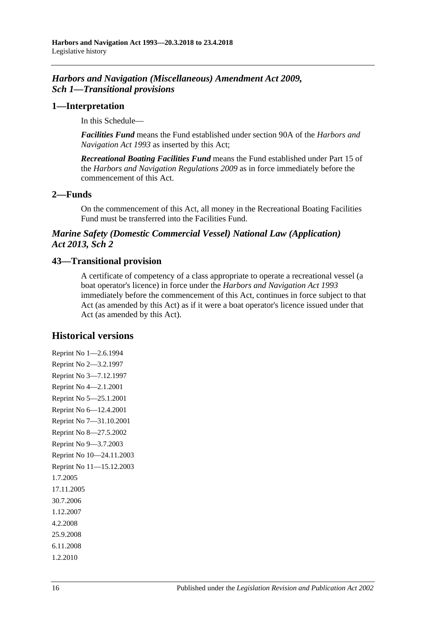## *Harbors and Navigation (Miscellaneous) Amendment Act 2009, Sch 1—Transitional provisions*

## **1—Interpretation**

In this Schedule—

*Facilities Fund* means the Fund established under section 90A of the *[Harbors and](http://www.legislation.sa.gov.au/index.aspx?action=legref&type=act&legtitle=Harbors%20and%20Navigation%20Act%201993)  [Navigation Act](http://www.legislation.sa.gov.au/index.aspx?action=legref&type=act&legtitle=Harbors%20and%20Navigation%20Act%201993) 1993* as inserted by this Act;

*Recreational Boating Facilities Fund* means the Fund established under Part 15 of the *[Harbors and Navigation Regulations](http://www.legislation.sa.gov.au/index.aspx?action=legref&type=subordleg&legtitle=Harbors%20and%20Navigation%20Regulations%202009) 2009* as in force immediately before the commencement of this Act.

## **2—Funds**

On the commencement of this Act, all money in the Recreational Boating Facilities Fund must be transferred into the Facilities Fund.

## *Marine Safety (Domestic Commercial Vessel) National Law (Application) Act 2013, Sch 2*

## **43—Transitional provision**

A certificate of competency of a class appropriate to operate a recreational vessel (a boat operator's licence) in force under the *[Harbors and Navigation Act](http://www.legislation.sa.gov.au/index.aspx?action=legref&type=act&legtitle=Harbors%20and%20Navigation%20Act%201993) 1993* immediately before the commencement of this Act, continues in force subject to that Act (as amended by this Act) as if it were a boat operator's licence issued under that Act (as amended by this Act).

## **Historical versions**

Reprint No 1—2.6.1994 Reprint No 2—3.2.1997 Reprint No 3—7.12.1997 Reprint No 4—2.1.2001 Reprint No 5—25.1.2001 Reprint No 6—12.4.2001 Reprint No 7—31.10.2001 Reprint No 8—27.5.2002 Reprint No 9—3.7.2003 Reprint No 10—24.11.2003 Reprint No 11—15.12.2003 1.7.2005 17.11.2005 30.7.2006 1.12.2007 4.2.2008 25.9.2008 6.11.2008 1.2.2010